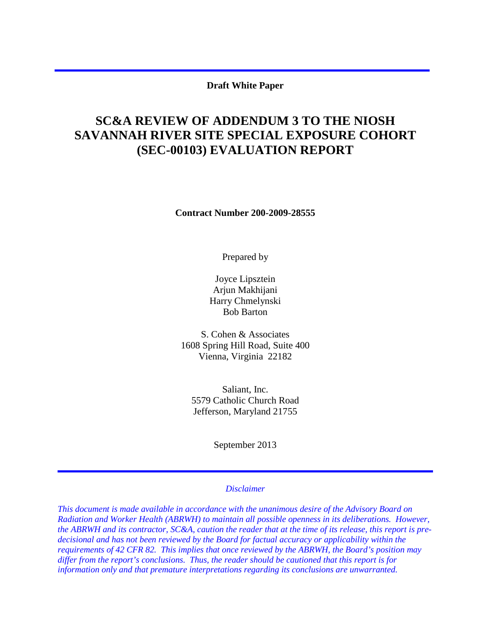#### **Draft White Paper**

# **SC&A REVIEW OF ADDENDUM 3 TO THE NIOSH SAVANNAH RIVER SITE SPECIAL EXPOSURE COHORT (SEC-00103) EVALUATION REPORT**

**Contract Number 200-2009-28555** 

Prepared by

Joyce Lipsztein Arjun Makhijani Harry Chmelynski Bob Barton

S. Cohen & Associates 1608 Spring Hill Road, Suite 400 Vienna, Virginia 22182

Saliant, Inc. 5579 Catholic Church Road Jefferson, Maryland 21755

September 2013

#### *Disclaimer*

*This document is made available in accordance with the unanimous desire of the Advisory Board on Radiation and Worker Health (ABRWH) to maintain all possible openness in its deliberations. However, the ABRWH and its contractor, SC&A, caution the reader that at the time of its release, this report is predecisional and has not been reviewed by the Board for factual accuracy or applicability within the requirements of 42 CFR 82. This implies that once reviewed by the ABRWH, the Board's position may differ from the report's conclusions. Thus, the reader should be cautioned that this report is for information only and that premature interpretations regarding its conclusions are unwarranted.*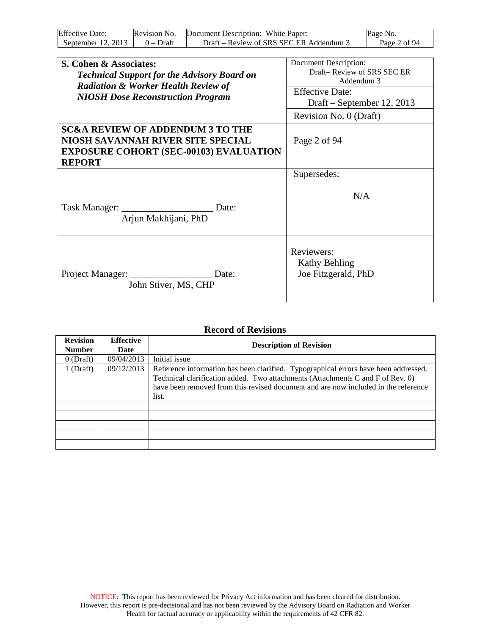| <b>Effective Date:</b> | Revision No. | Document Description: White Paper:      | Page No.     |
|------------------------|--------------|-----------------------------------------|--------------|
| September $12, 2013$   | $0 - Dr$ aft | Draft – Review of SRS SEC ER Addendum 3 | Page 2 of 94 |

| S. Cohen & Associates:<br><b>Technical Support for the Advisory Board on</b><br><b>Radiation &amp; Worker Health Review of</b><br><b>NIOSH Dose Reconstruction Program</b> | Document Description:<br>Draft-Review of SRS SEC ER<br>Addendum 3<br><b>Effective Date:</b><br>Draft – September 12, 2013<br>Revision No. 0 (Draft) |
|----------------------------------------------------------------------------------------------------------------------------------------------------------------------------|-----------------------------------------------------------------------------------------------------------------------------------------------------|
| <b>SC&amp;A REVIEW OF ADDENDUM 3 TO THE</b><br><b>NIOSH SAVANNAH RIVER SITE SPECIAL</b><br><b>EXPOSURE COHORT (SEC-00103) EVALUATION</b><br><b>REPORT</b>                  | Page 2 of 94                                                                                                                                        |
| Task Manager:<br>Date:<br>Arjun Makhijani, PhD                                                                                                                             | Supersedes:<br>N/A                                                                                                                                  |
| Project Manager:<br>Date:<br>John Stiver, MS, CHP                                                                                                                          | Reviewers:<br><b>Kathy Behling</b><br>Joe Fitzgerald, PhD                                                                                           |

#### **Record of Revisions**

| <b>Revision</b><br><b>Number</b> | <b>Effective</b><br>Date | <b>Description of Revision</b>                                                                                                                                                                                                                                       |
|----------------------------------|--------------------------|----------------------------------------------------------------------------------------------------------------------------------------------------------------------------------------------------------------------------------------------------------------------|
| $0$ (Draft)                      | 09/04/2013               | Initial issue                                                                                                                                                                                                                                                        |
| $1$ (Draft)                      | 09/12/2013               | Reference information has been clarified. Typographical errors have been addressed.<br>Technical clarification added. Two attachments (Attachments C and F of Rev. 0)<br>have been removed from this revised document and are now included in the reference<br>list. |
|                                  |                          |                                                                                                                                                                                                                                                                      |
|                                  |                          |                                                                                                                                                                                                                                                                      |
|                                  |                          |                                                                                                                                                                                                                                                                      |
|                                  |                          |                                                                                                                                                                                                                                                                      |
|                                  |                          |                                                                                                                                                                                                                                                                      |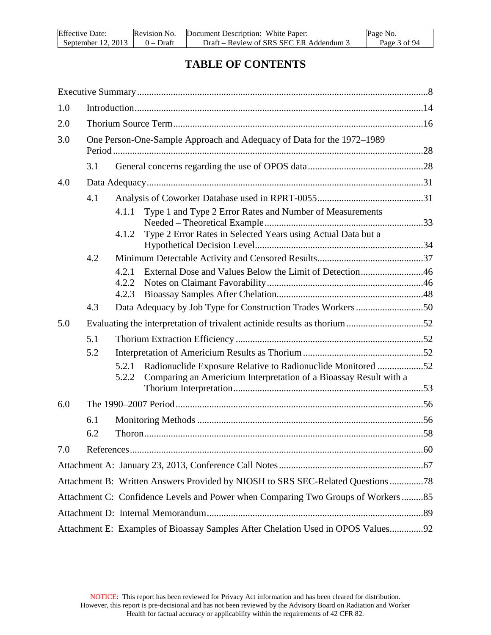| <b>Effective Date:</b> | Revision No. | Document Description: White Paper:      | Page No.     |
|------------------------|--------------|-----------------------------------------|--------------|
| September 12, $2013$   | $0 - Dr$ aft | Draft – Review of SRS SEC ER Addendum 3 | Page 3 of 94 |

## **TABLE OF CONTENTS**

| 1.0 |     |                |                                                                                                                                  |  |
|-----|-----|----------------|----------------------------------------------------------------------------------------------------------------------------------|--|
| 2.0 |     |                |                                                                                                                                  |  |
| 3.0 |     |                | One Person-One-Sample Approach and Adequacy of Data for the 1972-1989                                                            |  |
|     | 3.1 |                |                                                                                                                                  |  |
| 4.0 |     |                |                                                                                                                                  |  |
|     | 4.1 |                |                                                                                                                                  |  |
|     |     | 4.1.1<br>4.1.2 | Type 1 and Type 2 Error Rates and Number of Measurements<br>Type 2 Error Rates in Selected Years using Actual Data but a         |  |
|     | 4.2 |                |                                                                                                                                  |  |
|     |     | 4.2.1          | External Dose and Values Below the Limit of Detection46                                                                          |  |
|     |     | 4.2.2          |                                                                                                                                  |  |
|     | 4.3 | 4.2.3          | Data Adequacy by Job Type for Construction Trades Workers50                                                                      |  |
| 5.0 |     |                |                                                                                                                                  |  |
|     |     |                | Evaluating the interpretation of trivalent actinide results as thorium52                                                         |  |
|     | 5.1 |                |                                                                                                                                  |  |
|     | 5.2 | 5.2.1          |                                                                                                                                  |  |
|     |     | 5.2.2          | Radionuclide Exposure Relative to Radionuclide Monitored 52<br>Comparing an Americium Interpretation of a Bioassay Result with a |  |
| 6.0 |     |                |                                                                                                                                  |  |
|     | 6.1 |                |                                                                                                                                  |  |
|     | 6.2 |                |                                                                                                                                  |  |
| 7.0 |     |                |                                                                                                                                  |  |
|     |     |                |                                                                                                                                  |  |
|     |     |                | Attachment B: Written Answers Provided by NIOSH to SRS SEC-Related Questions78                                                   |  |
|     |     |                | Attachment C: Confidence Levels and Power when Comparing Two Groups of Workers85                                                 |  |
|     |     |                |                                                                                                                                  |  |
|     |     |                | Attachment E: Examples of Bioassay Samples After Chelation Used in OPOS Values92                                                 |  |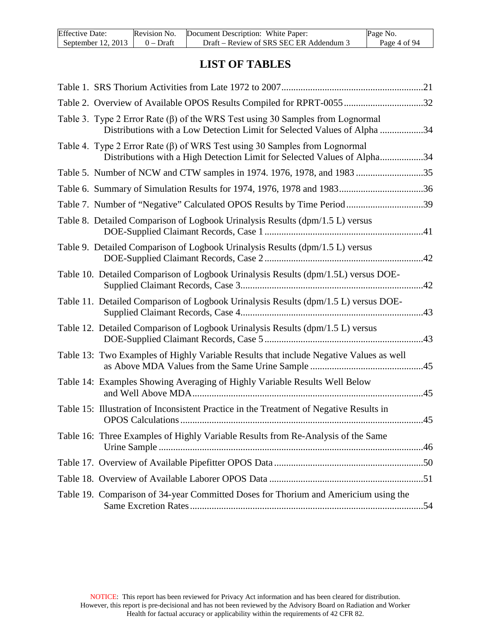| <b>Effective Date:</b> | Revision No. | Document Description: White Paper:      | Page No.     |
|------------------------|--------------|-----------------------------------------|--------------|
| September 12, 2013     | $0 - Dr$ aft | Draft – Review of SRS SEC ER Addendum 3 | Page 4 of 94 |

## **LIST OF TABLES**

| Table 2. Overview of Available OPOS Results Compiled for RPRT-0055 32                                                                                            |     |
|------------------------------------------------------------------------------------------------------------------------------------------------------------------|-----|
| Table 3. Type 2 Error Rate $(\beta)$ of the WRS Test using 30 Samples from Lognormal<br>Distributions with a Low Detection Limit for Selected Values of Alpha 34 |     |
| Table 4. Type 2 Error Rate $(\beta)$ of WRS Test using 30 Samples from Lognormal<br>Distributions with a High Detection Limit for Selected Values of Alpha34     |     |
| Table 5. Number of NCW and CTW samples in 1974. 1976, 1978, and 1983 35                                                                                          |     |
| Table 6. Summary of Simulation Results for 1974, 1976, 1978 and 198336                                                                                           |     |
| Table 7. Number of "Negative" Calculated OPOS Results by Time Period 39                                                                                          |     |
| Table 8. Detailed Comparison of Logbook Urinalysis Results (dpm/1.5 L) versus                                                                                    |     |
| Table 9. Detailed Comparison of Logbook Urinalysis Results (dpm/1.5 L) versus                                                                                    |     |
| Table 10. Detailed Comparison of Logbook Urinalysis Results (dpm/1.5L) versus DOE-                                                                               | .42 |
| Table 11. Detailed Comparison of Logbook Urinalysis Results (dpm/1.5 L) versus DOE-                                                                              | .43 |
| Table 12. Detailed Comparison of Logbook Urinalysis Results (dpm/1.5 L) versus                                                                                   |     |
| Table 13: Two Examples of Highly Variable Results that include Negative Values as well                                                                           |     |
| Table 14: Examples Showing Averaging of Highly Variable Results Well Below                                                                                       |     |
| Table 15: Illustration of Inconsistent Practice in the Treatment of Negative Results in                                                                          | .45 |
| Table 16: Three Examples of Highly Variable Results from Re-Analysis of the Same                                                                                 |     |
|                                                                                                                                                                  |     |
|                                                                                                                                                                  |     |
| Table 19. Comparison of 34-year Committed Doses for Thorium and Americium using the                                                                              |     |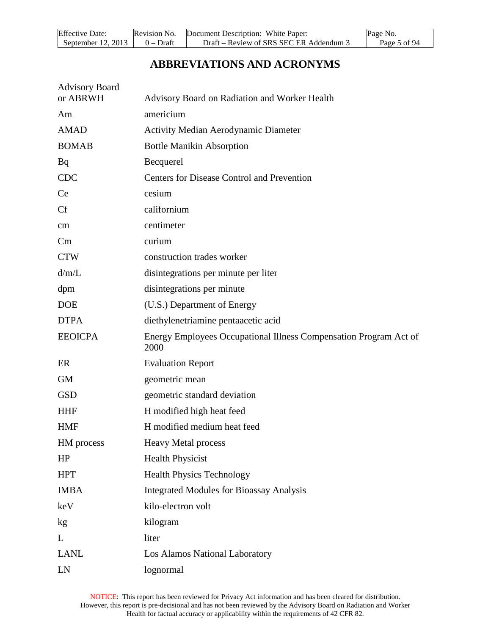| <b>Effective Date:</b> | Revision No. | Document Description: White Paper:      | Page No.     |
|------------------------|--------------|-----------------------------------------|--------------|
| September 12, 2013     | 0 – Draft    | Draft – Review of SRS SEC ER Addendum 3 | Page 5 of 94 |

# **ABBREVIATIONS AND ACRONYMS**

| <b>Advisory Board</b> |                                                                           |
|-----------------------|---------------------------------------------------------------------------|
| or ABRWH              | Advisory Board on Radiation and Worker Health                             |
| Am                    | americium                                                                 |
| <b>AMAD</b>           | <b>Activity Median Aerodynamic Diameter</b>                               |
| <b>BOMAB</b>          | <b>Bottle Manikin Absorption</b>                                          |
| Bq                    | Becquerel                                                                 |
| <b>CDC</b>            | <b>Centers for Disease Control and Prevention</b>                         |
| <b>Ce</b>             | cesium                                                                    |
| Cf                    | californium                                                               |
| cm                    | centimeter                                                                |
| Cm                    | curium                                                                    |
| <b>CTW</b>            | construction trades worker                                                |
| d/m/L                 | disintegrations per minute per liter                                      |
| dpm                   | disintegrations per minute                                                |
| <b>DOE</b>            | (U.S.) Department of Energy                                               |
| <b>DTPA</b>           | diethylenetriamine pentaacetic acid                                       |
| <b>EEOICPA</b>        | Energy Employees Occupational Illness Compensation Program Act of<br>2000 |
| ER                    | <b>Evaluation Report</b>                                                  |
| <b>GM</b>             | geometric mean                                                            |
| <b>GSD</b>            | geometric standard deviation                                              |
| <b>HHF</b>            | H modified high heat feed                                                 |
| <b>HMF</b>            | H modified medium heat feed                                               |
| HM process            | <b>Heavy Metal process</b>                                                |
| HP                    | <b>Health Physicist</b>                                                   |
| <b>HPT</b>            | <b>Health Physics Technology</b>                                          |
| <b>IMBA</b>           | <b>Integrated Modules for Bioassay Analysis</b>                           |
| keV                   | kilo-electron volt                                                        |
| kg                    | kilogram                                                                  |
| L                     | liter                                                                     |
| <b>LANL</b>           | Los Alamos National Laboratory                                            |
| LN                    | lognormal                                                                 |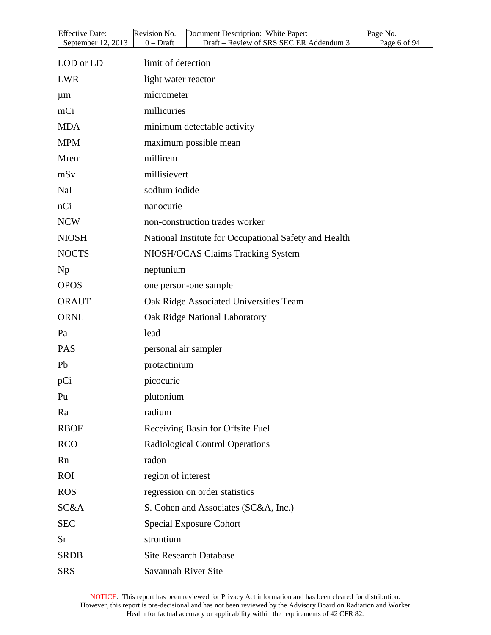| Effective Date:<br>September 12, 2013 | Revision No.<br>Document Description: White Paper:<br>Draft - Review of SRS SEC ER Addendum 3<br>$0$ – Draft | Page No.<br>Page 6 of 94 |
|---------------------------------------|--------------------------------------------------------------------------------------------------------------|--------------------------|
|                                       |                                                                                                              |                          |
| LOD or LD                             | limit of detection                                                                                           |                          |
| <b>LWR</b>                            | light water reactor                                                                                          |                          |
| $\mu$ m                               | micrometer                                                                                                   |                          |
| mCi                                   | millicuries                                                                                                  |                          |
| <b>MDA</b>                            | minimum detectable activity                                                                                  |                          |
| <b>MPM</b>                            | maximum possible mean                                                                                        |                          |
| Mrem                                  | millirem                                                                                                     |                          |
| mSv                                   | millisievert                                                                                                 |                          |
| NaI                                   | sodium iodide                                                                                                |                          |
| nCi                                   | nanocurie                                                                                                    |                          |
| <b>NCW</b>                            | non-construction trades worker                                                                               |                          |
| <b>NIOSH</b>                          | National Institute for Occupational Safety and Health                                                        |                          |
| <b>NOCTS</b>                          | NIOSH/OCAS Claims Tracking System                                                                            |                          |
| Np                                    | neptunium                                                                                                    |                          |
| <b>OPOS</b>                           | one person-one sample                                                                                        |                          |
| <b>ORAUT</b>                          | Oak Ridge Associated Universities Team                                                                       |                          |
| <b>ORNL</b>                           | Oak Ridge National Laboratory                                                                                |                          |
| Pa                                    | lead                                                                                                         |                          |
| <b>PAS</b>                            | personal air sampler                                                                                         |                          |
| Pb                                    | protactinium                                                                                                 |                          |
| pCi                                   | picocurie                                                                                                    |                          |
| Pu                                    | plutonium                                                                                                    |                          |
| Ra                                    | radium                                                                                                       |                          |
| <b>RBOF</b>                           | Receiving Basin for Offsite Fuel                                                                             |                          |
| <b>RCO</b>                            | Radiological Control Operations                                                                              |                          |
| Rn                                    | radon                                                                                                        |                          |
| <b>ROI</b>                            | region of interest                                                                                           |                          |
| <b>ROS</b>                            | regression on order statistics                                                                               |                          |
| SC&A                                  | S. Cohen and Associates (SC&A, Inc.)                                                                         |                          |
| <b>SEC</b>                            | <b>Special Exposure Cohort</b>                                                                               |                          |
| Sr                                    | strontium                                                                                                    |                          |
| <b>SRDB</b>                           | <b>Site Research Database</b>                                                                                |                          |
| <b>SRS</b>                            | Savannah River Site                                                                                          |                          |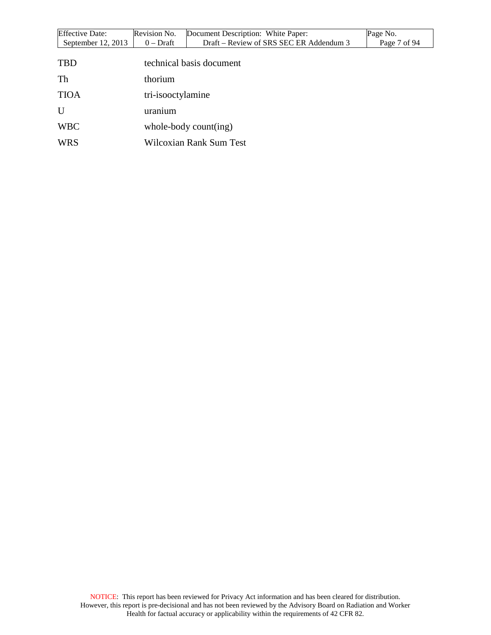| <b>Effective Date:</b> | Revision No.      | Document Description: White Paper:      | Page No.     |
|------------------------|-------------------|-----------------------------------------|--------------|
| September $12, 2013$   | $0$ – Draft       | Draft – Review of SRS SEC ER Addendum 3 | Page 7 of 94 |
|                        |                   |                                         |              |
| <b>TBD</b>             |                   | technical basis document                |              |
| Th                     | thorium           |                                         |              |
|                        |                   |                                         |              |
| <b>TIOA</b>            | tri-isooctylamine |                                         |              |
| U                      | uranium           |                                         |              |
| <b>WBC</b>             |                   | whole-body count(ing)                   |              |
| <b>WRS</b>             |                   | Wilcoxian Rank Sum Test                 |              |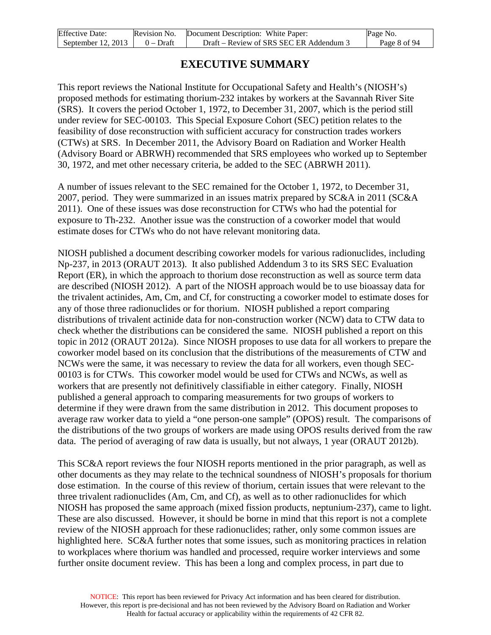| <b>Effective Date:</b> | Revision No. | Document Description: White Paper:      | Page No.     |
|------------------------|--------------|-----------------------------------------|--------------|
| September $12, 2013$   | $0$ – Draft  | Draft – Review of SRS SEC ER Addendum 3 | Page 8 of 94 |

### **EXECUTIVE SUMMARY**

<span id="page-7-0"></span>This report reviews the National Institute for Occupational Safety and Health's (NIOSH's) proposed methods for estimating thorium-232 intakes by workers at the Savannah River Site (SRS). It covers the period October 1, 1972, to December 31, 2007, which is the period still under review for SEC-00103. This Special Exposure Cohort (SEC) petition relates to the feasibility of dose reconstruction with sufficient accuracy for construction trades workers (CTWs) at SRS. In December 2011, the Advisory Board on Radiation and Worker Health (Advisory Board or ABRWH) recommended that SRS employees who worked up to September 30, 1972, and met other necessary criteria, be added to the SEC (ABRWH 2011).

A number of issues relevant to the SEC remained for the October 1, 1972, to December 31, 2007, period. They were summarized in an issues matrix prepared by SC&A in 2011 (SC&A 2011). One of these issues was dose reconstruction for CTWs who had the potential for exposure to Th-232. Another issue was the construction of a coworker model that would estimate doses for CTWs who do not have relevant monitoring data.

NIOSH published a document describing coworker models for various radionuclides, including Np-237, in 2013 (ORAUT 2013). It also published Addendum 3 to its SRS SEC Evaluation Report (ER), in which the approach to thorium dose reconstruction as well as source term data are described (NIOSH 2012). A part of the NIOSH approach would be to use bioassay data for the trivalent actinides, Am, Cm, and Cf, for constructing a coworker model to estimate doses for any of those three radionuclides or for thorium. NIOSH published a report comparing distributions of trivalent actinide data for non-construction worker (NCW) data to CTW data to check whether the distributions can be considered the same. NIOSH published a report on this topic in 2012 (ORAUT 2012a). Since NIOSH proposes to use data for all workers to prepare the coworker model based on its conclusion that the distributions of the measurements of CTW and NCWs were the same, it was necessary to review the data for all workers, even though SEC-00103 is for CTWs. This coworker model would be used for CTWs and NCWs, as well as workers that are presently not definitively classifiable in either category. Finally, NIOSH published a general approach to comparing measurements for two groups of workers to determine if they were drawn from the same distribution in 2012. This document proposes to average raw worker data to yield a "one person-one sample" (OPOS) result. The comparisons of the distributions of the two groups of workers are made using OPOS results derived from the raw data. The period of averaging of raw data is usually, but not always, 1 year (ORAUT 2012b).

This SC&A report reviews the four NIOSH reports mentioned in the prior paragraph, as well as other documents as they may relate to the technical soundness of NIOSH's proposals for thorium dose estimation. In the course of this review of thorium, certain issues that were relevant to the three trivalent radionuclides (Am, Cm, and Cf), as well as to other radionuclides for which NIOSH has proposed the same approach (mixed fission products, neptunium-237), came to light. These are also discussed. However, it should be borne in mind that this report is not a complete review of the NIOSH approach for these radionuclides; rather, only some common issues are highlighted here. SC&A further notes that some issues, such as monitoring practices in relation to workplaces where thorium was handled and processed, require worker interviews and some further onsite document review. This has been a long and complex process, in part due to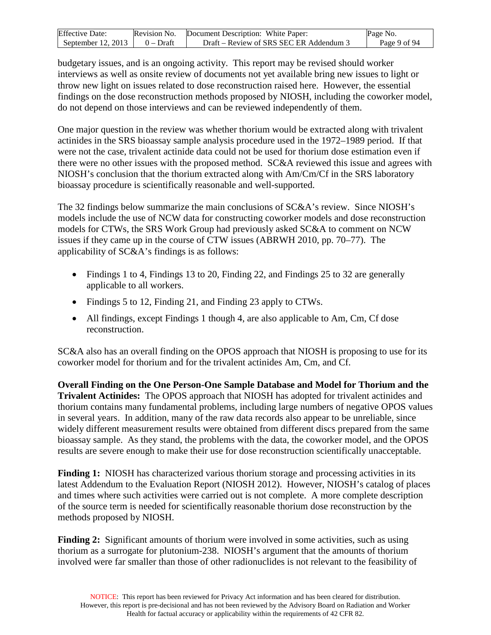| <b>Effective Date:</b> | Revision No. | Document Description: White Paper:      | Page No.     |
|------------------------|--------------|-----------------------------------------|--------------|
| September $12, 2013$   | $0 - Dr$ aft | Draft – Review of SRS SEC ER Addendum 3 | Page 9 of 94 |

budgetary issues, and is an ongoing activity. This report may be revised should worker interviews as well as onsite review of documents not yet available bring new issues to light or throw new light on issues related to dose reconstruction raised here. However, the essential findings on the dose reconstruction methods proposed by NIOSH, including the coworker model, do not depend on those interviews and can be reviewed independently of them.

One major question in the review was whether thorium would be extracted along with trivalent actinides in the SRS bioassay sample analysis procedure used in the 1972–1989 period. If that were not the case, trivalent actinide data could not be used for thorium dose estimation even if there were no other issues with the proposed method. SC&A reviewed this issue and agrees with NIOSH's conclusion that the thorium extracted along with Am/Cm/Cf in the SRS laboratory bioassay procedure is scientifically reasonable and well-supported.

The 32 findings below summarize the main conclusions of SC&A's review. Since NIOSH's models include the use of NCW data for constructing coworker models and dose reconstruction models for CTWs, the SRS Work Group had previously asked SC&A to comment on NCW issues if they came up in the course of CTW issues (ABRWH 2010, pp. 70–77). The applicability of SC&A's findings is as follows:

- Findings 1 to 4, Findings 13 to 20, Finding 22, and Findings 25 to 32 are generally applicable to all workers.
- Findings 5 to 12, Finding 21, and Finding 23 apply to CTWs.
- All findings, except Findings 1 though 4, are also applicable to Am, Cm, Cf dose reconstruction.

SC&A also has an overall finding on the OPOS approach that NIOSH is proposing to use for its coworker model for thorium and for the trivalent actinides Am, Cm, and Cf.

**Overall Finding on the One Person-One Sample Database and Model for Thorium and the Trivalent Actinides:** The OPOS approach that NIOSH has adopted for trivalent actinides and thorium contains many fundamental problems, including large numbers of negative OPOS values in several years. In addition, many of the raw data records also appear to be unreliable, since widely different measurement results were obtained from different discs prepared from the same bioassay sample. As they stand, the problems with the data, the coworker model, and the OPOS results are severe enough to make their use for dose reconstruction scientifically unacceptable.

**Finding 1:** NIOSH has characterized various thorium storage and processing activities in its latest Addendum to the Evaluation Report (NIOSH 2012). However, NIOSH's catalog of places and times where such activities were carried out is not complete. A more complete description of the source term is needed for scientifically reasonable thorium dose reconstruction by the methods proposed by NIOSH.

**Finding 2:** Significant amounts of thorium were involved in some activities, such as using thorium as a surrogate for plutonium-238. NIOSH's argument that the amounts of thorium involved were far smaller than those of other radionuclides is not relevant to the feasibility of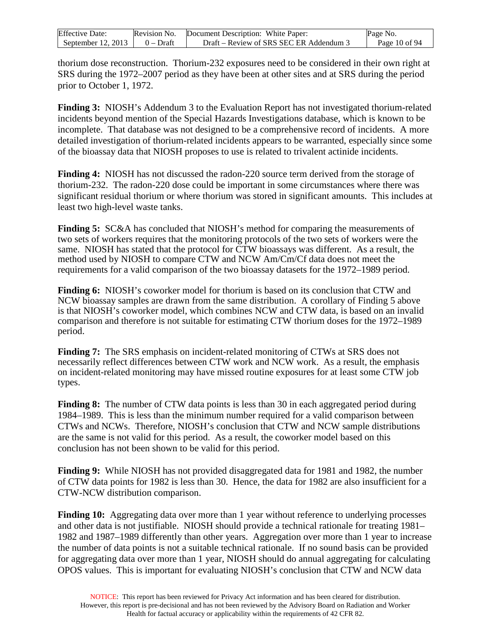| <b>Effective Date:</b> | Revision No. | Document Description: White Paper:    | Page No.      |
|------------------------|--------------|---------------------------------------|---------------|
| September $12, 2013$   | $0$ – Draft  | Draft – Review of SRS SEC ER Addendum | Page 10 of 94 |

thorium dose reconstruction. Thorium-232 exposures need to be considered in their own right at SRS during the 1972–2007 period as they have been at other sites and at SRS during the period prior to October 1, 1972.

**Finding 3:** NIOSH's Addendum 3 to the Evaluation Report has not investigated thorium-related incidents beyond mention of the Special Hazards Investigations database, which is known to be incomplete. That database was not designed to be a comprehensive record of incidents. A more detailed investigation of thorium-related incidents appears to be warranted, especially since some of the bioassay data that NIOSH proposes to use is related to trivalent actinide incidents.

**Finding 4:** NIOSH has not discussed the radon-220 source term derived from the storage of thorium-232. The radon-220 dose could be important in some circumstances where there was significant residual thorium or where thorium was stored in significant amounts. This includes at least two high-level waste tanks.

**Finding 5:** SC&A has concluded that NIOSH's method for comparing the measurements of two sets of workers requires that the monitoring protocols of the two sets of workers were the same. NIOSH has stated that the protocol for CTW bioassays was different. As a result, the method used by NIOSH to compare CTW and NCW Am/Cm/Cf data does not meet the requirements for a valid comparison of the two bioassay datasets for the 1972–1989 period.

**Finding 6:** NIOSH's coworker model for thorium is based on its conclusion that CTW and NCW bioassay samples are drawn from the same distribution. A corollary of Finding 5 above is that NIOSH's coworker model, which combines NCW and CTW data, is based on an invalid comparison and therefore is not suitable for estimating CTW thorium doses for the 1972–1989 period.

**Finding 7:** The SRS emphasis on incident-related monitoring of CTWs at SRS does not necessarily reflect differences between CTW work and NCW work. As a result, the emphasis on incident-related monitoring may have missed routine exposures for at least some CTW job types.

**Finding 8:** The number of CTW data points is less than 30 in each aggregated period during 1984–1989. This is less than the minimum number required for a valid comparison between CTWs and NCWs. Therefore, NIOSH's conclusion that CTW and NCW sample distributions are the same is not valid for this period. As a result, the coworker model based on this conclusion has not been shown to be valid for this period.

**Finding 9:** While NIOSH has not provided disaggregated data for 1981 and 1982, the number of CTW data points for 1982 is less than 30. Hence, the data for 1982 are also insufficient for a CTW-NCW distribution comparison.

**Finding 10:** Aggregating data over more than 1 year without reference to underlying processes and other data is not justifiable. NIOSH should provide a technical rationale for treating 1981– 1982 and 1987–1989 differently than other years. Aggregation over more than 1 year to increase the number of data points is not a suitable technical rationale. If no sound basis can be provided for aggregating data over more than 1 year, NIOSH should do annual aggregating for calculating OPOS values. This is important for evaluating NIOSH's conclusion that CTW and NCW data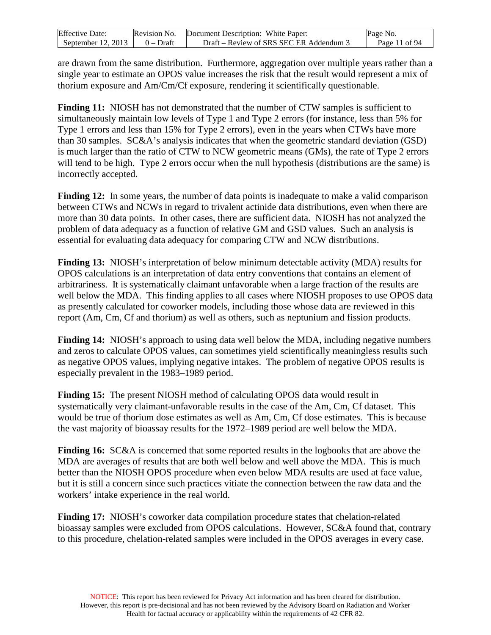| <b>Effective Date:</b> | Revision No. | Document Description: White Paper:    | Page No.      |
|------------------------|--------------|---------------------------------------|---------------|
| September $12, 2013$   | $0$ – Draft  | Draft – Review of SRS SEC ER Addendum | Page 11 of 94 |

are drawn from the same distribution. Furthermore, aggregation over multiple years rather than a single year to estimate an OPOS value increases the risk that the result would represent a mix of thorium exposure and Am/Cm/Cf exposure, rendering it scientifically questionable.

**Finding 11:** NIOSH has not demonstrated that the number of CTW samples is sufficient to simultaneously maintain low levels of Type 1 and Type 2 errors (for instance, less than 5% for Type 1 errors and less than 15% for Type 2 errors), even in the years when CTWs have more than 30 samples. SC&A's analysis indicates that when the geometric standard deviation (GSD) is much larger than the ratio of CTW to NCW geometric means (GMs), the rate of Type 2 errors will tend to be high. Type 2 errors occur when the null hypothesis (distributions are the same) is incorrectly accepted.

**Finding 12:** In some years, the number of data points is inadequate to make a valid comparison between CTWs and NCWs in regard to trivalent actinide data distributions, even when there are more than 30 data points. In other cases, there are sufficient data. NIOSH has not analyzed the problem of data adequacy as a function of relative GM and GSD values. Such an analysis is essential for evaluating data adequacy for comparing CTW and NCW distributions.

**Finding 13:** NIOSH's interpretation of below minimum detectable activity (MDA) results for OPOS calculations is an interpretation of data entry conventions that contains an element of arbitrariness. It is systematically claimant unfavorable when a large fraction of the results are well below the MDA. This finding applies to all cases where NIOSH proposes to use OPOS data as presently calculated for coworker models, including those whose data are reviewed in this report (Am, Cm, Cf and thorium) as well as others, such as neptunium and fission products.

**Finding 14:** NIOSH's approach to using data well below the MDA, including negative numbers and zeros to calculate OPOS values, can sometimes yield scientifically meaningless results such as negative OPOS values, implying negative intakes. The problem of negative OPOS results is especially prevalent in the 1983–1989 period.

**Finding 15:** The present NIOSH method of calculating OPOS data would result in systematically very claimant-unfavorable results in the case of the Am, Cm, Cf dataset. This would be true of thorium dose estimates as well as Am, Cm, Cf dose estimates. This is because the vast majority of bioassay results for the 1972–1989 period are well below the MDA.

**Finding 16:** SC&A is concerned that some reported results in the logbooks that are above the MDA are averages of results that are both well below and well above the MDA. This is much better than the NIOSH OPOS procedure when even below MDA results are used at face value, but it is still a concern since such practices vitiate the connection between the raw data and the workers' intake experience in the real world.

**Finding 17:** NIOSH's coworker data compilation procedure states that chelation-related bioassay samples were excluded from OPOS calculations. However, SC&A found that, contrary to this procedure, chelation-related samples were included in the OPOS averages in every case.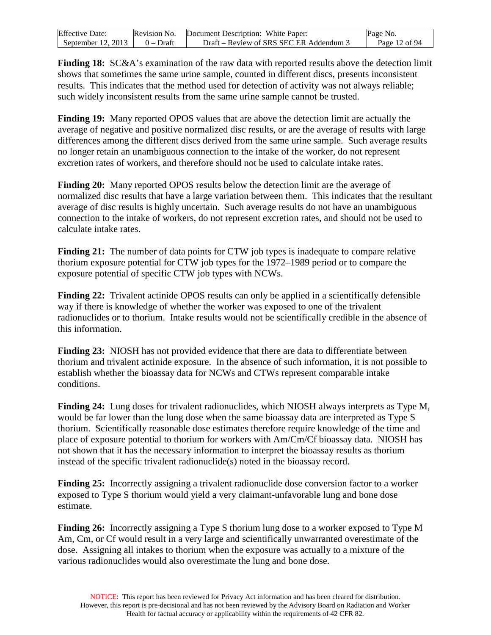| <b>Effective Date:</b> |           | Revision No. Document Description: White Paper: | Page No.      |
|------------------------|-----------|-------------------------------------------------|---------------|
| September 12, 2013     | 0 – Draft | Draft – Review of SRS SEC ER Addendum 3         | Page 12 of 94 |

**Finding 18:** SC&A's examination of the raw data with reported results above the detection limit shows that sometimes the same urine sample, counted in different discs, presents inconsistent results. This indicates that the method used for detection of activity was not always reliable; such widely inconsistent results from the same urine sample cannot be trusted.

**Finding 19:** Many reported OPOS values that are above the detection limit are actually the average of negative and positive normalized disc results, or are the average of results with large differences among the different discs derived from the same urine sample. Such average results no longer retain an unambiguous connection to the intake of the worker, do not represent excretion rates of workers, and therefore should not be used to calculate intake rates.

**Finding 20:** Many reported OPOS results below the detection limit are the average of normalized disc results that have a large variation between them. This indicates that the resultant average of disc results is highly uncertain. Such average results do not have an unambiguous connection to the intake of workers, do not represent excretion rates, and should not be used to calculate intake rates.

**Finding 21:** The number of data points for CTW job types is inadequate to compare relative thorium exposure potential for CTW job types for the 1972–1989 period or to compare the exposure potential of specific CTW job types with NCWs.

**Finding 22:** Trivalent actinide OPOS results can only be applied in a scientifically defensible way if there is knowledge of whether the worker was exposed to one of the trivalent radionuclides or to thorium. Intake results would not be scientifically credible in the absence of this information.

**Finding 23:** NIOSH has not provided evidence that there are data to differentiate between thorium and trivalent actinide exposure. In the absence of such information, it is not possible to establish whether the bioassay data for NCWs and CTWs represent comparable intake conditions.

**Finding 24:** Lung doses for trivalent radionuclides, which NIOSH always interprets as Type M, would be far lower than the lung dose when the same bioassay data are interpreted as Type S thorium. Scientifically reasonable dose estimates therefore require knowledge of the time and place of exposure potential to thorium for workers with Am/Cm/Cf bioassay data. NIOSH has not shown that it has the necessary information to interpret the bioassay results as thorium instead of the specific trivalent radionuclide(s) noted in the bioassay record.

**Finding 25:** Incorrectly assigning a trivalent radionuclide dose conversion factor to a worker exposed to Type S thorium would yield a very claimant-unfavorable lung and bone dose estimate.

**Finding 26:** Incorrectly assigning a Type S thorium lung dose to a worker exposed to Type M Am, Cm, or Cf would result in a very large and scientifically unwarranted overestimate of the dose. Assigning all intakes to thorium when the exposure was actually to a mixture of the various radionuclides would also overestimate the lung and bone dose.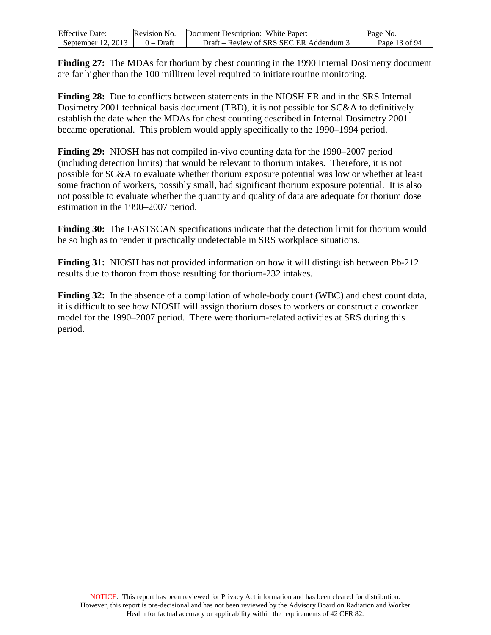| <b>Effective Date:</b> | Revision No. | Document Description: White Paper:      | Page No.      |
|------------------------|--------------|-----------------------------------------|---------------|
| September 12, 2013     | 0 – Draft    | Draft – Review of SRS SEC ER Addendum 3 | Page 13 of 94 |

**Finding 27:** The MDAs for thorium by chest counting in the 1990 Internal Dosimetry document are far higher than the 100 millirem level required to initiate routine monitoring.

**Finding 28:** Due to conflicts between statements in the NIOSH ER and in the SRS Internal Dosimetry 2001 technical basis document (TBD), it is not possible for SC&A to definitively establish the date when the MDAs for chest counting described in Internal Dosimetry 2001 became operational. This problem would apply specifically to the 1990–1994 period.

**Finding 29:** NIOSH has not compiled in-vivo counting data for the 1990–2007 period (including detection limits) that would be relevant to thorium intakes. Therefore, it is not possible for SC&A to evaluate whether thorium exposure potential was low or whether at least some fraction of workers, possibly small, had significant thorium exposure potential. It is also not possible to evaluate whether the quantity and quality of data are adequate for thorium dose estimation in the 1990–2007 period.

**Finding 30:** The FASTSCAN specifications indicate that the detection limit for thorium would be so high as to render it practically undetectable in SRS workplace situations.

**Finding 31:** NIOSH has not provided information on how it will distinguish between Pb-212 results due to thoron from those resulting for thorium-232 intakes.

**Finding 32:** In the absence of a compilation of whole-body count (WBC) and chest count data, it is difficult to see how NIOSH will assign thorium doses to workers or construct a coworker model for the 1990–2007 period. There were thorium-related activities at SRS during this period.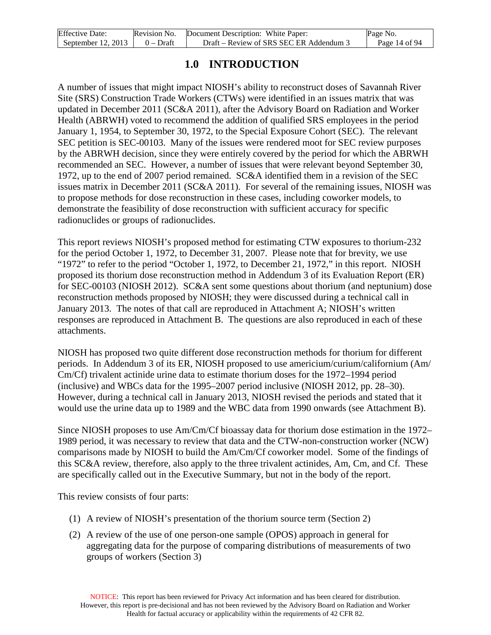| <b>Effective Date:</b> | Revision No. | . Document Description: White Paper:    | Page No.      |
|------------------------|--------------|-----------------------------------------|---------------|
| September $12, 2013$   | $0 - Dr$ aft | Draft – Review of SRS SEC ER Addendum 3 | Page 14 of 94 |

### **1.0 INTRODUCTION**

<span id="page-13-0"></span>A number of issues that might impact NIOSH's ability to reconstruct doses of Savannah River Site (SRS) Construction Trade Workers (CTWs) were identified in an issues matrix that was updated in December 2011 (SC&A 2011), after the Advisory Board on Radiation and Worker Health (ABRWH) voted to recommend the addition of qualified SRS employees in the period January 1, 1954, to September 30, 1972, to the Special Exposure Cohort (SEC). The relevant SEC petition is SEC-00103. Many of the issues were rendered moot for SEC review purposes by the ABRWH decision, since they were entirely covered by the period for which the ABRWH recommended an SEC. However, a number of issues that were relevant beyond September 30, 1972, up to the end of 2007 period remained. SC&A identified them in a revision of the SEC issues matrix in December 2011 (SC&A 2011). For several of the remaining issues, NIOSH was to propose methods for dose reconstruction in these cases, including coworker models, to demonstrate the feasibility of dose reconstruction with sufficient accuracy for specific radionuclides or groups of radionuclides.

This report reviews NIOSH's proposed method for estimating CTW exposures to thorium-232 for the period October 1, 1972, to December 31, 2007. Please note that for brevity, we use "1972" to refer to the period "October 1, 1972, to December 21, 1972," in this report. NIOSH proposed its thorium dose reconstruction method in Addendum 3 of its Evaluation Report (ER) for SEC-00103 (NIOSH 2012). SC&A sent some questions about thorium (and neptunium) dose reconstruction methods proposed by NIOSH; they were discussed during a technical call in January 2013. The notes of that call are reproduced in Attachment A; NIOSH's written responses are reproduced in Attachment B. The questions are also reproduced in each of these attachments.

NIOSH has proposed two quite different dose reconstruction methods for thorium for different periods. In Addendum 3 of its ER, NIOSH proposed to use americium/curium/californium (Am/ Cm/Cf) trivalent actinide urine data to estimate thorium doses for the 1972–1994 period (inclusive) and WBCs data for the 1995–2007 period inclusive (NIOSH 2012, pp. 28–30). However, during a technical call in January 2013, NIOSH revised the periods and stated that it would use the urine data up to 1989 and the WBC data from 1990 onwards (see Attachment B).

Since NIOSH proposes to use Am/Cm/Cf bioassay data for thorium dose estimation in the 1972– 1989 period, it was necessary to review that data and the CTW-non-construction worker (NCW) comparisons made by NIOSH to build the Am/Cm/Cf coworker model. Some of the findings of this SC&A review, therefore, also apply to the three trivalent actinides, Am, Cm, and Cf. These are specifically called out in the Executive Summary, but not in the body of the report.

This review consists of four parts:

- (1) A review of NIOSH's presentation of the thorium source term (Section 2)
- (2) A review of the use of one person-one sample (OPOS) approach in general for aggregating data for the purpose of comparing distributions of measurements of two groups of workers (Section 3)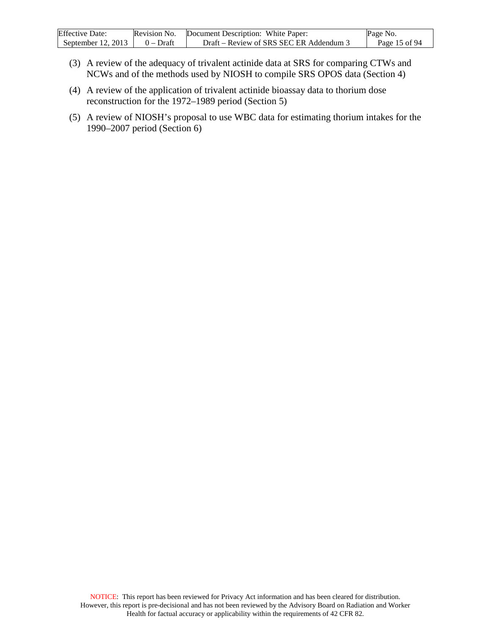| <b>Effective Date:</b> | Revision No. | Document Description: White Paper:      | Page No.      |
|------------------------|--------------|-----------------------------------------|---------------|
| September $12, 2013$   | $0 - Dr$ aft | Draft – Review of SRS SEC ER Addendum 3 | Page 15 of 94 |

- (3) A review of the adequacy of trivalent actinide data at SRS for comparing CTWs and NCWs and of the methods used by NIOSH to compile SRS OPOS data (Section 4)
- (4) A review of the application of trivalent actinide bioassay data to thorium dose reconstruction for the 1972–1989 period (Section 5)
- (5) A review of NIOSH's proposal to use WBC data for estimating thorium intakes for the 1990–2007 period (Section 6)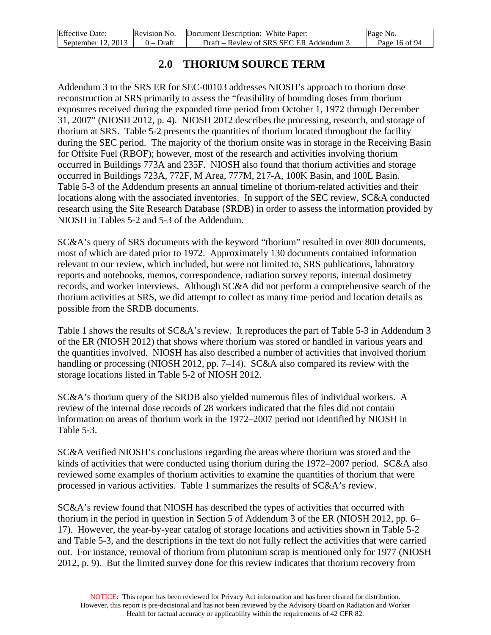| <b>Effective Date:</b> | Revision No. | Document Description: White Paper:      | Page No.      |
|------------------------|--------------|-----------------------------------------|---------------|
| September $12, 2013$   | $0$ – Draft  | Draft – Review of SRS SEC ER Addendum 3 | Page 16 of 94 |

### **2.0 THORIUM SOURCE TERM**

<span id="page-15-0"></span>Addendum 3 to the SRS ER for SEC-00103 addresses NIOSH's approach to thorium dose reconstruction at SRS primarily to assess the "feasibility of bounding doses from thorium exposures received during the expanded time period from October 1, 1972 through December 31, 2007" (NIOSH 2012, p. 4). NIOSH 2012 describes the processing, research, and storage of thorium at SRS. Table 5-2 presents the quantities of thorium located throughout the facility during the SEC period. The majority of the thorium onsite was in storage in the Receiving Basin for Offsite Fuel (RBOF); however, most of the research and activities involving thorium occurred in Buildings 773A and 235F. NIOSH also found that thorium activities and storage occurred in Buildings 723A, 772F, M Area, 777M, 217-A, 100K Basin, and 100L Basin. Table 5-3 of the Addendum presents an annual timeline of thorium-related activities and their locations along with the associated inventories. In support of the SEC review, SC&A conducted research using the Site Research Database (SRDB) in order to assess the information provided by NIOSH in Tables 5-2 and 5-3 of the Addendum.

SC&A's query of SRS documents with the keyword "thorium" resulted in over 800 documents, most of which are dated prior to 1972. Approximately 130 documents contained information relevant to our review, which included, but were not limited to, SRS publications, laboratory reports and notebooks, memos, correspondence, radiation survey reports, internal dosimetry records, and worker interviews. Although SC&A did not perform a comprehensive search of the thorium activities at SRS, we did attempt to collect as many time period and location details as possible from the SRDB documents.

Table 1 shows the results of SC&A's review. It reproduces the part of Table 5-3 in Addendum 3 of the ER (NIOSH 2012) that shows where thorium was stored or handled in various years and the quantities involved. NIOSH has also described a number of activities that involved thorium handling or processing (NIOSH 2012, pp. 7–14). SC&A also compared its review with the storage locations listed in Table 5-2 of NIOSH 2012.

SC&A's thorium query of the SRDB also yielded numerous files of individual workers. A review of the internal dose records of 28 workers indicated that the files did not contain information on areas of thorium work in the 1972–2007 period not identified by NIOSH in Table 5-3.

SC&A verified NIOSH's conclusions regarding the areas where thorium was stored and the kinds of activities that were conducted using thorium during the 1972–2007 period. SC&A also reviewed some examples of thorium activities to examine the quantities of thorium that were processed in various activities. Table 1 summarizes the results of SC&A's review.

SC&A's review found that NIOSH has described the types of activities that occurred with thorium in the period in question in Section 5 of Addendum 3 of the ER (NIOSH 2012, pp. 6– 17). However, the year-by-year catalog of storage locations and activities shown in Table 5-2 and Table 5-3, and the descriptions in the text do not fully reflect the activities that were carried out. For instance, removal of thorium from plutonium scrap is mentioned only for 1977 (NIOSH 2012, p. 9). But the limited survey done for this review indicates that thorium recovery from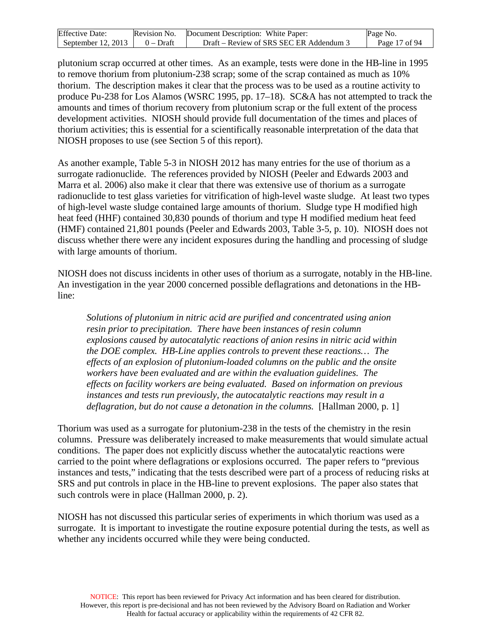| <b>Effective Date:</b>               | Revision No. Document Description: White Paper: | Page No.      |
|--------------------------------------|-------------------------------------------------|---------------|
| September 12, 2013 $\vert$ 0 – Draft | Draft – Review of SRS SEC ER Addendum 3         | Page 17 of 94 |

plutonium scrap occurred at other times. As an example, tests were done in the HB-line in 1995 to remove thorium from plutonium-238 scrap; some of the scrap contained as much as 10% thorium. The description makes it clear that the process was to be used as a routine activity to produce Pu-238 for Los Alamos (WSRC 1995, pp. 17–18). SC&A has not attempted to track the amounts and times of thorium recovery from plutonium scrap or the full extent of the process development activities. NIOSH should provide full documentation of the times and places of thorium activities; this is essential for a scientifically reasonable interpretation of the data that NIOSH proposes to use (see Section 5 of this report).

As another example, Table 5-3 in NIOSH 2012 has many entries for the use of thorium as a surrogate radionuclide. The references provided by NIOSH (Peeler and Edwards 2003 and Marra et al. 2006) also make it clear that there was extensive use of thorium as a surrogate radionuclide to test glass varieties for vitrification of high-level waste sludge. At least two types of high-level waste sludge contained large amounts of thorium. Sludge type H modified high heat feed (HHF) contained 30,830 pounds of thorium and type H modified medium heat feed (HMF) contained 21,801 pounds (Peeler and Edwards 2003, Table 3-5, p. 10). NIOSH does not discuss whether there were any incident exposures during the handling and processing of sludge with large amounts of thorium.

NIOSH does not discuss incidents in other uses of thorium as a surrogate, notably in the HB-line. An investigation in the year 2000 concerned possible deflagrations and detonations in the HBline:

*Solutions of plutonium in nitric acid are purified and concentrated using anion resin prior to precipitation. There have been instances of resin column explosions caused by autocatalytic reactions of anion resins in nitric acid within the DOE complex. HB-Line applies controls to prevent these reactions… The effects of an explosion of plutonium-loaded columns on the public and the onsite workers have been evaluated and are within the evaluation guidelines. The effects on facility workers are being evaluated. Based on information on previous instances and tests run previously, the autocatalytic reactions may result in a deflagration, but do not cause a detonation in the columns.* [Hallman 2000, p. 1]

Thorium was used as a surrogate for plutonium-238 in the tests of the chemistry in the resin columns. Pressure was deliberately increased to make measurements that would simulate actual conditions. The paper does not explicitly discuss whether the autocatalytic reactions were carried to the point where deflagrations or explosions occurred. The paper refers to "previous instances and tests," indicating that the tests described were part of a process of reducing risks at SRS and put controls in place in the HB-line to prevent explosions. The paper also states that such controls were in place (Hallman 2000, p. 2).

NIOSH has not discussed this particular series of experiments in which thorium was used as a surrogate. It is important to investigate the routine exposure potential during the tests, as well as whether any incidents occurred while they were being conducted.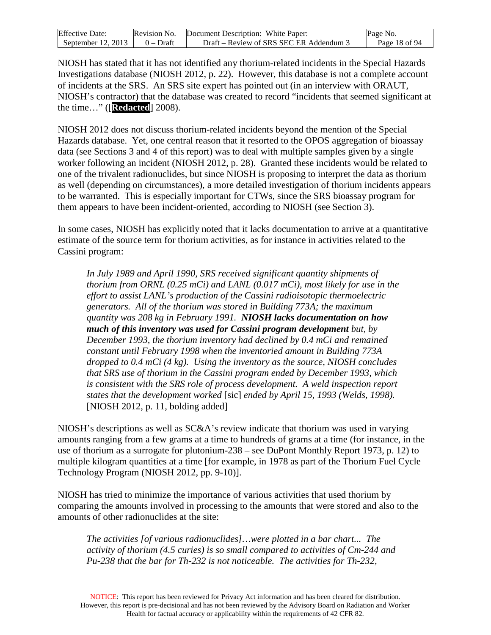| <b>Effective Date:</b> | Revision No. | Document Description: White Paper:    | Page No.      |
|------------------------|--------------|---------------------------------------|---------------|
| September $12, 2013$   | $0 - Draff$  | Draft – Review of SRS SEC ER Addendum | Page 18 of 94 |

NIOSH has stated that it has not identified any thorium-related incidents in the Special Hazards Investigations database (NIOSH 2012, p. 22). However, this database is not a complete account of incidents at the SRS. An SRS site expert has pointed out (in an interview with ORAUT, NIOSH's contractor) that the database was created to record "incidents that seemed significant at the time…" ([**Redacted**] 2008).

NIOSH 2012 does not discuss thorium-related incidents beyond the mention of the Special Hazards database. Yet, one central reason that it resorted to the OPOS aggregation of bioassay data (see Sections 3 and 4 of this report) was to deal with multiple samples given by a single worker following an incident (NIOSH 2012, p. 28). Granted these incidents would be related to one of the trivalent radionuclides, but since NIOSH is proposing to interpret the data as thorium as well (depending on circumstances), a more detailed investigation of thorium incidents appears to be warranted. This is especially important for CTWs, since the SRS bioassay program for them appears to have been incident-oriented, according to NIOSH (see Section 3).

In some cases, NIOSH has explicitly noted that it lacks documentation to arrive at a quantitative estimate of the source term for thorium activities, as for instance in activities related to the Cassini program:

*In July 1989 and April 1990, SRS received significant quantity shipments of thorium from ORNL (0.25 mCi) and LANL (0.017 mCi), most likely for use in the effort to assist LANL's production of the Cassini radioisotopic thermoelectric generators. All of the thorium was stored in Building 773A; the maximum quantity was 208 kg in February 1991. NIOSH lacks documentation on how much of this inventory was used for Cassini program development but, by December 1993, the thorium inventory had declined by 0.4 mCi and remained constant until February 1998 when the inventoried amount in Building 773A dropped to 0.4 mCi (4 kg). Using the inventory as the source, NIOSH concludes that SRS use of thorium in the Cassini program ended by December 1993, which is consistent with the SRS role of process development. A weld inspection report states that the development worked* [sic] *ended by April 15, 1993 (Welds, 1998).* [NIOSH 2012, p. 11, bolding added]

NIOSH's descriptions as well as SC&A's review indicate that thorium was used in varying amounts ranging from a few grams at a time to hundreds of grams at a time (for instance, in the use of thorium as a surrogate for plutonium-238 – see DuPont Monthly Report 1973, p. 12) to multiple kilogram quantities at a time [for example, in 1978 as part of the Thorium Fuel Cycle Technology Program (NIOSH 2012, pp. 9-10)].

NIOSH has tried to minimize the importance of various activities that used thorium by comparing the amounts involved in processing to the amounts that were stored and also to the amounts of other radionuclides at the site:

*The activities [of various radionuclides]…were plotted in a bar chart... The activity of thorium (4.5 curies) is so small compared to activities of Cm-244 and Pu-238 that the bar for Th-232 is not noticeable. The activities for Th-232,*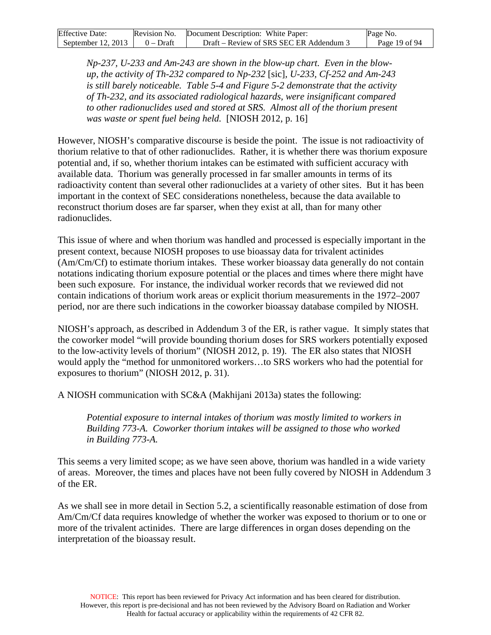| <b>Effective Date:</b>               | Revision No. Document Description: White Paper: | Page No.      |
|--------------------------------------|-------------------------------------------------|---------------|
| September 12, 2013 $\vert$ 0 – Draft | Draft – Review of SRS SEC ER Addendum 3         | Page 19 of 94 |

*Np-237, U-233 and Am-243 are shown in the blow-up chart. Even in the blowup, the activity of Th-232 compared to Np-232* [sic]*, U-233, Cf-252 and Am-243 is still barely noticeable. Table 5-4 and Figure 5-2 demonstrate that the activity of Th-232, and its associated radiological hazards, were insignificant compared to other radionuclides used and stored at SRS. Almost all of the thorium present was waste or spent fuel being held.* [NIOSH 2012, p. 16]

However, NIOSH's comparative discourse is beside the point. The issue is not radioactivity of thorium relative to that of other radionuclides. Rather, it is whether there was thorium exposure potential and, if so, whether thorium intakes can be estimated with sufficient accuracy with available data. Thorium was generally processed in far smaller amounts in terms of its radioactivity content than several other radionuclides at a variety of other sites. But it has been important in the context of SEC considerations nonetheless, because the data available to reconstruct thorium doses are far sparser, when they exist at all, than for many other radionuclides.

This issue of where and when thorium was handled and processed is especially important in the present context, because NIOSH proposes to use bioassay data for trivalent actinides (Am/Cm/Cf) to estimate thorium intakes. These worker bioassay data generally do not contain notations indicating thorium exposure potential or the places and times where there might have been such exposure. For instance, the individual worker records that we reviewed did not contain indications of thorium work areas or explicit thorium measurements in the 1972–2007 period, nor are there such indications in the coworker bioassay database compiled by NIOSH.

NIOSH's approach, as described in Addendum 3 of the ER, is rather vague. It simply states that the coworker model "will provide bounding thorium doses for SRS workers potentially exposed to the low-activity levels of thorium" (NIOSH 2012, p. 19). The ER also states that NIOSH would apply the "method for unmonitored workers…to SRS workers who had the potential for exposures to thorium" (NIOSH 2012, p. 31).

A NIOSH communication with SC&A (Makhijani 2013a) states the following:

*Potential exposure to internal intakes of thorium was mostly limited to workers in Building 773-A. Coworker thorium intakes will be assigned to those who worked in Building 773-A.*

This seems a very limited scope; as we have seen above, thorium was handled in a wide variety of areas. Moreover, the times and places have not been fully covered by NIOSH in Addendum 3 of the ER.

As we shall see in more detail in Section 5.2, a scientifically reasonable estimation of dose from Am/Cm/Cf data requires knowledge of whether the worker was exposed to thorium or to one or more of the trivalent actinides. There are large differences in organ doses depending on the interpretation of the bioassay result.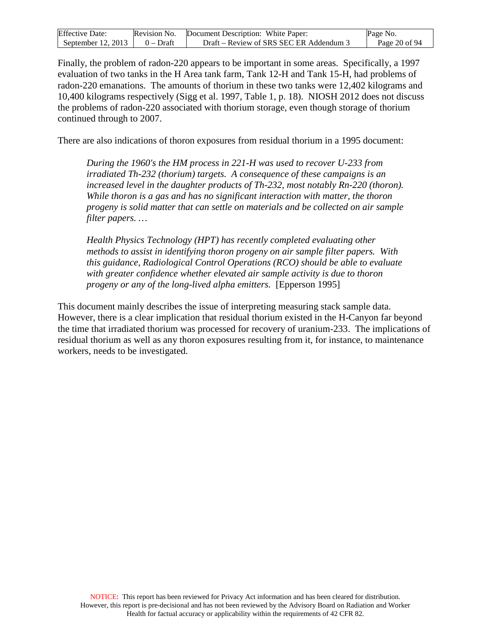| <b>Effective Date:</b> | Revision No. | Document Description: White Paper:      | Page No.      |
|------------------------|--------------|-----------------------------------------|---------------|
| September $12, 2013$   | $0$ – Draft  | Draft – Review of SRS SEC ER Addendum 3 | Page 20 of 94 |

Finally, the problem of radon-220 appears to be important in some areas. Specifically, a 1997 evaluation of two tanks in the H Area tank farm, Tank 12-H and Tank 15-H, had problems of radon-220 emanations. The amounts of thorium in these two tanks were 12,402 kilograms and 10,400 kilograms respectively (Sigg et al. 1997, Table 1, p. 18). NIOSH 2012 does not discuss the problems of radon-220 associated with thorium storage, even though storage of thorium continued through to 2007.

There are also indications of thoron exposures from residual thorium in a 1995 document:

*During the 1960's the HM process in 221-H was used to recover U-233 from irradiated Th-232 (thorium) targets. A consequence of these campaigns is an increased level in the daughter products of Th-232, most notably Rn-220 (thoron). While thoron is a gas and has no significant interaction with matter, the thoron progeny is solid matter that can settle on materials and be collected on air sample filter papers. …*

*Health Physics Technology (HPT) has recently completed evaluating other methods to assist in identifying thoron progeny on air sample filter papers. With this guidance, Radiological Control Operations (RCO) should be able to evaluate with greater confidence whether elevated air sample activity is due to thoron progeny or any of the long-lived alpha emitters.* [Epperson 1995]

This document mainly describes the issue of interpreting measuring stack sample data. However, there is a clear implication that residual thorium existed in the H-Canyon far beyond the time that irradiated thorium was processed for recovery of uranium-233. The implications of residual thorium as well as any thoron exposures resulting from it, for instance, to maintenance workers, needs to be investigated.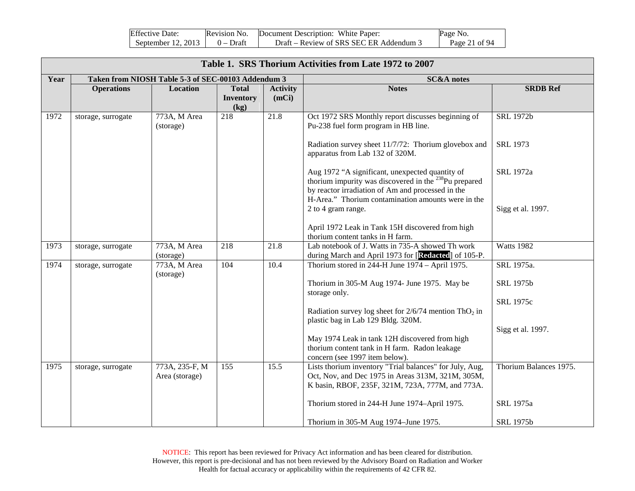<span id="page-20-0"></span>

| <b>Effective Date:</b>               | Revision No. | Document Description: White Paper:      | Page No.      |
|--------------------------------------|--------------|-----------------------------------------|---------------|
| September 12, 2013 $\vert$ 0 – Draft |              | Draft – Review of SRS SEC ER Addendum 3 | Page 21 of 94 |

|      | Table 1. SRS Thorium Activities from Late 1972 to 2007 |                                                    |                                          |                          |                                                                                                                                                                                                                                                                                                                                                                                                                                                                                                                                  |                                                                              |  |  |  |
|------|--------------------------------------------------------|----------------------------------------------------|------------------------------------------|--------------------------|----------------------------------------------------------------------------------------------------------------------------------------------------------------------------------------------------------------------------------------------------------------------------------------------------------------------------------------------------------------------------------------------------------------------------------------------------------------------------------------------------------------------------------|------------------------------------------------------------------------------|--|--|--|
| Year |                                                        | Taken from NIOSH Table 5-3 of SEC-00103 Addendum 3 |                                          |                          | <b>SC&amp;A</b> notes                                                                                                                                                                                                                                                                                                                                                                                                                                                                                                            |                                                                              |  |  |  |
|      | <b>Operations</b>                                      | Location                                           | <b>Total</b><br><b>Inventory</b><br>(kg) | <b>Activity</b><br>(mCi) | <b>Notes</b>                                                                                                                                                                                                                                                                                                                                                                                                                                                                                                                     | <b>SRDB Ref</b>                                                              |  |  |  |
| 1972 | storage, surrogate                                     | 773A, M Area<br>(storage)                          | 218                                      | 21.8                     | Oct 1972 SRS Monthly report discusses beginning of<br>Pu-238 fuel form program in HB line.<br>Radiation survey sheet 11/7/72: Thorium glovebox and<br>apparatus from Lab 132 of 320M.<br>Aug 1972 "A significant, unexpected quantity of<br>thorium impurity was discovered in the $^{238}$ Pu prepared<br>by reactor irradiation of Am and processed in the<br>H-Area." Thorium contamination amounts were in the<br>2 to 4 gram range.<br>April 1972 Leak in Tank 15H discovered from high<br>thorium content tanks in H farm. | <b>SRL 1972b</b><br><b>SRL 1973</b><br><b>SRL</b> 1972a<br>Sigg et al. 1997. |  |  |  |
| 1973 | storage, surrogate                                     | 773A, M Area<br>(storage)                          | 218                                      | 21.8                     | Lab notebook of J. Watts in 735-A showed Th work<br>during March and April 1973 for [Redacted] of 105-P.                                                                                                                                                                                                                                                                                                                                                                                                                         | <b>Watts 1982</b>                                                            |  |  |  |
| 1974 | storage, surrogate                                     | 773A, M Area<br>(storage)                          | 104                                      | 10.4                     | Thorium stored in 244-H June 1974 - April 1975.<br>Thorium in 305-M Aug 1974- June 1975. May be<br>storage only.<br>Radiation survey log sheet for $2/6/74$ mention ThO <sub>2</sub> in<br>plastic bag in Lab 129 Bldg. 320M.<br>May 1974 Leak in tank 12H discovered from high<br>thorium content tank in H farm. Radon leakage<br>concern (see 1997 item below).                                                                                                                                                               | SRL 1975a.<br><b>SRL 1975b</b><br><b>SRL 1975c</b><br>Sigg et al. 1997.      |  |  |  |
| 1975 | storage, surrogate                                     | 773A, 235-F, M<br>Area (storage)                   | 155                                      | 15.5                     | Lists thorium inventory "Trial balances" for July, Aug,<br>Oct, Nov, and Dec 1975 in Areas 313M, 321M, 305M,<br>K basin, RBOF, 235F, 321M, 723A, 777M, and 773A.<br>Thorium stored in 244-H June 1974-April 1975.<br>Thorium in 305-M Aug 1974–June 1975.                                                                                                                                                                                                                                                                        | Thorium Balances 1975.<br>SRL 1975a<br><b>SRL 1975b</b>                      |  |  |  |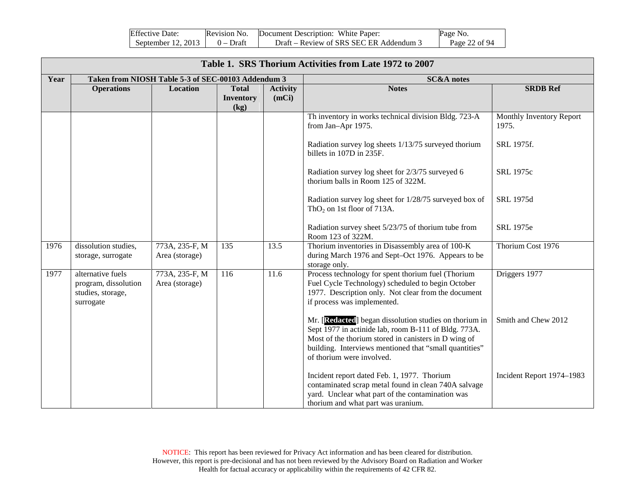| <b>Effective Date:</b>               | Revision No. | Document Description: White Paper:      | Page No.      |
|--------------------------------------|--------------|-----------------------------------------|---------------|
| September 12, 2013 $\vert$ 0 – Draft |              | Draft – Review of SRS SEC ER Addendum 3 | Page 22 of 94 |

| Table 1. SRS Thorium Activities from Late 1972 to 2007 |                                                                             |                                                    |                                          |                          |                                                                                                                                                                                                                                                               |                                   |  |  |
|--------------------------------------------------------|-----------------------------------------------------------------------------|----------------------------------------------------|------------------------------------------|--------------------------|---------------------------------------------------------------------------------------------------------------------------------------------------------------------------------------------------------------------------------------------------------------|-----------------------------------|--|--|
| Year                                                   |                                                                             | Taken from NIOSH Table 5-3 of SEC-00103 Addendum 3 |                                          |                          | <b>SC&amp;A</b> notes                                                                                                                                                                                                                                         |                                   |  |  |
|                                                        | <b>Operations</b>                                                           | Location                                           | <b>Total</b><br><b>Inventory</b><br>(kg) | <b>Activity</b><br>(mCi) | <b>Notes</b>                                                                                                                                                                                                                                                  | <b>SRDB Ref</b>                   |  |  |
|                                                        |                                                                             |                                                    |                                          |                          | Th inventory in works technical division Bldg. 723-A<br>from Jan-Apr 1975.                                                                                                                                                                                    | Monthly Inventory Report<br>1975. |  |  |
|                                                        |                                                                             |                                                    |                                          |                          | Radiation survey log sheets 1/13/75 surveyed thorium<br>billets in 107D in 235F.                                                                                                                                                                              | SRL 1975f.                        |  |  |
|                                                        |                                                                             |                                                    |                                          |                          | Radiation survey log sheet for 2/3/75 surveyed 6<br>thorium balls in Room 125 of 322M.                                                                                                                                                                        | SRL 1975c                         |  |  |
|                                                        |                                                                             |                                                    |                                          |                          | Radiation survey log sheet for 1/28/75 surveyed box of<br>$ThO2$ on 1st floor of 713A.                                                                                                                                                                        | SRL 1975d                         |  |  |
|                                                        |                                                                             |                                                    |                                          |                          | Radiation survey sheet 5/23/75 of thorium tube from<br>Room 123 of 322M.                                                                                                                                                                                      | SRL 1975e                         |  |  |
| 1976                                                   | dissolution studies,<br>storage, surrogate                                  | 773A, 235-F, M<br>Area (storage)                   | 135                                      | 13.5                     | Thorium inventories in Disassembly area of 100-K<br>during March 1976 and Sept-Oct 1976. Appears to be<br>storage only.                                                                                                                                       | Thorium Cost 1976                 |  |  |
| 1977                                                   | alternative fuels<br>program, dissolution<br>studies, storage,<br>surrogate | 773A, 235-F, M<br>Area (storage)                   | 116                                      | 11.6                     | Process technology for spent thorium fuel (Thorium<br>Fuel Cycle Technology) scheduled to begin October<br>1977. Description only. Not clear from the document<br>if process was implemented.                                                                 | Driggers 1977                     |  |  |
|                                                        |                                                                             |                                                    |                                          |                          | Mr. [Redacted] began dissolution studies on thorium in<br>Sept 1977 in actinide lab, room B-111 of Bldg. 773A.<br>Most of the thorium stored in canisters in D wing of<br>building. Interviews mentioned that "small quantities"<br>of thorium were involved. | Smith and Chew 2012               |  |  |
|                                                        |                                                                             |                                                    |                                          |                          | Incident report dated Feb. 1, 1977. Thorium<br>contaminated scrap metal found in clean 740A salvage<br>yard. Unclear what part of the contamination was<br>thorium and what part was uranium.                                                                 | Incident Report 1974-1983         |  |  |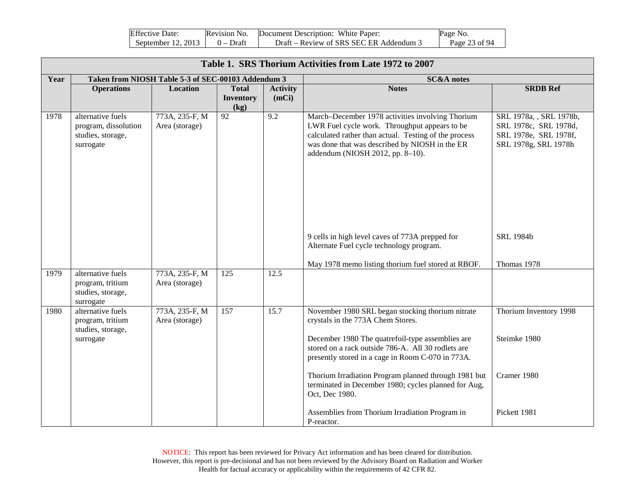| <b>Effective Date:</b> | Revision No. | Document Description: White Paper:      | Page No.      |
|------------------------|--------------|-----------------------------------------|---------------|
| September 12, 2013     | 0 – Draft    | Draft – Review of SRS SEC ER Addendum 5 | Page 23 of 94 |

|      | Table 1. SRS Thorium Activities from Late 1972 to 2007                      |                                                    |                                          |                          |                                                                                                                                                                                                                                                      |                                                                                                   |  |  |  |
|------|-----------------------------------------------------------------------------|----------------------------------------------------|------------------------------------------|--------------------------|------------------------------------------------------------------------------------------------------------------------------------------------------------------------------------------------------------------------------------------------------|---------------------------------------------------------------------------------------------------|--|--|--|
| Year |                                                                             | Taken from NIOSH Table 5-3 of SEC-00103 Addendum 3 |                                          |                          | <b>SC&amp;A</b> notes                                                                                                                                                                                                                                |                                                                                                   |  |  |  |
|      | <b>Operations</b>                                                           | Location                                           | <b>Total</b><br><b>Inventory</b><br>(kg) | <b>Activity</b><br>(mCi) | <b>Notes</b>                                                                                                                                                                                                                                         | <b>SRDB Ref</b>                                                                                   |  |  |  |
| 1978 | alternative fuels<br>program, dissolution<br>studies, storage,<br>surrogate | 773A, 235-F, M<br>Area (storage)                   | $\overline{92}$                          | 9.2                      | March-December 1978 activities involving Thorium<br>LWR Fuel cycle work. Throughput appears to be<br>calculated rather than actual. Testing of the process<br>was done that was described by NIOSH in the ER<br>addendum (NIOSH 2012, pp. 8-10).     | SRL 1978a, , SRL 1978b,<br>SRL 1978c, SRL 1978d,<br>SRL 1978e, SRL 1978f,<br>SRL 1978g, SRL 1978h |  |  |  |
|      |                                                                             |                                                    |                                          |                          | 9 cells in high level caves of 773A prepped for<br>Alternate Fuel cycle technology program.                                                                                                                                                          | <b>SRL 1984b</b>                                                                                  |  |  |  |
|      |                                                                             |                                                    |                                          |                          | May 1978 memo listing thorium fuel stored at RBOF.                                                                                                                                                                                                   | Thomas 1978                                                                                       |  |  |  |
| 1979 | alternative fuels<br>program, tritium<br>studies, storage,<br>surrogate     | 773A, 235-F, M<br>Area (storage)                   | $\overline{125}$                         | 12.5                     |                                                                                                                                                                                                                                                      |                                                                                                   |  |  |  |
| 1980 | alternative fuels<br>program, tritium<br>studies, storage,<br>surrogate     | 773A, 235-F, M<br>Area (storage)                   | 157                                      | 15.7                     | November 1980 SRL began stocking thorium nitrate<br>crystals in the 773A Chem Stores.<br>December 1980 The quatrefoil-type assemblies are<br>stored on a rack outside 786-A. All 30 rodlets are<br>presently stored in a cage in Room C-070 in 773A. | Thorium Inventory 1998<br>Steimke 1980                                                            |  |  |  |
|      |                                                                             |                                                    |                                          |                          | Thorium Irradiation Program planned through 1981 but<br>terminated in December 1980; cycles planned for Aug,<br>Oct, Dec 1980.                                                                                                                       | Cramer 1980                                                                                       |  |  |  |
|      |                                                                             |                                                    |                                          |                          | Assemblies from Thorium Irradiation Program in<br>P-reactor.                                                                                                                                                                                         | Pickett 1981                                                                                      |  |  |  |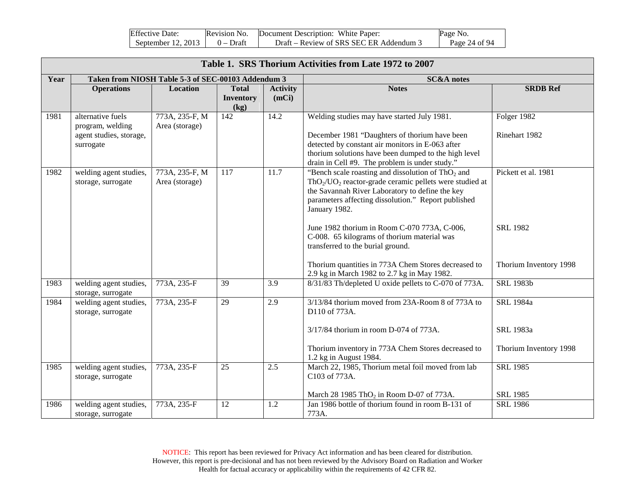| <b>Effective Date:</b>               | Revision No. | Document Description: White Paper:      | Page No.      |
|--------------------------------------|--------------|-----------------------------------------|---------------|
| September 12, 2013 $\vert$ 0 – Draft |              | Draft – Review of SRS SEC ER Addendum 3 | Page 24 of 94 |

|      | Table 1. SRS Thorium Activities from Late 1972 to 2007                        |                                                    |                                          |                          |                                                                                                                                                                                                                                                            |                                           |  |  |  |
|------|-------------------------------------------------------------------------------|----------------------------------------------------|------------------------------------------|--------------------------|------------------------------------------------------------------------------------------------------------------------------------------------------------------------------------------------------------------------------------------------------------|-------------------------------------------|--|--|--|
| Year |                                                                               | Taken from NIOSH Table 5-3 of SEC-00103 Addendum 3 |                                          |                          | <b>SC&amp;A</b> notes                                                                                                                                                                                                                                      |                                           |  |  |  |
|      | <b>Operations</b>                                                             | Location                                           | <b>Total</b><br><b>Inventory</b><br>(kg) | <b>Activity</b><br>(mCi) | <b>Notes</b>                                                                                                                                                                                                                                               | <b>SRDB Ref</b>                           |  |  |  |
| 1981 | alternative fuels<br>program, welding<br>agent studies, storage,<br>surrogate | 773A, 235-F, M<br>Area (storage)                   | 142                                      | 14.2                     | Welding studies may have started July 1981.<br>December 1981 "Daughters of thorium have been<br>detected by constant air monitors in E-063 after<br>thorium solutions have been dumped to the high level<br>drain in Cell #9. The problem is under study." | Folger 1982<br>Rinehart 1982              |  |  |  |
| 1982 | welding agent studies,<br>storage, surrogate                                  | 773A, 235-F, M<br>Area (storage)                   | 117                                      | 11.7                     | "Bench scale roasting and dissolution of $ThO2$ and<br>$ThO_2/UO_2$ reactor-grade ceramic pellets were studied at<br>the Savannah River Laboratory to define the key<br>parameters affecting dissolution." Report published<br>January 1982.               | Pickett et al. 1981                       |  |  |  |
|      |                                                                               |                                                    |                                          |                          | June 1982 thorium in Room C-070 773A, C-006,<br>C-008. 65 kilograms of thorium material was<br>transferred to the burial ground.<br>Thorium quantities in 773A Chem Stores decreased to                                                                    | <b>SRL 1982</b><br>Thorium Inventory 1998 |  |  |  |
|      |                                                                               |                                                    |                                          |                          | 2.9 kg in March 1982 to 2.7 kg in May 1982.                                                                                                                                                                                                                |                                           |  |  |  |
| 1983 | welding agent studies,<br>storage, surrogate                                  | 773A, 235-F                                        | 39                                       | 3.9                      | 8/31/83 Th/depleted U oxide pellets to C-070 of 773A.                                                                                                                                                                                                      | <b>SRL 1983b</b>                          |  |  |  |
| 1984 | welding agent studies,<br>storage, surrogate                                  | 773A, 235-F                                        | 29                                       | 2.9                      | 3/13/84 thorium moved from 23A-Room 8 of 773A to<br>D110 of 773A.                                                                                                                                                                                          | <b>SRL</b> 1984a                          |  |  |  |
|      |                                                                               |                                                    |                                          |                          | 3/17/84 thorium in room D-074 of 773A.                                                                                                                                                                                                                     | SRL 1983a                                 |  |  |  |
|      |                                                                               |                                                    |                                          |                          | Thorium inventory in 773A Chem Stores decreased to<br>1.2 kg in August 1984.                                                                                                                                                                               | Thorium Inventory 1998                    |  |  |  |
| 1985 | welding agent studies,<br>storage, surrogate                                  | 773A, 235-F                                        | 25                                       | 2.5                      | March 22, 1985, Thorium metal foil moved from lab<br>C103 of 773A.                                                                                                                                                                                         | <b>SRL 1985</b>                           |  |  |  |
| 1986 | welding agent studies,                                                        | 773A, 235-F                                        | 12                                       | 1.2                      | March 28 1985 ThO <sub>2</sub> in Room D-07 of 773A.<br>Jan 1986 bottle of thorium found in room B-131 of                                                                                                                                                  | <b>SRL 1985</b><br><b>SRL 1986</b>        |  |  |  |
|      | storage, surrogate                                                            |                                                    |                                          |                          | 773A.                                                                                                                                                                                                                                                      |                                           |  |  |  |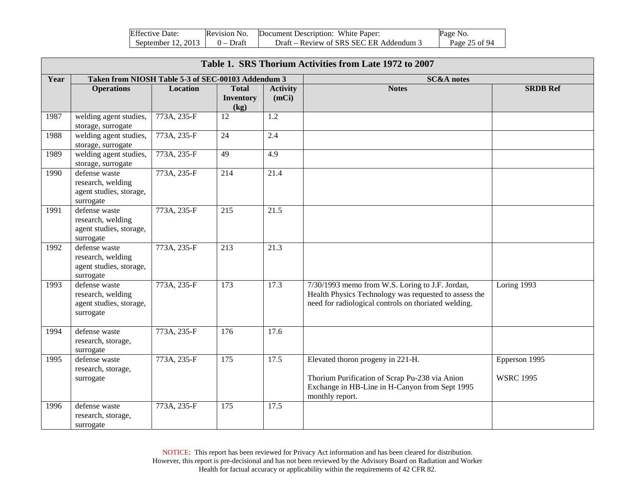| <b>Effective Date:</b> | Revision No. | Document Description: White Paper:      | Page No.      |
|------------------------|--------------|-----------------------------------------|---------------|
| September $12, 2013$   | $0$ – Draft  | Draft – Review of SRS SEC ER Addendum 3 | Page 25 of 94 |

|      | Table 1. SRS Thorium Activities from Late 1972 to 2007                     |             |                                          |                          |                                                                                                                                                                  |                                                |  |  |
|------|----------------------------------------------------------------------------|-------------|------------------------------------------|--------------------------|------------------------------------------------------------------------------------------------------------------------------------------------------------------|------------------------------------------------|--|--|
| Year | Taken from NIOSH Table 5-3 of SEC-00103 Addendum 3                         |             |                                          |                          | <b>SC&amp;A</b> notes                                                                                                                                            |                                                |  |  |
|      | <b>Operations</b>                                                          | Location    | <b>Total</b><br><b>Inventory</b><br>(kg) | <b>Activity</b><br>(mCi) | <b>Notes</b>                                                                                                                                                     | <b>SRDB Ref</b>                                |  |  |
| 1987 | welding agent studies,<br>storage, surrogate                               | 773A, 235-F | 12                                       | 1.2                      |                                                                                                                                                                  |                                                |  |  |
| 1988 | welding agent studies,<br>storage, surrogate                               | 773A, 235-F | 24                                       | 2.4                      |                                                                                                                                                                  |                                                |  |  |
| 1989 | welding agent studies,<br>storage, surrogate                               | 773A, 235-F | $\overline{49}$                          | 4.9                      |                                                                                                                                                                  |                                                |  |  |
| 1990 | defense waste<br>research, welding<br>agent studies, storage,<br>surrogate | 773A, 235-F | 214                                      | 21.4                     |                                                                                                                                                                  |                                                |  |  |
| 1991 | defense waste<br>research, welding<br>agent studies, storage,<br>surrogate | 773A, 235-F | 215                                      | 21.5                     |                                                                                                                                                                  |                                                |  |  |
| 1992 | defense waste<br>research, welding<br>agent studies, storage,<br>surrogate | 773A, 235-F | 213                                      | 21.3                     |                                                                                                                                                                  |                                                |  |  |
| 1993 | defense waste<br>research, welding<br>agent studies, storage,<br>surrogate | 773A, 235-F | 173                                      | 17.3                     | 7/30/1993 memo from W.S. Loring to J.F. Jordan,<br>Health Physics Technology was requested to assess the<br>need for radiological controls on thoriated welding. | Loring 1993                                    |  |  |
| 1994 | defense waste<br>research, storage,<br>surrogate                           | 773A, 235-F | 176                                      | 17.6                     |                                                                                                                                                                  |                                                |  |  |
| 1995 | defense waste<br>research, storage,<br>surrogate                           | 773A, 235-F | 175                                      | 17.5                     | Elevated thoron progeny in 221-H.<br>Thorium Purification of Scrap Pu-238 via Anion<br>Exchange in HB-Line in H-Canyon from Sept 1995<br>monthly report.         | Epperson $19\overline{95}$<br><b>WSRC 1995</b> |  |  |
| 1996 | defense waste<br>research, storage,<br>surrogate                           | 773A, 235-F | $\overline{175}$                         | 17.5                     |                                                                                                                                                                  |                                                |  |  |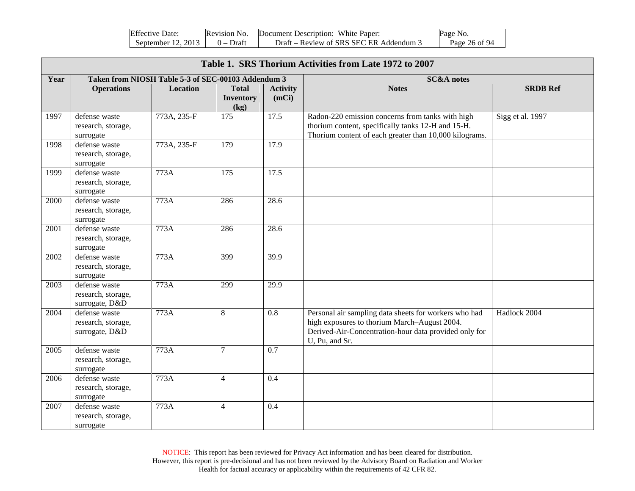| <b>Effective Date:</b> | Revision No. | Document Description: White Paper:      | Page No.      |
|------------------------|--------------|-----------------------------------------|---------------|
| September 12, 2013     | $0$ – Draft  | Draft – Review of SRS SEC ER Addendum 3 | Page 26 of 94 |

|      | Table 1. SRS Thorium Activities from Late 1972 to 2007 |                                                    |                                          |                          |                                                                                                                                                                                  |                  |  |  |  |
|------|--------------------------------------------------------|----------------------------------------------------|------------------------------------------|--------------------------|----------------------------------------------------------------------------------------------------------------------------------------------------------------------------------|------------------|--|--|--|
| Year |                                                        | Taken from NIOSH Table 5-3 of SEC-00103 Addendum 3 |                                          |                          | <b>SC&amp;A</b> notes                                                                                                                                                            |                  |  |  |  |
|      | <b>Operations</b>                                      | Location                                           | <b>Total</b><br><b>Inventory</b><br>(kg) | <b>Activity</b><br>(mCi) | <b>Notes</b>                                                                                                                                                                     | <b>SRDB Ref</b>  |  |  |  |
| 1997 | defense waste<br>research, storage,<br>surrogate       | 773A, 235-F                                        | $\frac{175}{2}$                          | 17.5                     | Radon-220 emission concerns from tanks with high<br>thorium content, specifically tanks 12-H and 15-H.<br>Thorium content of each greater than 10,000 kilograms.                 | Sigg et al. 1997 |  |  |  |
| 1998 | defense waste<br>research, storage,<br>surrogate       | 773A, 235-F                                        | 179                                      | 17.9                     |                                                                                                                                                                                  |                  |  |  |  |
| 1999 | defense waste<br>research, storage,<br>surrogate       | 773A                                               | $\overline{175}$                         | 17.5                     |                                                                                                                                                                                  |                  |  |  |  |
| 2000 | defense waste<br>research, storage,<br>surrogate       | 773A                                               | 286                                      | 28.6                     |                                                                                                                                                                                  |                  |  |  |  |
| 2001 | defense waste<br>research, storage,<br>surrogate       | 773A                                               | 286                                      | 28.6                     |                                                                                                                                                                                  |                  |  |  |  |
| 2002 | defense waste<br>research, storage,<br>surrogate       | 773A                                               | 399                                      | 39.9                     |                                                                                                                                                                                  |                  |  |  |  |
| 2003 | defense waste<br>research, storage,<br>surrogate, D&D  | 773A                                               | 299                                      | 29.9                     |                                                                                                                                                                                  |                  |  |  |  |
| 2004 | defense waste<br>research, storage,<br>surrogate, D&D  | 773A                                               | 8                                        | 0.8                      | Personal air sampling data sheets for workers who had<br>high exposures to thorium March-August 2004.<br>Derived-Air-Concentration-hour data provided only for<br>U, Pu, and Sr. | Hadlock 2004     |  |  |  |
| 2005 | defense waste<br>research, storage,<br>surrogate       | 773A                                               | $\overline{7}$                           | 0.7                      |                                                                                                                                                                                  |                  |  |  |  |
| 2006 | defense waste<br>research, storage,<br>surrogate       | 773A                                               | $\overline{4}$                           | 0.4                      |                                                                                                                                                                                  |                  |  |  |  |
| 2007 | defense waste<br>research, storage,<br>surrogate       | 773A                                               | $\overline{4}$                           | 0.4                      |                                                                                                                                                                                  |                  |  |  |  |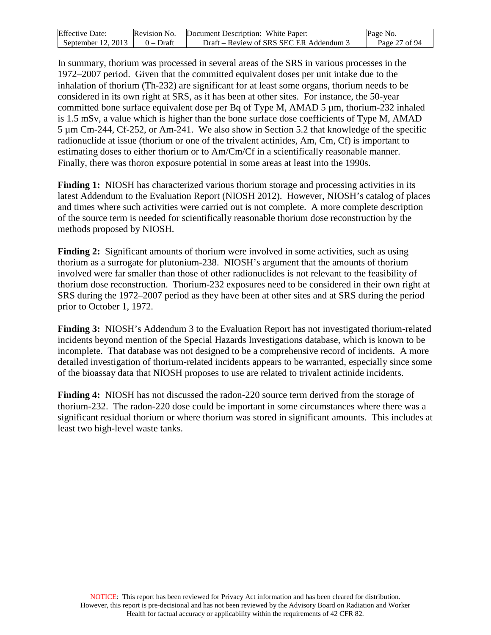| <b>Effective Date:</b> | Revision No. | Document Description: White Paper:      | Page No.      |
|------------------------|--------------|-----------------------------------------|---------------|
| September $12, 2013$   | $0$ – Draft  | Draft – Review of SRS SEC ER Addendum 3 | Page 27 of 94 |

In summary, thorium was processed in several areas of the SRS in various processes in the 1972–2007 period. Given that the committed equivalent doses per unit intake due to the inhalation of thorium (Th-232) are significant for at least some organs, thorium needs to be considered in its own right at SRS, as it has been at other sites. For instance, the 50-year committed bone surface equivalent dose per Bq of Type M, AMAD 5 µm, thorium-232 inhaled is 1.5 mSv, a value which is higher than the bone surface dose coefficients of Type M, AMAD 5 µm Cm-244, Cf-252, or Am-241. We also show in Section 5.2 that knowledge of the specific radionuclide at issue (thorium or one of the trivalent actinides, Am, Cm, Cf) is important to estimating doses to either thorium or to Am/Cm/Cf in a scientifically reasonable manner. Finally, there was thoron exposure potential in some areas at least into the 1990s.

**Finding 1:** NIOSH has characterized various thorium storage and processing activities in its latest Addendum to the Evaluation Report (NIOSH 2012). However, NIOSH's catalog of places and times where such activities were carried out is not complete. A more complete description of the source term is needed for scientifically reasonable thorium dose reconstruction by the methods proposed by NIOSH.

**Finding 2:** Significant amounts of thorium were involved in some activities, such as using thorium as a surrogate for plutonium-238. NIOSH's argument that the amounts of thorium involved were far smaller than those of other radionuclides is not relevant to the feasibility of thorium dose reconstruction. Thorium-232 exposures need to be considered in their own right at SRS during the 1972–2007 period as they have been at other sites and at SRS during the period prior to October 1, 1972.

**Finding 3:** NIOSH's Addendum 3 to the Evaluation Report has not investigated thorium-related incidents beyond mention of the Special Hazards Investigations database, which is known to be incomplete. That database was not designed to be a comprehensive record of incidents. A more detailed investigation of thorium-related incidents appears to be warranted, especially since some of the bioassay data that NIOSH proposes to use are related to trivalent actinide incidents.

**Finding 4:** NIOSH has not discussed the radon-220 source term derived from the storage of thorium-232. The radon-220 dose could be important in some circumstances where there was a significant residual thorium or where thorium was stored in significant amounts. This includes at least two high-level waste tanks.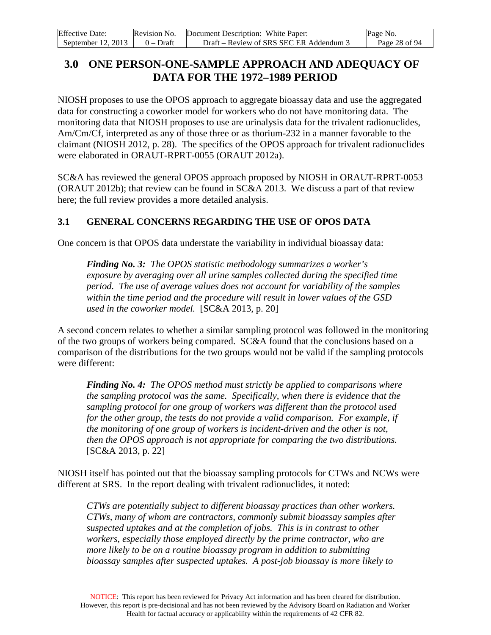| <b>Effective Date:</b> | Revision No. | Document Description: White Paper:      | Page No.      |
|------------------------|--------------|-----------------------------------------|---------------|
| September $12, 2013$   | $0 - Dr$ aft | Draft – Review of SRS SEC ER Addendum 3 | Page 28 of 94 |

### <span id="page-27-0"></span>**3.0 ONE PERSON-ONE-SAMPLE APPROACH AND ADEQUACY OF DATA FOR THE 1972–1989 PERIOD**

NIOSH proposes to use the OPOS approach to aggregate bioassay data and use the aggregated data for constructing a coworker model for workers who do not have monitoring data. The monitoring data that NIOSH proposes to use are urinalysis data for the trivalent radionuclides, Am/Cm/Cf, interpreted as any of those three or as thorium-232 in a manner favorable to the claimant (NIOSH 2012, p. 28). The specifics of the OPOS approach for trivalent radionuclides were elaborated in ORAUT-RPRT-0055 (ORAUT 2012a).

SC&A has reviewed the general OPOS approach proposed by NIOSH in ORAUT-RPRT-0053 (ORAUT 2012b); that review can be found in SC&A 2013. We discuss a part of that review here; the full review provides a more detailed analysis.

### <span id="page-27-1"></span>**3.1 GENERAL CONCERNS REGARDING THE USE OF OPOS DATA**

One concern is that OPOS data understate the variability in individual bioassay data:

*Finding No. 3:**The OPOS statistic methodology summarizes a worker's exposure by averaging over all urine samples collected during the specified time period. The use of average values does not account for variability of the samples within the time period and the procedure will result in lower values of the GSD used in the coworker model.* [SC&A 2013, p. 20]

A second concern relates to whether a similar sampling protocol was followed in the monitoring of the two groups of workers being compared. SC&A found that the conclusions based on a comparison of the distributions for the two groups would not be valid if the sampling protocols were different:

*Finding No. 4: The OPOS method must strictly be applied to comparisons where the sampling protocol was the same. Specifically, when there is evidence that the sampling protocol for one group of workers was different than the protocol used for the other group, the tests do not provide a valid comparison. For example, if the monitoring of one group of workers is incident-driven and the other is not, then the OPOS approach is not appropriate for comparing the two distributions.* [SC&A 2013, p. 22]

NIOSH itself has pointed out that the bioassay sampling protocols for CTWs and NCWs were different at SRS. In the report dealing with trivalent radionuclides, it noted:

*CTWs are potentially subject to different bioassay practices than other workers. CTWs, many of whom are contractors, commonly submit bioassay samples after suspected uptakes and at the completion of jobs. This is in contrast to other workers, especially those employed directly by the prime contractor, who are more likely to be on a routine bioassay program in addition to submitting bioassay samples after suspected uptakes. A post-job bioassay is more likely to*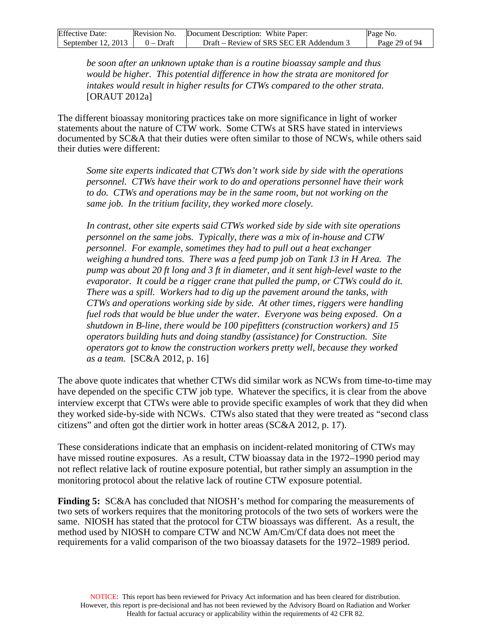| <b>Effective Date:</b> | Revision No. | Document Description: White Paper:      | Page No.      |
|------------------------|--------------|-----------------------------------------|---------------|
| September $12, 2013$   | $0 - Dr$ aft | Draft – Review of SRS SEC ER Addendum 3 | Page 29 of 94 |

*be soon after an unknown uptake than is a routine bioassay sample and thus would be higher. This potential difference in how the strata are monitored for intakes would result in higher results for CTWs compared to the other strata.*  [ORAUT 2012a]

The different bioassay monitoring practices take on more significance in light of worker statements about the nature of CTW work. Some CTWs at SRS have stated in interviews documented by SC&A that their duties were often similar to those of NCWs, while others said their duties were different:

*Some site experts indicated that CTWs don't work side by side with the operations personnel. CTWs have their work to do and operations personnel have their work to do. CTWs and operations may be in the same room, but not working on the same job. In the tritium facility, they worked more closely.*

*In contrast, other site experts said CTWs worked side by side with site operations personnel on the same jobs. Typically, there was a mix of in-house and CTW personnel. For example, sometimes they had to pull out a heat exchanger*  weighing a hundred tons. There was a feed pump job on Tank 13 in H Area. The *pump was about 20 ft long and 3 ft in diameter, and it sent high-level waste to the evaporator. It could be a rigger crane that pulled the pump, or CTWs could do it. There was a spill. Workers had to dig up the pavement around the tanks, with CTWs and operations working side by side. At other times, riggers were handling fuel rods that would be blue under the water. Everyone was being exposed. On a shutdown in B-line, there would be 100 pipefitters (construction workers) and 15 operators building huts and doing standby (assistance) for Construction. Site operators got to know the construction workers pretty well, because they worked as a team.* [SC&A 2012, p. 16]

The above quote indicates that whether CTWs did similar work as NCWs from time-to-time may have depended on the specific CTW job type. Whatever the specifics, it is clear from the above interview excerpt that CTWs were able to provide specific examples of work that they did when they worked side-by-side with NCWs. CTWs also stated that they were treated as "second class citizens" and often got the dirtier work in hotter areas (SC&A 2012, p. 17).

These considerations indicate that an emphasis on incident-related monitoring of CTWs may have missed routine exposures. As a result, CTW bioassay data in the 1972–1990 period may not reflect relative lack of routine exposure potential, but rather simply an assumption in the monitoring protocol about the relative lack of routine CTW exposure potential.

**Finding 5:** SC&A has concluded that NIOSH's method for comparing the measurements of two sets of workers requires that the monitoring protocols of the two sets of workers were the same. NIOSH has stated that the protocol for CTW bioassays was different. As a result, the method used by NIOSH to compare CTW and NCW Am/Cm/Cf data does not meet the requirements for a valid comparison of the two bioassay datasets for the 1972–1989 period.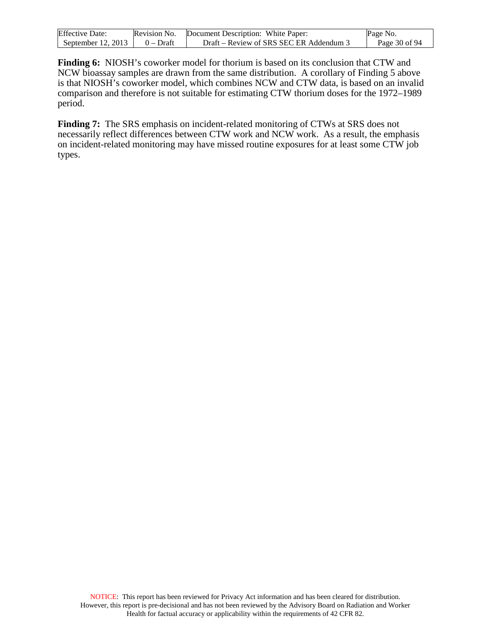| <b>Effective Date:</b> | Revision No. | Document Description: White Paper:      | Page No.      |
|------------------------|--------------|-----------------------------------------|---------------|
| September $12, 2013$   | $0$ – Draft  | Draft – Review of SRS SEC ER Addendum 3 | Page 30 of 94 |

**Finding 6:** NIOSH's coworker model for thorium is based on its conclusion that CTW and NCW bioassay samples are drawn from the same distribution. A corollary of Finding 5 above is that NIOSH's coworker model, which combines NCW and CTW data, is based on an invalid comparison and therefore is not suitable for estimating CTW thorium doses for the 1972–1989 period.

**Finding 7:** The SRS emphasis on incident-related monitoring of CTWs at SRS does not necessarily reflect differences between CTW work and NCW work. As a result, the emphasis on incident-related monitoring may have missed routine exposures for at least some CTW job types.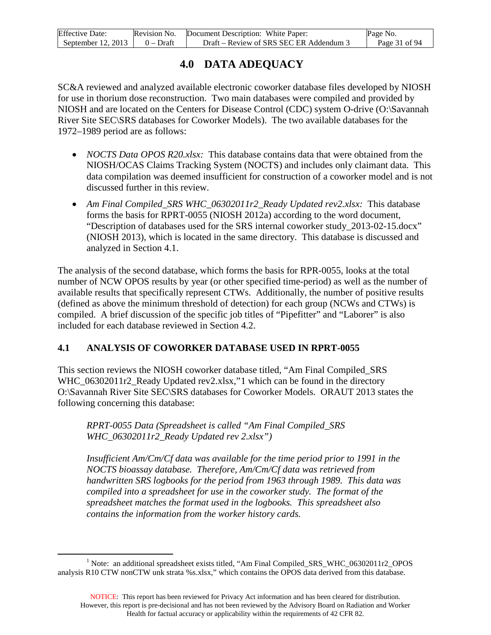| <b>Effective Date:</b> | Revision No. | Document Description: White Paper:      | Page No.      |
|------------------------|--------------|-----------------------------------------|---------------|
| September 12, 2013     | $0 - Dr$ aft | Draft – Review of SRS SEC ER Addendum 3 | Page 31 of 94 |

## **4.0 DATA ADEQUACY**

<span id="page-30-0"></span>SC&A reviewed and analyzed available electronic coworker database files developed by NIOSH for use in thorium dose reconstruction. Two main databases were compiled and provided by NIOSH and are located on the Centers for Disease Control (CDC) system O-drive (O:\Savannah River Site SEC\SRS databases for Coworker Models). The two available databases for the 1972–1989 period are as follows:

- *NOCTS Data OPOS R20.xlsx:* This database contains data that were obtained from the NIOSH/OCAS Claims Tracking System (NOCTS) and includes only claimant data. This data compilation was deemed insufficient for construction of a coworker model and is not discussed further in this review.
- *Am Final Compiled\_SRS WHC\_06302011r2\_Ready Updated rev2.xlsx:* This database forms the basis for RPRT-0055 (NIOSH 2012a) according to the word document, "Description of databases used for the SRS internal coworker study\_2013-02-15.docx" (NIOSH 2013), which is located in the same directory. This database is discussed and analyzed in Section 4.1.

The analysis of the second database, which forms the basis for RPR-0055, looks at the total number of NCW OPOS results by year (or other specified time-period) as well as the number of available results that specifically represent CTWs. Additionally, the number of positive results (defined as above the minimum threshold of detection) for each group (NCWs and CTWs) is compiled. A brief discussion of the specific job titles of "Pipefitter" and "Laborer" is also included for each database reviewed in Section 4.2.

### <span id="page-30-1"></span>**4.1 ANALYSIS OF COWORKER DATABASE USED IN RPRT-0055**

This section reviews the NIOSH coworker database titled, "Am Final Compiled\_SRS WHC\_06302011r2\_Ready Updated rev2.xlsx,["1](#page-30-2) which can be found in the directory O:\Savannah River Site SEC\SRS databases for Coworker Models. ORAUT 2013 states the following concerning this database:

*RPRT-0055 Data (Spreadsheet is called "Am Final Compiled\_SRS WHC\_06302011r2\_Ready Updated rev 2.xlsx")*

*Insufficient Am/Cm/Cf data was available for the time period prior to 1991 in the NOCTS bioassay database. Therefore, Am/Cm/Cf data was retrieved from handwritten SRS logbooks for the period from 1963 through 1989. This data was compiled into a spreadsheet for use in the coworker study. The format of the spreadsheet matches the format used in the logbooks. This spreadsheet also contains the information from the worker history cards.*

<span id="page-30-2"></span> <sup>1</sup> Note: an additional spreadsheet exists titled, "Am Final Compiled\_SRS\_WHC\_06302011r2\_OPOS analysis R10 CTW nonCTW unk strata %s.xlsx," which contains the OPOS data derived from this database.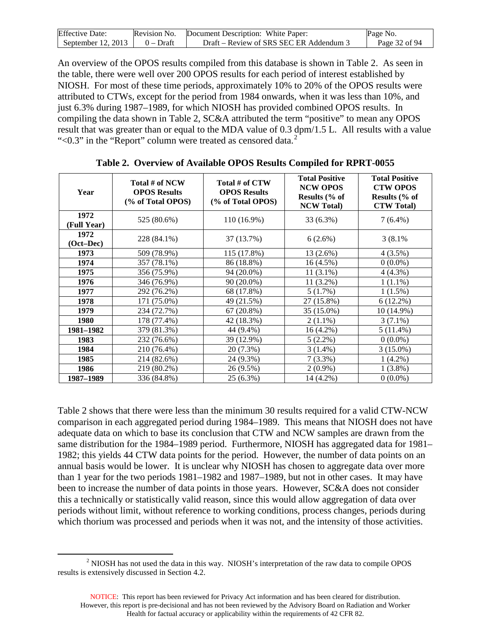| <b>Effective Date:</b>               | Revision No. Document Description: White Paper: | Page No.      |
|--------------------------------------|-------------------------------------------------|---------------|
| September 12, 2013 $\vert$ 0 – Draft | Draft – Review of SRS SEC ER Addendum 3         | Page 32 of 94 |

An overview of the OPOS results compiled from this database is shown in Table 2. As seen in the table, there were well over 200 OPOS results for each period of interest established by NIOSH. For most of these time periods, approximately 10% to 20% of the OPOS results were attributed to CTWs, except for the period from 1984 onwards, when it was less than 10%, and just 6.3% during 1987–1989, for which NIOSH has provided combined OPOS results. In compiling the data shown in Table 2, SC&A attributed the term "positive" to mean any OPOS result that was greater than or equal to the MDA value of 0.3 dpm/1.5 L. All results with a value " $< 0.3$ " in the "Report" column were treated as censored data.<sup>[2](#page-31-1)</sup>

<span id="page-31-0"></span>

| Year                | Total # of NCW<br><b>OPOS Results</b><br>(% of Total OPOS) | Total # of CTW<br><b>OPOS Results</b><br>(% of Total OPOS) | <b>Total Positive</b><br><b>NCW OPOS</b><br>Results (% of<br><b>NCW Total)</b> | <b>Total Positive</b><br><b>CTW OPOS</b><br>Results (% of<br><b>CTW Total)</b> |
|---------------------|------------------------------------------------------------|------------------------------------------------------------|--------------------------------------------------------------------------------|--------------------------------------------------------------------------------|
| 1972<br>(Full Year) | 525 (80.6%)                                                | 110 (16.9%)                                                | 33 (6.3%)                                                                      | $7(6.4\%)$                                                                     |
| 1972<br>$(Oct-Dec)$ | 228 (84.1%)                                                | 37 (13.7%)                                                 | 6(2.6%)                                                                        | 3 (8.1%)                                                                       |
| 1973                | 509 (78.9%)                                                | 115 (17.8%)                                                | 13 (2.6%)                                                                      | 4(3.5%)                                                                        |
| 1974                | 357 (78.1%)                                                | 86 (18.8%)                                                 | 16(4.5%)                                                                       | $0(0.0\%)$                                                                     |
| 1975                | 356 (75.9%)                                                | 94 (20.0%)                                                 | $11(3.1\%)$                                                                    | $4(4.3\%)$                                                                     |
| 1976                | 346 (76.9%)                                                | 90 (20.0%)                                                 | $11(3.2\%)$                                                                    | $1(1.1\%)$                                                                     |
| 1977                | 292 (76.2%)                                                | 68 (17.8%)                                                 | 5(1.7%)                                                                        | $1(1.5\%)$                                                                     |
| 1978                | 171 (75.0%)                                                | 49 (21.5%)                                                 | 27 (15.8%)                                                                     | $6(12.2\%)$                                                                    |
| 1979                | 234 (72.7%)                                                | $67(20.8\%)$                                               | 35 (15.0%)                                                                     | 10 (14.9%)                                                                     |
| 1980                | 178 (77.4%)                                                | 42 (18.3%)                                                 | $2(1.1\%)$                                                                     | $3(7.1\%)$                                                                     |
| 1981-1982           | 379 (81.3%)                                                | 44 (9.4%)                                                  | 16 (4.2%)                                                                      | $5(11.4\%)$                                                                    |
| 1983                | 232 (76.6%)                                                | 39 (12.9%)                                                 | $5(2.2\%)$                                                                     | $0(0.0\%)$                                                                     |
| 1984                | 210 (76.4%)                                                | 20 (7.3%)                                                  | $3(1.4\%)$                                                                     | $3(15.0\%)$                                                                    |
| 1985                | 214 (82.6%)                                                | 24 (9.3%)                                                  | $7(3.3\%)$                                                                     | $1(4.2\%)$                                                                     |
| 1986                | 219 (80.2%)                                                | 26 (9.5%)                                                  | $2(0.9\%)$                                                                     | $1(3.8\%)$                                                                     |
| 1987-1989           | 336 (84.8%)                                                | 25 (6.3%)                                                  | 14 (4.2%)                                                                      | $0(0.0\%)$                                                                     |

**Table 2. Overview of Available OPOS Results Compiled for RPRT-0055**

Table 2 shows that there were less than the minimum 30 results required for a valid CTW-NCW comparison in each aggregated period during 1984–1989. This means that NIOSH does not have adequate data on which to base its conclusion that CTW and NCW samples are drawn from the same distribution for the 1984–1989 period. Furthermore, NIOSH has aggregated data for 1981– 1982; this yields 44 CTW data points for the period. However, the number of data points on an annual basis would be lower. It is unclear why NIOSH has chosen to aggregate data over more than 1 year for the two periods 1981–1982 and 1987–1989, but not in other cases. It may have been to increase the number of data points in those years. However, SC&A does not consider this a technically or statistically valid reason, since this would allow aggregation of data over periods without limit, without reference to working conditions, process changes, periods during which thorium was processed and periods when it was not, and the intensity of those activities.

<span id="page-31-1"></span><sup>&</sup>lt;sup>2</sup> NIOSH has not used the data in this way. NIOSH's interpretation of the raw data to compile OPOS results is extensively discussed in Section 4.2.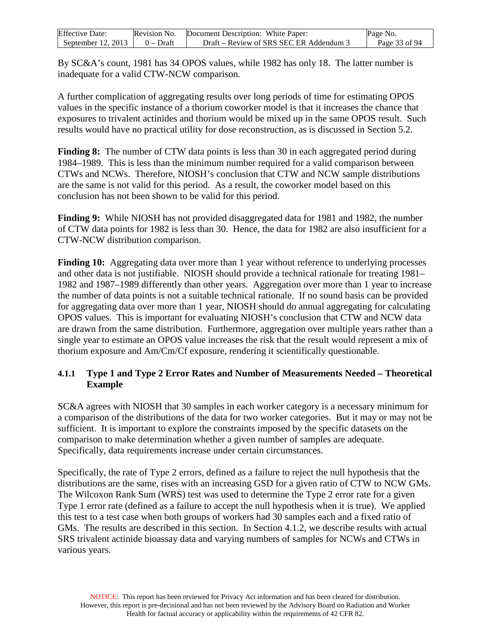| <b>Effective Date:</b> | Revision No. | Document Description: White Paper:      | Page No.      |
|------------------------|--------------|-----------------------------------------|---------------|
| September $12, 2013$   | $0 - Dr$ aft | Draft – Review of SRS SEC ER Addendum 3 | Page 33 of 94 |

By SC&A's count, 1981 has 34 OPOS values, while 1982 has only 18. The latter number is inadequate for a valid CTW-NCW comparison.

A further complication of aggregating results over long periods of time for estimating OPOS values in the specific instance of a thorium coworker model is that it increases the chance that exposures to trivalent actinides and thorium would be mixed up in the same OPOS result. Such results would have no practical utility for dose reconstruction, as is discussed in Section 5.2.

**Finding 8:** The number of CTW data points is less than 30 in each aggregated period during 1984–1989. This is less than the minimum number required for a valid comparison between CTWs and NCWs. Therefore, NIOSH's conclusion that CTW and NCW sample distributions are the same is not valid for this period. As a result, the coworker model based on this conclusion has not been shown to be valid for this period.

**Finding 9:** While NIOSH has not provided disaggregated data for 1981 and 1982, the number of CTW data points for 1982 is less than 30. Hence, the data for 1982 are also insufficient for a CTW-NCW distribution comparison.

**Finding 10:** Aggregating data over more than 1 year without reference to underlying processes and other data is not justifiable. NIOSH should provide a technical rationale for treating 1981– 1982 and 1987–1989 differently than other years. Aggregation over more than 1 year to increase the number of data points is not a suitable technical rationale. If no sound basis can be provided for aggregating data over more than 1 year, NIOSH should do annual aggregating for calculating OPOS values. This is important for evaluating NIOSH's conclusion that CTW and NCW data are drawn from the same distribution. Furthermore, aggregation over multiple years rather than a single year to estimate an OPOS value increases the risk that the result would represent a mix of thorium exposure and Am/Cm/Cf exposure, rendering it scientifically questionable.

### <span id="page-32-0"></span>**4.1.1 Type 1 and Type 2 Error Rates and Number of Measurements Needed – Theoretical Example**

SC&A agrees with NIOSH that 30 samples in each worker category is a necessary minimum for a comparison of the distributions of the data for two worker categories. But it may or may not be sufficient. It is important to explore the constraints imposed by the specific datasets on the comparison to make determination whether a given number of samples are adequate. Specifically, data requirements increase under certain circumstances.

Specifically, the rate of Type 2 errors, defined as a failure to reject the null hypothesis that the distributions are the same, rises with an increasing GSD for a given ratio of CTW to NCW GMs. The Wilcoxon Rank Sum (WRS) test was used to determine the Type 2 error rate for a given Type 1 error rate (defined as a failure to accept the null hypothesis when it is true). We applied this test to a test case when both groups of workers had 30 samples each and a fixed ratio of GMs. The results are described in this section. In Section 4.1.2, we describe results with actual SRS trivalent actinide bioassay data and varying numbers of samples for NCWs and CTWs in various years.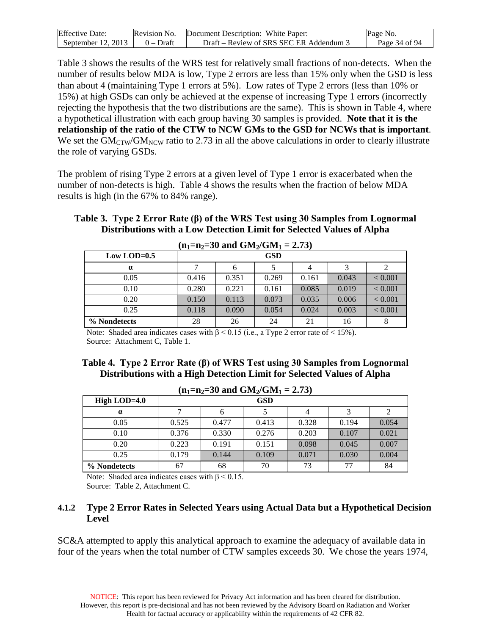| <b>Effective Date:</b> |              | <b>Revision No.</b> Document Description: White Paper: | Page No.      |
|------------------------|--------------|--------------------------------------------------------|---------------|
| September 12, 2013     | $0 - Dr$ aft | Draft – Review of SRS SEC ER Addendum 3                | Page 34 of 94 |

Table 3 shows the results of the WRS test for relatively small fractions of non-detects. When the number of results below MDA is low, Type 2 errors are less than 15% only when the GSD is less than about 4 (maintaining Type 1 errors at 5%). Low rates of Type 2 errors (less than 10% or 15%) at high GSDs can only be achieved at the expense of increasing Type 1 errors (incorrectly rejecting the hypothesis that the two distributions are the same). This is shown in Table 4, where a hypothetical illustration with each group having 30 samples is provided. **Note that it is the relationship of the ratio of the CTW to NCW GMs to the GSD for NCWs that is important**. We set the  $GM_{CTW}/GM_{NCW}$  ratio to 2.73 in all the above calculations in order to clearly illustrate the role of varying GSDs.

The problem of rising Type 2 errors at a given level of Type 1 error is exacerbated when the number of non-detects is high. Table 4 shows the results when the fraction of below MDA results is high (in the 67% to 84% range).

#### <span id="page-33-1"></span>**Table 3. Type 2 Error Rate (β) of the WRS Test using 30 Samples from Lognormal Distributions with a Low Detection Limit for Selected Values of Alpha**

| $(II_1=II_2=30$ and $UIM_2/UM_1=2.73)$ |       |            |       |       |       |                |
|----------------------------------------|-------|------------|-------|-------|-------|----------------|
| Low LOD= $0.5$                         |       | <b>GSD</b> |       |       |       |                |
| $\alpha$                               |       | 6          |       |       |       |                |
| 0.05                                   | 0.416 | 0.351      | 0.269 | 0.161 | 0.043 | ${}_{< 0.001}$ |
| 0.10                                   | 0.280 | 0.221      | 0.161 | 0.085 | 0.019 | ${}_{< 0.001}$ |
| 0.20                                   | 0.150 | 0.113      | 0.073 | 0.035 | 0.006 | ${}_{< 0.001}$ |
| 0.25                                   | 0.118 | 0.090      | 0.054 | 0.024 | 0.003 | ${}_{< 0.001}$ |
| % Nondetects                           | 28    | 26         | 24    | 21    | 16    | 8              |

 $(n_{1}=n_{2}=30 \text{ and CM.} / \text{CM.} = 2.73)$ 

Note: Shaded area indicates cases with  $\beta$  < 0.15 (i.e., a Type 2 error rate of < 15%). Source: Attachment C, Table 1.

#### <span id="page-33-2"></span>**Table 4. Type 2 Error Rate (β) of WRS Test using 30 Samples from Lognormal Distributions with a High Detection Limit for Selected Values of Alpha**

| $(n_1=n_2=30 \text{ and } GM_2/GM_1 = 2.73)$ |       |       |       |       |       |       |
|----------------------------------------------|-------|-------|-------|-------|-------|-------|
| High LOD= $4.0$                              |       |       | GSD   |       |       |       |
| $\alpha$                                     |       | 6     |       | 4     |       |       |
| 0.05                                         | 0.525 | 0.477 | 0.413 | 0.328 | 0.194 | 0.054 |
| 0.10                                         | 0.376 | 0.330 | 0.276 | 0.203 | 0.107 | 0.021 |
| 0.20                                         | 0.223 | 0.191 | 0.151 | 0.098 | 0.045 | 0.007 |
| 0.25                                         | 0.179 | 0.144 | 0.109 | 0.071 | 0.030 | 0.004 |
| % Nondetects                                 | 67    | 68    | 70    | 73    | 77    | 84    |

Note: Shaded area indicates cases with  $\beta$  < 0.15. Source: Table 2, Attachment C.

## <span id="page-33-0"></span>**4.1.2 Type 2 Error Rates in Selected Years using Actual Data but a Hypothetical Decision Level**

SC&A attempted to apply this analytical approach to examine the adequacy of available data in four of the years when the total number of CTW samples exceeds 30. We chose the years 1974,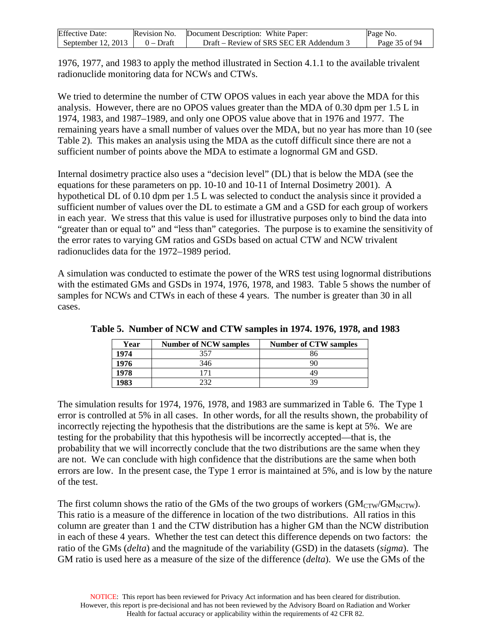| <b>Effective Date:</b> | Revision No. | Document Description: White Paper:     | Page No.      |
|------------------------|--------------|----------------------------------------|---------------|
| September 12, 2013     | 0 – Draft    | Draft – Review of SRS SEC ER Addendum. | Page 35 of 94 |

1976, 1977, and 1983 to apply the method illustrated in Section 4.1.1 to the available trivalent radionuclide monitoring data for NCWs and CTWs.

We tried to determine the number of CTW OPOS values in each year above the MDA for this analysis. However, there are no OPOS values greater than the MDA of 0.30 dpm per 1.5 L in 1974, 1983, and 1987–1989, and only one OPOS value above that in 1976 and 1977. The remaining years have a small number of values over the MDA, but no year has more than 10 (see Table 2). This makes an analysis using the MDA as the cutoff difficult since there are not a sufficient number of points above the MDA to estimate a lognormal GM and GSD.

Internal dosimetry practice also uses a "decision level" (DL) that is below the MDA (see the equations for these parameters on pp. 10-10 and 10-11 of Internal Dosimetry 2001). A hypothetical DL of 0.10 dpm per 1.5 L was selected to conduct the analysis since it provided a sufficient number of values over the DL to estimate a GM and a GSD for each group of workers in each year. We stress that this value is used for illustrative purposes only to bind the data into "greater than or equal to" and "less than" categories. The purpose is to examine the sensitivity of the error rates to varying GM ratios and GSDs based on actual CTW and NCW trivalent radionuclides data for the 1972–1989 period.

A simulation was conducted to estimate the power of the WRS test using lognormal distributions with the estimated GMs and GSDs in 1974, 1976, 1978, and 1983. Table 5 shows the number of samples for NCWs and CTWs in each of these 4 years. The number is greater than 30 in all cases.

| Year | <b>Number of NCW samples</b> | <b>Number of CTW samples</b> |
|------|------------------------------|------------------------------|
| 1974 | 357                          | 86                           |
| 1976 | 346                          | 90                           |
| 1978 |                              | 49                           |
| 1983 | າາ                           | 39                           |

<span id="page-34-0"></span>**Table 5. Number of NCW and CTW samples in 1974. 1976, 1978, and 1983**

The simulation results for 1974, 1976, 1978, and 1983 are summarized in Table 6. The Type 1 error is controlled at 5% in all cases. In other words, for all the results shown, the probability of incorrectly rejecting the hypothesis that the distributions are the same is kept at 5%. We are testing for the probability that this hypothesis will be incorrectly accepted—that is, the probability that we will incorrectly conclude that the two distributions are the same when they are not. We can conclude with high confidence that the distributions are the same when both errors are low. In the present case, the Type 1 error is maintained at 5%, and is low by the nature of the test.

The first column shows the ratio of the GMs of the two groups of workers  $(GM_{CTW}/GM_{NCTW})$ . This ratio is a measure of the difference in location of the two distributions. All ratios in this column are greater than 1 and the CTW distribution has a higher GM than the NCW distribution in each of these 4 years. Whether the test can detect this difference depends on two factors: the ratio of the GMs (*delta*) and the magnitude of the variability (GSD) in the datasets (*sigma*). The GM ratio is used here as a measure of the size of the difference (*delta*). We use the GMs of the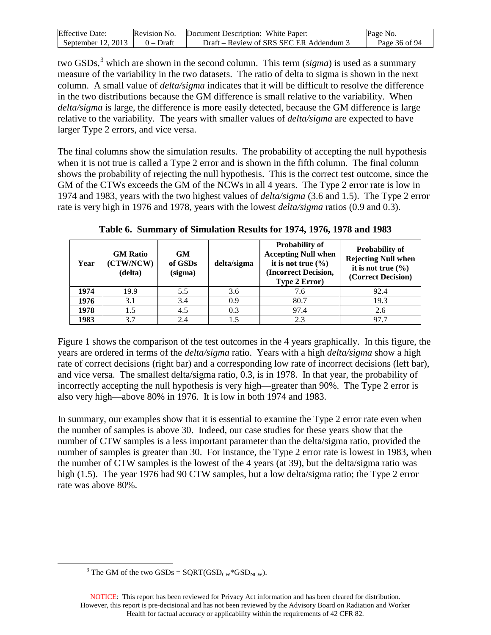| <b>Effective Date:</b> | Revision No. | Document Description: White Paper:    | Page No.      |
|------------------------|--------------|---------------------------------------|---------------|
| September 12, 2013     | 0 – Draft    | Draft – Review of SRS SEC ER Addendum | Page 36 of 94 |

two GSDs,<sup>[3](#page-35-1)</sup> which are shown in the second column. This term (*sigma*) is used as a summary measure of the variability in the two datasets. The ratio of delta to sigma is shown in the next column. A small value of *delta/sigma* indicates that it will be difficult to resolve the difference in the two distributions because the GM difference is small relative to the variability. When *delta/sigma* is large, the difference is more easily detected, because the GM difference is large relative to the variability. The years with smaller values of *delta/sigma* are expected to have larger Type 2 errors, and vice versa.

The final columns show the simulation results. The probability of accepting the null hypothesis when it is not true is called a Type 2 error and is shown in the fifth column. The final column shows the probability of rejecting the null hypothesis. This is the correct test outcome, since the GM of the CTWs exceeds the GM of the NCWs in all 4 years. The Type 2 error rate is low in 1974 and 1983, years with the two highest values of *delta/sigma* (3.6 and 1.5). The Type 2 error rate is very high in 1976 and 1978, years with the lowest *delta/sigma* ratios (0.9 and 0.3).

<span id="page-35-0"></span>

| Year | <b>GM Ratio</b><br>(CTW/NCW)<br>(delta) | GM<br>of GSDs<br>(sigma) | delta/sigma | <b>Probability of</b><br><b>Accepting Null when</b><br>it is not true $(\% )$<br>(Incorrect Decision,<br><b>Type 2 Error</b> ) | <b>Probability of</b><br><b>Rejecting Null when</b><br>it is not true $(\% )$<br>(Correct Decision) |
|------|-----------------------------------------|--------------------------|-------------|--------------------------------------------------------------------------------------------------------------------------------|-----------------------------------------------------------------------------------------------------|
| 1974 | 19.9                                    | 5.5                      | 3.6         | 7.6                                                                                                                            | 92.4                                                                                                |
| 1976 | 3.1                                     | 3.4                      | 0.9         | 80.7                                                                                                                           | 19.3                                                                                                |
| 1978 | 1.5                                     | 4.5                      | 0.3         | 97.4                                                                                                                           | 2.6                                                                                                 |
| 1983 | 3.7                                     | 2.4                      |             | 2.3                                                                                                                            | 97.7                                                                                                |

**Table 6. Summary of Simulation Results for 1974, 1976, 1978 and 1983**

Figure 1 shows the comparison of the test outcomes in the 4 years graphically. In this figure, the years are ordered in terms of the *delta/sigma* ratio. Years with a high *delta/sigma* show a high rate of correct decisions (right bar) and a corresponding low rate of incorrect decisions (left bar), and vice versa. The smallest delta/sigma ratio, 0.3, is in 1978. In that year, the probability of incorrectly accepting the null hypothesis is very high—greater than 90%. The Type 2 error is also very high—above 80% in 1976. It is low in both 1974 and 1983.

In summary, our examples show that it is essential to examine the Type 2 error rate even when the number of samples is above 30. Indeed, our case studies for these years show that the number of CTW samples is a less important parameter than the delta/sigma ratio, provided the number of samples is greater than 30. For instance, the Type 2 error rate is lowest in 1983, when the number of CTW samples is the lowest of the 4 years (at 39), but the delta/sigma ratio was high (1.5). The year 1976 had 90 CTW samples, but a low delta/sigma ratio; the Type 2 error rate was above 80%.

<sup>&</sup>lt;sup>3</sup> The GM of the two GSDs =  $SQRT(GSD_{CW} * GSD_{NCW})$ .

<span id="page-35-1"></span>NOTICE: This report has been reviewed for Privacy Act information and has been cleared for distribution. However, this report is pre-decisional and has not been reviewed by the Advisory Board on Radiation and Worker Health for factual accuracy or applicability within the requirements of 42 CFR 82.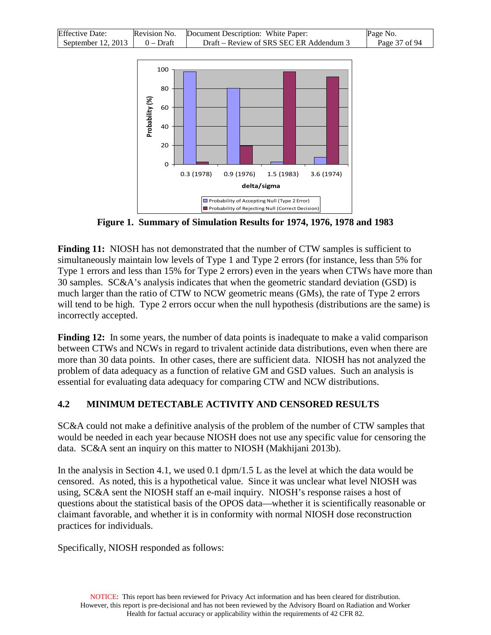| <b>Effective Date:</b> | Revision No. | Document Description: White Paper:      | Page No.      |
|------------------------|--------------|-----------------------------------------|---------------|
| September 12, 2013     | $0 - Draft$  | Draft – Review of SRS SEC ER Addendum 3 | Page 37 of 94 |



**Figure 1. Summary of Simulation Results for 1974, 1976, 1978 and 1983**

Finding 11: NIOSH has not demonstrated that the number of CTW samples is sufficient to simultaneously maintain low levels of Type 1 and Type 2 errors (for instance, less than 5% for Type 1 errors and less than 15% for Type 2 errors) even in the years when CTWs have more than 30 samples. SC&A's analysis indicates that when the geometric standard deviation (GSD) is much larger than the ratio of CTW to NCW geometric means (GMs), the rate of Type 2 errors will tend to be high. Type 2 errors occur when the null hypothesis (distributions are the same) is incorrectly accepted.

**Finding 12:** In some years, the number of data points is inadequate to make a valid comparison between CTWs and NCWs in regard to trivalent actinide data distributions, even when there are more than 30 data points. In other cases, there are sufficient data. NIOSH has not analyzed the problem of data adequacy as a function of relative GM and GSD values. Such an analysis is essential for evaluating data adequacy for comparing CTW and NCW distributions.

#### **4.2 MINIMUM DETECTABLE ACTIVITY AND CENSORED RESULTS**

SC&A could not make a definitive analysis of the problem of the number of CTW samples that would be needed in each year because NIOSH does not use any specific value for censoring the data. SC&A sent an inquiry on this matter to NIOSH (Makhijani 2013b).

In the analysis in Section 4.1, we used 0.1 dpm/1.5 L as the level at which the data would be censored. As noted, this is a hypothetical value. Since it was unclear what level NIOSH was using, SC&A sent the NIOSH staff an e-mail inquiry. NIOSH's response raises a host of questions about the statistical basis of the OPOS data—whether it is scientifically reasonable or claimant favorable, and whether it is in conformity with normal NIOSH dose reconstruction practices for individuals.

Specifically, NIOSH responded as follows: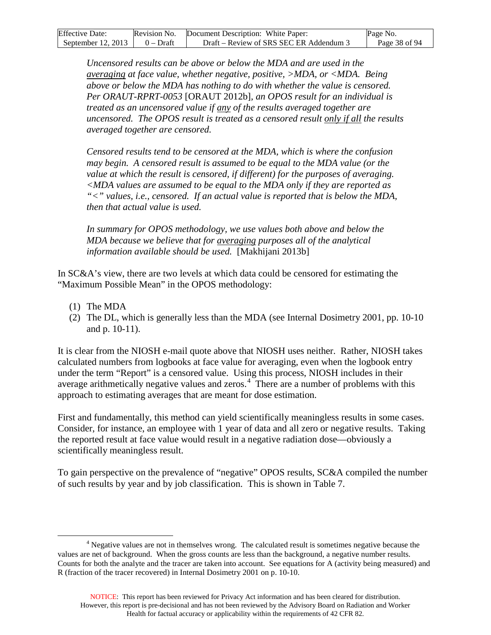| <b>Effective Date:</b> |             | Revision No. Document Description: White Paper: | Page No.      |
|------------------------|-------------|-------------------------------------------------|---------------|
| September 12, 2013     | $0 - Draff$ | Draft – Review of SRS SEC ER Addendum 3         | Page 38 of 94 |

*Uncensored results can be above or below the MDA and are used in the averaging at face value, whether negative, positive, >MDA, or <MDA. Being above or below the MDA has nothing to do with whether the value is censored. Per ORAUT-RPRT-0053* [ORAUT 2012b]*, an OPOS result for an individual is treated as an uncensored value if any of the results averaged together are uncensored. The OPOS result is treated as a censored result only if all the results averaged together are censored.*

*Censored results tend to be censored at the MDA, which is where the confusion may begin. A censored result is assumed to be equal to the MDA value (or the value at which the result is censored, if different) for the purposes of averaging. <MDA values are assumed to be equal to the MDA only if they are reported as "<" values, i.e., censored. If an actual value is reported that is below the MDA, then that actual value is used.*

*In summary for OPOS methodology, we use values both above and below the MDA because we believe that for averaging purposes all of the analytical information available should be used.* [Makhijani 2013b]

In SC&A's view, there are two levels at which data could be censored for estimating the "Maximum Possible Mean" in the OPOS methodology:

- (1) The MDA
- (2) The DL, which is generally less than the MDA (see Internal Dosimetry 2001, pp. 10-10 and p. 10-11).

It is clear from the NIOSH e-mail quote above that NIOSH uses neither. Rather, NIOSH takes calculated numbers from logbooks at face value for averaging, even when the logbook entry under the term "Report" is a censored value. Using this process, NIOSH includes in their average arithmetically negative values and zeros.<sup>[4](#page-37-0)</sup> There are a number of problems with this approach to estimating averages that are meant for dose estimation.

First and fundamentally, this method can yield scientifically meaningless results in some cases. Consider, for instance, an employee with 1 year of data and all zero or negative results. Taking the reported result at face value would result in a negative radiation dose—obviously a scientifically meaningless result.

To gain perspective on the prevalence of "negative" OPOS results, SC&A compiled the number of such results by year and by job classification. This is shown in Table 7.

<span id="page-37-0"></span><sup>&</sup>lt;sup>4</sup> Negative values are not in themselves wrong. The calculated result is sometimes negative because the values are net of background. When the gross counts are less than the background, a negative number results. Counts for both the analyte and the tracer are taken into account. See equations for A (activity being measured) and R (fraction of the tracer recovered) in Internal Dosimetry 2001 on p. 10-10.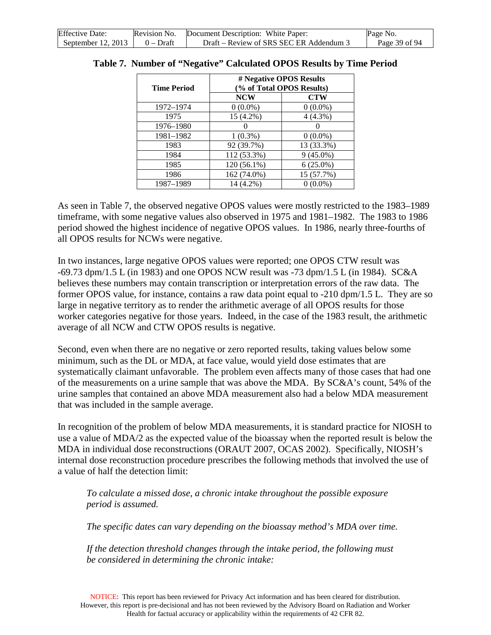| <b>Effective Date:</b> |             | Revision No. Document Description: White Paper: | Page No.      |
|------------------------|-------------|-------------------------------------------------|---------------|
| September $12, 2013$   | $0 - Draff$ | Draft – Review of SRS SEC ER Addendum 3         | Page 39 of 94 |

| <b>Time Period</b> | # Negative OPOS Results<br>(% of Total OPOS Results) |             |  |
|--------------------|------------------------------------------------------|-------------|--|
|                    | <b>NCW</b>                                           | <b>CTW</b>  |  |
| 1972-1974          | $0(0.0\%)$                                           | $0(0.0\%)$  |  |
| 1975               | 15 (4.2%)                                            | $4(4.3\%)$  |  |
| 1976-1980          |                                                      |             |  |
| 1981-1982          | $1(0.3\%)$                                           | $0(0.0\%)$  |  |
| 1983               | 92 (39.7%)                                           | 13 (33.3%)  |  |
| 1984               | 112 (53.3%)                                          | $9(45.0\%)$ |  |
| 1985               | 120 (56.1%)                                          | $6(25.0\%)$ |  |
| 1986               | 162 (74.0%)                                          | 15 (57.7%)  |  |
| 1987-1989          | 14 (4.2%)                                            | $0(0.0\%)$  |  |

#### **Table 7. Number of "Negative" Calculated OPOS Results by Time Period**

As seen in Table 7, the observed negative OPOS values were mostly restricted to the 1983–1989 timeframe, with some negative values also observed in 1975 and 1981–1982. The 1983 to 1986 period showed the highest incidence of negative OPOS values. In 1986, nearly three-fourths of all OPOS results for NCWs were negative.

In two instances, large negative OPOS values were reported; one OPOS CTW result was -69.73 dpm/1.5 L (in 1983) and one OPOS NCW result was -73 dpm/1.5 L (in 1984). SC&A believes these numbers may contain transcription or interpretation errors of the raw data. The former OPOS value, for instance, contains a raw data point equal to -210 dpm/1.5 L. They are so large in negative territory as to render the arithmetic average of all OPOS results for those worker categories negative for those years. Indeed, in the case of the 1983 result, the arithmetic average of all NCW and CTW OPOS results is negative.

Second, even when there are no negative or zero reported results, taking values below some minimum, such as the DL or MDA, at face value, would yield dose estimates that are systematically claimant unfavorable. The problem even affects many of those cases that had one of the measurements on a urine sample that was above the MDA. By SC&A's count, 54% of the urine samples that contained an above MDA measurement also had a below MDA measurement that was included in the sample average.

In recognition of the problem of below MDA measurements, it is standard practice for NIOSH to use a value of MDA/2 as the expected value of the bioassay when the reported result is below the MDA in individual dose reconstructions (ORAUT 2007, OCAS 2002). Specifically, NIOSH's internal dose reconstruction procedure prescribes the following methods that involved the use of a value of half the detection limit:

*To calculate a missed dose, a chronic intake throughout the possible exposure period is assumed.*

*The specific dates can vary depending on the bioassay method's MDA over time.*

*If the detection threshold changes through the intake period, the following must be considered in determining the chronic intake:*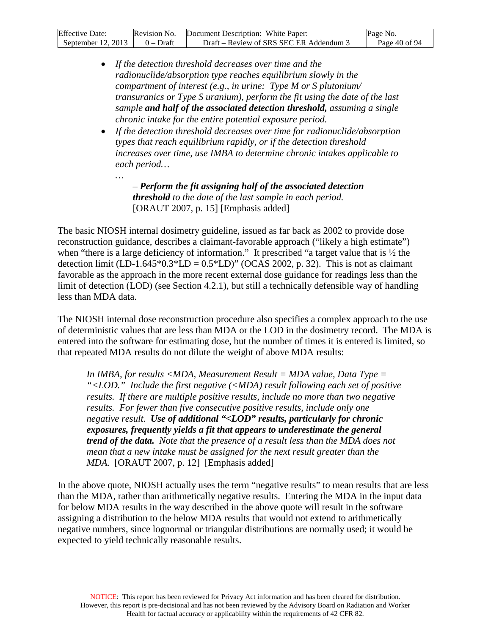| <b>Effective Date:</b> | Revision No. | Document Description: White Paper:      | Page No.      |
|------------------------|--------------|-----------------------------------------|---------------|
| September $12, 2013$   | $0 - Dr$ aft | Draft – Review of SRS SEC ER Addendum 3 | Page 40 of 94 |

- *If the detection threshold decreases over time and the radionuclide/absorption type reaches equilibrium slowly in the compartment of interest (e.g., in urine: Type M or S plutonium/ transuranics or Type S uranium), perform the fit using the date of the last sample and half of the associated detection threshold, assuming a single chronic intake for the entire potential exposure period.*
- *If the detection threshold decreases over time for radionuclide/absorption types that reach equilibrium rapidly, or if the detection threshold increases over time, use IMBA to determine chronic intakes applicable to each period…*

*– Perform the fit assigning half of the associated detection threshold to the date of the last sample in each period.* [ORAUT 2007, p. 15] [Emphasis added]

*…*

The basic NIOSH internal dosimetry guideline, issued as far back as 2002 to provide dose reconstruction guidance, describes a claimant-favorable approach ("likely a high estimate") when "there is a large deficiency of information." It prescribed "a target value that is  $\frac{1}{2}$  the detection limit (LD-1.645 $*0.3*$ LD = 0.5 $*$ LD)" (OCAS 2002, p. 32). This is not as claimant favorable as the approach in the more recent external dose guidance for readings less than the limit of detection (LOD) (see Section 4.2.1), but still a technically defensible way of handling less than MDA data.

The NIOSH internal dose reconstruction procedure also specifies a complex approach to the use of deterministic values that are less than MDA or the LOD in the dosimetry record. The MDA is entered into the software for estimating dose, but the number of times it is entered is limited, so that repeated MDA results do not dilute the weight of above MDA results:

*In IMBA, for results <MDA, Measurement Result = MDA value, Data Type = "<LOD." Include the first negative (<MDA) result following each set of positive*  results. If there are multiple positive results, include no more than two negative *results. For fewer than five consecutive positive results, include only one negative result. Use of additional "<LOD" results, particularly for chronic exposures, frequently yields a fit that appears to underestimate the general trend of the data. Note that the presence of a result less than the MDA does not mean that a new intake must be assigned for the next result greater than the MDA.* [ORAUT 2007, p. 12] [Emphasis added]

In the above quote, NIOSH actually uses the term "negative results" to mean results that are less than the MDA, rather than arithmetically negative results. Entering the MDA in the input data for below MDA results in the way described in the above quote will result in the software assigning a distribution to the below MDA results that would not extend to arithmetically negative numbers, since lognormal or triangular distributions are normally used; it would be expected to yield technically reasonable results.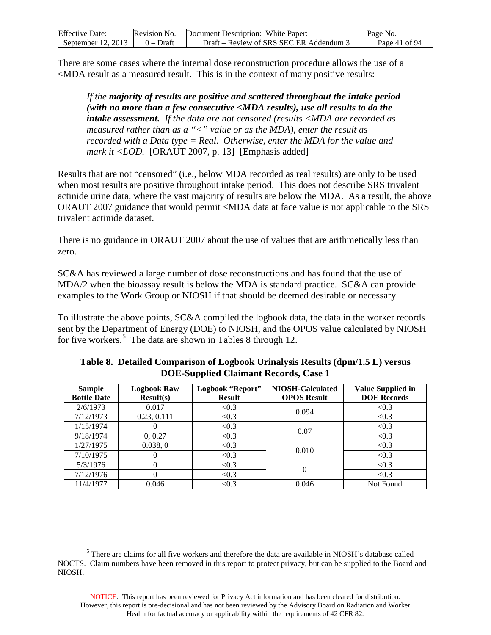| <b>Effective Date:</b> | Revision No. | Document Description: White Paper:    | Page No.      |
|------------------------|--------------|---------------------------------------|---------------|
| September $12, 2013$   | $0$ – Draft  | Draft – Review of SRS SEC ER Addendum | Page 41 of 94 |

There are some cases where the internal dose reconstruction procedure allows the use of a <MDA result as a measured result. This is in the context of many positive results:

*If the majority of results are positive and scattered throughout the intake period (with no more than a few consecutive <MDA results), use all results to do the intake assessment. If the data are not censored (results <MDA are recorded as measured rather than as a "<" value or as the MDA), enter the result as recorded with a Data type = Real. Otherwise, enter the MDA for the value and mark it <LOD.* [ORAUT 2007, p. 13] [Emphasis added]

Results that are not "censored" (i.e., below MDA recorded as real results) are only to be used when most results are positive throughout intake period. This does not describe SRS trivalent actinide urine data, where the vast majority of results are below the MDA. As a result, the above ORAUT 2007 guidance that would permit <MDA data at face value is not applicable to the SRS trivalent actinide dataset.

There is no guidance in ORAUT 2007 about the use of values that are arithmetically less than zero.

SC&A has reviewed a large number of dose reconstructions and has found that the use of MDA/2 when the bioassay result is below the MDA is standard practice. SC&A can provide examples to the Work Group or NIOSH if that should be deemed desirable or necessary.

To illustrate the above points, SC&A compiled the logbook data, the data in the worker records sent by the Department of Energy (DOE) to NIOSH, and the OPOS value calculated by NIOSH for five workers.<sup>[5](#page-40-0)</sup> The data are shown in Tables 8 through 12.

| <b>Sample</b>      | <b>Logbook Raw</b> | Logbook "Report" | <b>NIOSH-Calculated</b> | <b>Value Supplied in</b> |
|--------------------|--------------------|------------------|-------------------------|--------------------------|
| <b>Bottle Date</b> | Result(s)          | <b>Result</b>    | <b>OPOS Result</b>      | <b>DOE Records</b>       |
| 2/6/1973           | 0.017              | < 0.3            | 0.094                   | < 0.3                    |
| 7/12/1973          | 0.23, 0.111        | < 0.3            |                         | < 0.3                    |
| 1/15/1974          |                    | < 0.3            | 0.07                    | < 0.3                    |
| 9/18/1974          | 0, 0.27            | < 0.3            |                         | < 0.3                    |
| 1/27/1975          | 0.038, 0           | < 0.3            | 0.010                   | < 0.3                    |
| 7/10/1975          |                    | < 0.3            |                         | < 0.3                    |
| 5/3/1976           |                    | < 0.3            |                         | < 0.3                    |
| 7/12/1976          |                    | < 0.3            | $\Omega$                | < 0.3                    |
| 11/4/1977          | 0.046              | < 0.3            | 0.046                   | Not Found                |

**Table 8. Detailed Comparison of Logbook Urinalysis Results (dpm/1.5 L) versus DOE-Supplied Claimant Records, Case 1**

<span id="page-40-0"></span> <sup>5</sup> There are claims for all five workers and therefore the data are available in NIOSH's database called NOCTS. Claim numbers have been removed in this report to protect privacy, but can be supplied to the Board and NIOSH.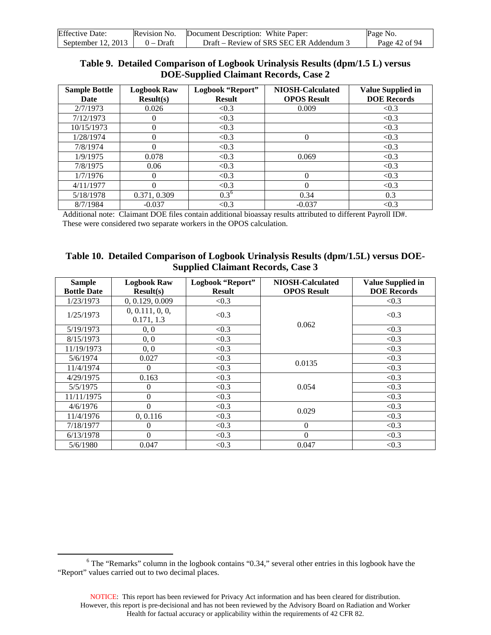| <b>Effective Date:</b> | Revision No. | Document Description: White Paper:      | Page No.      |
|------------------------|--------------|-----------------------------------------|---------------|
| September 12, 2013     | $0 - Dr$ aft | Draft – Review of SRS SEC ER Addendum 3 | Page 42 of 94 |

#### **Table 9. Detailed Comparison of Logbook Urinalysis Results (dpm/1.5 L) versus DOE-Supplied Claimant Records, Case 2**

| <b>Sample Bottle</b><br>Date | <b>Logbook Raw</b><br>Result(s) | Logbook "Report"<br><b>Result</b> | <b>NIOSH-Calculated</b><br><b>OPOS Result</b> | <b>Value Supplied in</b><br><b>DOE</b> Records |
|------------------------------|---------------------------------|-----------------------------------|-----------------------------------------------|------------------------------------------------|
| 2/7/1973                     | 0.026                           | < 0.3                             | 0.009                                         | < 0.3                                          |
| 7/12/1973                    |                                 | < 0.3                             |                                               | < 0.3                                          |
| 10/15/1973                   | 0                               | < 0.3                             |                                               | < 0.3                                          |
| 1/28/1974                    | 0                               | < 0.3                             | 0                                             | < 0.3                                          |
| 7/8/1974                     | $\Omega$                        | < 0.3                             |                                               | < 0.3                                          |
| 1/9/1975                     | 0.078                           | < 0.3                             | 0.069                                         | < 0.3                                          |
| 7/8/1975                     | 0.06                            | < 0.3                             |                                               | < 0.3                                          |
| 1/7/1976                     | 0                               | < 0.3                             | 0                                             | < 0.3                                          |
| 4/11/1977                    |                                 | < 0.3                             | 0                                             | < 0.3                                          |
| 5/18/1978                    | 0.371, 0.309                    | $0.3^6$                           | 0.34                                          | 0.3                                            |
| 8/7/1984                     | $-0.037$                        | < 0.3                             | $-0.037$                                      | < 0.3                                          |

Additional note: Claimant DOE files contain additional bioassay results attributed to different Payroll ID#. These were considered two separate workers in the OPOS calculation.

| Table 10. Detailed Comparison of Logbook Urinalysis Results (dpm/1.5L) versus DOE- |
|------------------------------------------------------------------------------------|
| <b>Supplied Claimant Records, Case 3</b>                                           |

| <b>Sample</b><br><b>Bottle Date</b> | <b>Logbook Raw</b><br>Result(s) | Logbook "Report"<br><b>Result</b> | <b>NIOSH-Calculated</b><br><b>OPOS Result</b> | <b>Value Supplied in</b><br><b>DOE Records</b> |
|-------------------------------------|---------------------------------|-----------------------------------|-----------------------------------------------|------------------------------------------------|
| 1/23/1973                           | 0, 0.129, 0.009                 | < 0.3                             |                                               | < 0.3                                          |
| 1/25/1973                           | 0, 0.111, 0, 0,<br>0.171, 1.3   | < 0.3                             |                                               | < 0.3                                          |
| 5/19/1973                           | 0, 0                            | < 0.3                             | 0.062                                         | < 0.3                                          |
| 8/15/1973                           | 0, 0                            | < 0.3                             |                                               | < 0.3                                          |
| 11/19/1973                          | 0, 0                            | < 0.3                             |                                               | < 0.3                                          |
| 5/6/1974                            | 0.027                           | < 0.3                             |                                               | < 0.3                                          |
| 11/4/1974                           | $\Omega$                        | < 0.3                             | 0.0135                                        | < 0.3                                          |
| 4/29/1975                           | 0.163                           | < 0.3                             |                                               | < 0.3                                          |
| 5/5/1975                            | $\theta$                        | < 0.3                             | 0.054                                         | < 0.3                                          |
| 11/11/1975                          | $\theta$                        | < 0.3                             |                                               | < 0.3                                          |
| 4/6/1976                            | $\theta$                        | < 0.3                             | 0.029                                         | < 0.3                                          |
| 11/4/1976                           | 0, 0.116                        | < 0.3                             |                                               | < 0.3                                          |
| 7/18/1977                           | $\Omega$                        | < 0.3                             | $\theta$                                      | < 0.3                                          |
| 6/13/1978                           | $\Omega$                        | < 0.3                             | $\Omega$                                      | < 0.3                                          |
| 5/6/1980                            | 0.047                           | < 0.3                             | 0.047                                         | < 0.3                                          |

<span id="page-41-0"></span> <sup>6</sup> The "Remarks" column in the logbook contains "0.34," several other entries in this logbook have the "Report" values carried out to two decimal places.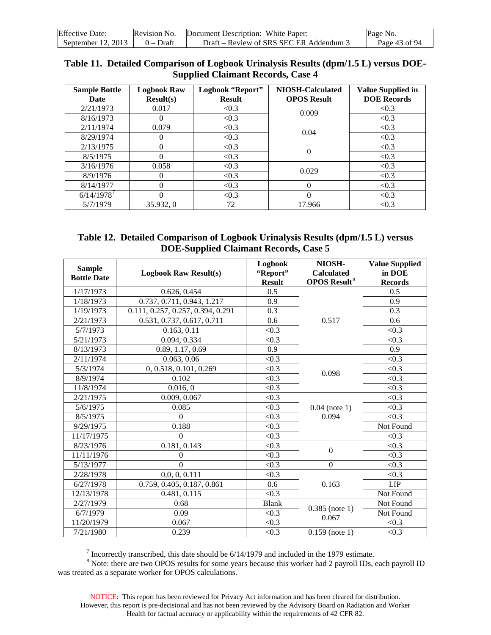| <b>Effective Date:</b> | Revision No. | Document Description: White Paper:      | Page No.      |
|------------------------|--------------|-----------------------------------------|---------------|
| September $12, 2013$   | $0 - Dr$ aft | Draft – Review of SRS SEC ER Addendum 3 | Page 43 of 94 |

| Table 11. Detailed Comparison of Logbook Urinalysis Results (dpm/1.5 L) versus DOE- |
|-------------------------------------------------------------------------------------|
| <b>Supplied Claimant Records, Case 4</b>                                            |

| <b>Sample Bottle</b><br>Date | <b>Logbook Raw</b><br>Result(s) | Logbook "Report"<br><b>Result</b> | <b>NIOSH-Calculated</b><br><b>OPOS Result</b> | <b>Value Supplied in</b><br><b>DOE</b> Records |
|------------------------------|---------------------------------|-----------------------------------|-----------------------------------------------|------------------------------------------------|
| 2/21/1973                    | 0.017                           | < 0.3                             | 0.009                                         | < 0.3                                          |
| 8/16/1973                    | 0                               | < 0.3                             |                                               | < 0.3                                          |
| 2/11/1974                    | 0.079                           | < 0.3                             | 0.04                                          | < 0.3                                          |
| 8/29/1974                    | $^{(1)}$                        | < 0.3                             |                                               | < 0.3                                          |
| 2/13/1975                    | 0                               | < 0.3                             | $\theta$                                      | < 0.3                                          |
| 8/5/1975                     | 0                               | < 0.3                             |                                               | < 0.3                                          |
| 3/16/1976                    | 0.058                           | < 0.3                             | 0.029                                         | < 0.3                                          |
| 8/9/1976                     | $\Omega$                        | < 0.3                             |                                               | < 0.3                                          |
| 8/14/1977                    | 0                               | < 0.3                             | $\theta$                                      | < 0.3                                          |
| 6/14/1978'                   | 0                               | < 0.3                             | $\Omega$                                      | < 0.3                                          |
| 5/7/1979                     | 35.932, 0                       | 72                                | 17.966                                        | < 0.3                                          |

| Table 12. Detailed Comparison of Logbook Urinalysis Results (dpm/1.5 L) versus |
|--------------------------------------------------------------------------------|
| <b>DOE-Supplied Claimant Records, Case 5</b>                                   |

| <b>Sample</b><br><b>Bottle Date</b> | <b>Logbook Raw Result(s)</b>            | Logbook<br>"Report"<br><b>Result</b> | NIOSH-<br><b>Calculated</b><br><b>OPOS Result<sup>8</sup></b> | <b>Value Supplied</b><br>in DOE<br><b>Records</b> |
|-------------------------------------|-----------------------------------------|--------------------------------------|---------------------------------------------------------------|---------------------------------------------------|
| 1/17/1973                           | 0.626, 0.454                            | 0.5                                  |                                                               | 0.5                                               |
| 1/18/1973                           | 0.737, 0.711, 0.943, 1.217              | 0.9                                  |                                                               | 0.9                                               |
| 1/19/1973                           | 0.111, 0.257, 0.257, 0.394, 0.291       | 0.3                                  |                                                               | 0.3                                               |
| 2/21/1973                           | 0.531, 0.737, 0.617, 0.711              | 0.6                                  | 0.517                                                         | 0.6                                               |
| 5/7/1973                            | 0.163, 0.11                             | < 0.3                                |                                                               | < 0.3                                             |
| 5/21/1973                           | 0.094, 0.334                            | < 0.3                                |                                                               | < 0.3                                             |
| 8/13/1973                           | 0.89, 1.17, 0.69                        | 0.9                                  |                                                               | 0.9                                               |
| 2/11/1974                           | 0.063, 0.06                             | < 0.3                                |                                                               | < 0.3                                             |
| 5/3/1974                            | 0, 0.518, 0.101, 0.269                  | < 0.3                                | 0.098                                                         | < 0.3                                             |
| 8/9/1974                            | 0.102                                   | < 0.3                                |                                                               | < 0.3                                             |
| 11/8/1974                           | 0.016, 0                                | $\overline{<}0.3$                    |                                                               | $\overline{<}0.3$                                 |
| 2/21/1975                           | 0.009, 0.067                            | < 0.3                                |                                                               | < 0.3                                             |
| 5/6/1975                            | 0.085                                   | $\overline{<}0.3$                    | $0.04$ (note 1)                                               | $\overline{<}0.3$                                 |
| 8/5/1975                            | $\theta$                                | < 0.3                                | 0.094                                                         | < 0.3                                             |
| 9/29/1975                           | 0.188                                   | < 0.3                                |                                                               | Not Found                                         |
| 11/17/1975                          | $\Omega$                                | < 0.3                                |                                                               | < 0.3                                             |
| 8/23/1976                           | 0.181, 0.143                            | < 0.3                                | $\overline{0}$                                                | < 0.3                                             |
| 11/11/1976                          | $\theta$                                | < 0.3                                |                                                               | < 0.3                                             |
| 5/13/1977                           | $\Omega$                                | < 0.3                                | $\boldsymbol{0}$                                              | < 0.3                                             |
| 2/28/1978                           | 0,0,0,0.111                             | $\overline{<}0.3$                    |                                                               | $\overline{<}0.3$                                 |
| 6/27/1978                           | $\overline{0.75}9, 0.405, 0.187, 0.861$ | 0.6                                  | 0.163                                                         | LIP                                               |
| 12/13/1978                          | 0.481, 0.115                            | $\overline{<}0.3$                    |                                                               | Not Found                                         |
| 2/27/1979                           | 0.68                                    | <b>Blank</b>                         | $0.385$ (note 1)                                              | Not Found                                         |
| 6/7/1979                            | 0.09                                    | < 0.3                                | 0.067                                                         | Not Found                                         |
| 11/20/1979                          | 0.067                                   | < 0.3                                |                                                               | < 0.3                                             |
| 7/21/1980                           | 0.239                                   | < 0.3                                | $0.159$ (note 1)                                              | < 0.3                                             |

<sup>&</sup>lt;sup>7</sup> Incorrectly transcribed, this date should be 6/14/1979 and included in the 1979 estimate.

<span id="page-42-1"></span><span id="page-42-0"></span> $8$  Note: there are two OPOS results for some years because this worker had 2 payroll IDs, each payroll ID was treated as a separate worker for OPOS calculations.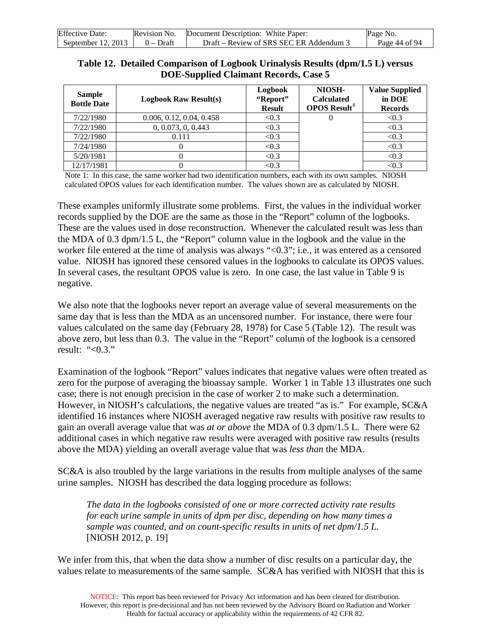| <b>Effective Date:</b> | Revision No. | Document Description: White Paper:      | Page No.      |
|------------------------|--------------|-----------------------------------------|---------------|
| September $12, 2013$   | $0$ – Draft  | Draft – Review of SRS SEC ER Addendum 3 | Page 44 of 94 |

| Table 12. Detailed Comparison of Logbook Urinalysis Results (dpm/1.5 L) versus |
|--------------------------------------------------------------------------------|
| <b>DOE-Supplied Claimant Records, Case 5</b>                                   |

| <b>Sample</b><br><b>Bottle Date</b> | <b>Logbook Raw Result(s)</b> | Logbook<br>"Report"<br><b>Result</b> | NIOSH-<br><b>Calculated</b><br><b>OPOS Result<sup>8</sup></b> | <b>Value Supplied</b><br>in DOE<br><b>Records</b> |
|-------------------------------------|------------------------------|--------------------------------------|---------------------------------------------------------------|---------------------------------------------------|
| 7/22/1980                           | 0.006, 0.12, 0.04, 0.458     | < 0.3                                |                                                               | < 0.3                                             |
| 7/22/1980                           | 0, 0.073, 0, 0.443           | < 0.3                                |                                                               | < 0.3                                             |
| 7/22/1980                           | 0.111                        | < 0.3                                |                                                               | < 0.3                                             |
| 7/24/1980                           |                              | < 0.3                                |                                                               | < 0.3                                             |
| 5/20/1981                           |                              | < 0.3                                |                                                               | < 0.3                                             |
| 12/17/1981                          |                              | < 0.3                                |                                                               | < 0.3                                             |

Note 1: In this case, the same worker had two identification numbers, each with its own samples. NIOSH calculated OPOS values for each identification number. The values shown are as calculated by NIOSH.

These examples uniformly illustrate some problems. First, the values in the individual worker records supplied by the DOE are the same as those in the "Report" column of the logbooks. These are the values used in dose reconstruction. Whenever the calculated result was less than the MDA of 0.3 dpm/1.5 L, the "Report" column value in the logbook and the value in the worker file entered at the time of analysis was always "<0.3"; i.e., it was entered as a censored value. NIOSH has ignored these censored values in the logbooks to calculate its OPOS values. In several cases, the resultant OPOS value is zero. In one case, the last value in Table 9 is negative.

We also note that the logbooks never report an average value of several measurements on the same day that is less than the MDA as an uncensored number. For instance, there were four values calculated on the same day (February 28, 1978) for Case 5 (Table 12). The result was above zero, but less than 0.3. The value in the "Report" column of the logbook is a censored result: " $< 0.3$ ."

Examination of the logbook "Report" values indicates that negative values were often treated as zero for the purpose of averaging the bioassay sample. Worker 1 in Table 13 illustrates one such case; there is not enough precision in the case of worker 2 to make such a determination. However, in NIOSH's calculations, the negative values are treated "as is." For example, SC&A identified 16 instances where NIOSH averaged negative raw results with positive raw results to gain an overall average value that was *at or above* the MDA of 0.3 dpm/1.5 L. There were 62 additional cases in which negative raw results were averaged with positive raw results (results above the MDA) yielding an overall average value that was *less than* the MDA.

SC&A is also troubled by the large variations in the results from multiple analyses of the same urine samples. NIOSH has described the data logging procedure as follows:

*The data in the logbooks consisted of one or more corrected activity rate results for each urine sample in units of dpm per disc, depending on how many times a sample was counted, and on count-specific results in units of net dpm/1.5 L.* [NIOSH 2012, p. 19]

We infer from this, that when the data show a number of disc results on a particular day, the values relate to measurements of the same sample. SC&A has verified with NIOSH that this is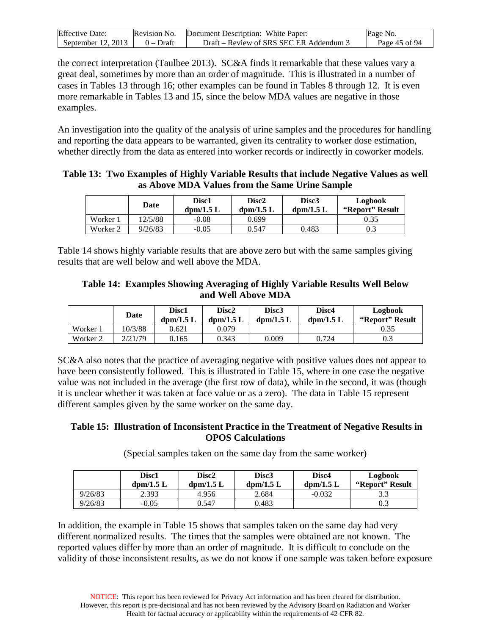| <b>Effective Date:</b>               | Revision No. Document Description: White Paper: | Page No.      |
|--------------------------------------|-------------------------------------------------|---------------|
| September 12, 2013 $\vert$ 0 – Draft | Draft – Review of SRS SEC ER Addendum 3         | Page 45 of 94 |

the correct interpretation (Taulbee 2013). SC&A finds it remarkable that these values vary a great deal, sometimes by more than an order of magnitude. This is illustrated in a number of cases in Tables 13 through 16; other examples can be found in Tables 8 through 12. It is even more remarkable in Tables 13 and 15, since the below MDA values are negative in those examples.

An investigation into the quality of the analysis of urine samples and the procedures for handling and reporting the data appears to be warranted, given its centrality to worker dose estimation, whether directly from the data as entered into worker records or indirectly in coworker models.

**Table 13: Two Examples of Highly Variable Results that include Negative Values as well as Above MDA Values from the Same Urine Sample**

|          | Date    | Disc1<br>$\text{dom}/1.5 \text{ L}$ | Disc2<br>$\text{dpm}/1.5 \text{ L}$ | <b>Disc3</b><br>$\text{dom}/1.5 \text{ L}$ | Logbook<br>"Report" Result |
|----------|---------|-------------------------------------|-------------------------------------|--------------------------------------------|----------------------------|
| Worker 1 | 12/5/88 | $-0.08$                             | 0.699                               |                                            | 0.35                       |
| Worker 2 | 9/26/83 | $-0.05$                             | 0.547                               | 0.483                                      | 0.3                        |

Table 14 shows highly variable results that are above zero but with the same samples giving results that are well below and well above the MDA.

#### **Table 14: Examples Showing Averaging of Highly Variable Results Well Below and Well Above MDA**

|          | Date    | Disc1<br>$\text{dom}/1.5 \text{ L}$ | Disc2<br>$\text{dom}/1.5 \text{ L}$ | Disc3<br>$\text{dpm}/1.5 \text{ L}$ | Disc4<br>$\text{dom}/1.5 \text{ L}$ | Logbook<br>"Report" Result |
|----------|---------|-------------------------------------|-------------------------------------|-------------------------------------|-------------------------------------|----------------------------|
| Worker 1 | 10/3/88 | 0.621                               | 0.079                               |                                     |                                     | 0.35                       |
| Worker 2 | 2/21/79 | 0.165                               | 0.343                               | 0.009                               | 0.724                               | 0.3                        |

SC&A also notes that the practice of averaging negative with positive values does not appear to have been consistently followed. This is illustrated in Table 15, where in one case the negative value was not included in the average (the first row of data), while in the second, it was (though it is unclear whether it was taken at face value or as a zero). The data in Table 15 represent different samples given by the same worker on the same day.

#### **Table 15: Illustration of Inconsistent Practice in the Treatment of Negative Results in OPOS Calculations**

(Special samples taken on the same day from the same worker)

|         | <b>Disc1</b><br>$\text{dom}/1.5 \text{ L}$ | Disc2<br>$\text{dom}/1.5 \text{ L}$ | Disc3<br>$\text{dom}/1.5 \text{ L}$ | Disc4<br>$\text{dom}/1.5 \text{ L}$ | Logbook<br>"Report" Result |
|---------|--------------------------------------------|-------------------------------------|-------------------------------------|-------------------------------------|----------------------------|
| 9/26/83 | 2.393                                      | 4.956                               | 2.684                               | $-0.032$                            | 3.3                        |
| 9/26/83 | $-0.05$                                    | 0.547                               | 0.483                               |                                     | U.3                        |

In addition, the example in Table 15 shows that samples taken on the same day had very different normalized results. The times that the samples were obtained are not known. The reported values differ by more than an order of magnitude. It is difficult to conclude on the validity of those inconsistent results, as we do not know if one sample was taken before exposure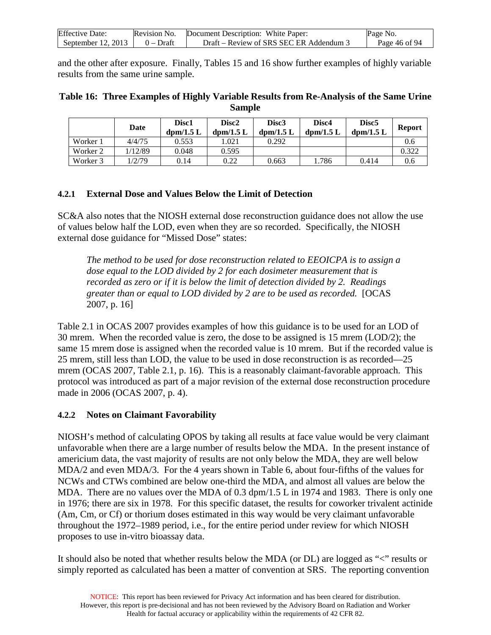| <b>Effective Date:</b> | Revision No. | Document Description: White Paper:      | Page No.      |
|------------------------|--------------|-----------------------------------------|---------------|
| September 12, 2013     | $0$ – Draft  | Draft – Review of SRS SEC ER Addendum 3 | Page 46 of 94 |

and the other after exposure. Finally, Tables 15 and 16 show further examples of highly variable results from the same urine sample.

| Table 16: Three Examples of Highly Variable Results from Re-Analysis of the Same Urine |
|----------------------------------------------------------------------------------------|
| <b>Sample</b>                                                                          |

|          | Date    | Disc <sub>1</sub><br>$\text{dom}/1.5 \text{ L}$ | Disc <sub>2</sub><br>$\text{dom}/1.5 \text{ L}$ | Disc <sub>3</sub><br>$\text{dom}/1.5 \text{ L}$ | Disc4<br>$\text{dom}/1.5 \text{ L}$ | Disc <sub>5</sub><br>$\text{dom}/1.5 \text{ L}$ | <b>Report</b> |
|----------|---------|-------------------------------------------------|-------------------------------------------------|-------------------------------------------------|-------------------------------------|-------------------------------------------------|---------------|
| Worker 1 | 4/4/75  | 0.553                                           | .021                                            | 0.292                                           |                                     |                                                 | 0.6           |
| Worker 2 | 1/12/89 | 0.048                                           | 0.595                                           |                                                 |                                     |                                                 | 0.322         |
| Worker 3 | 1/2/79  | 0.14                                            | 0.22                                            | 0.663                                           | .786                                | 0.414                                           | 0.6           |

### **4.2.1 External Dose and Values Below the Limit of Detection**

SC&A also notes that the NIOSH external dose reconstruction guidance does not allow the use of values below half the LOD, even when they are so recorded. Specifically, the NIOSH external dose guidance for "Missed Dose" states:

*The method to be used for dose reconstruction related to EEOICPA is to assign a dose equal to the LOD divided by 2 for each dosimeter measurement that is recorded as zero or if it is below the limit of detection divided by 2. Readings greater than or equal to LOD divided by 2 are to be used as recorded.* [OCAS 2007, p. 16]

Table 2.1 in OCAS 2007 provides examples of how this guidance is to be used for an LOD of 30 mrem. When the recorded value is zero, the dose to be assigned is 15 mrem (LOD/2); the same 15 mrem dose is assigned when the recorded value is 10 mrem. But if the recorded value is 25 mrem, still less than LOD, the value to be used in dose reconstruction is as recorded—25 mrem (OCAS 2007, Table 2.1, p. 16). This is a reasonably claimant-favorable approach. This protocol was introduced as part of a major revision of the external dose reconstruction procedure made in 2006 (OCAS 2007, p. 4).

## **4.2.2 Notes on Claimant Favorability**

NIOSH's method of calculating OPOS by taking all results at face value would be very claimant unfavorable when there are a large number of results below the MDA. In the present instance of americium data, the vast majority of results are not only below the MDA, they are well below MDA/2 and even MDA/3. For the 4 years shown in Table 6, about four-fifths of the values for NCWs and CTWs combined are below one-third the MDA, and almost all values are below the MDA. There are no values over the MDA of 0.3 dpm/1.5 L in 1974 and 1983. There is only one in 1976; there are six in 1978. For this specific dataset, the results for coworker trivalent actinide (Am, Cm, or Cf) or thorium doses estimated in this way would be very claimant unfavorable throughout the 1972–1989 period, i.e., for the entire period under review for which NIOSH proposes to use in-vitro bioassay data.

It should also be noted that whether results below the MDA (or DL) are logged as "<" results or simply reported as calculated has been a matter of convention at SRS. The reporting convention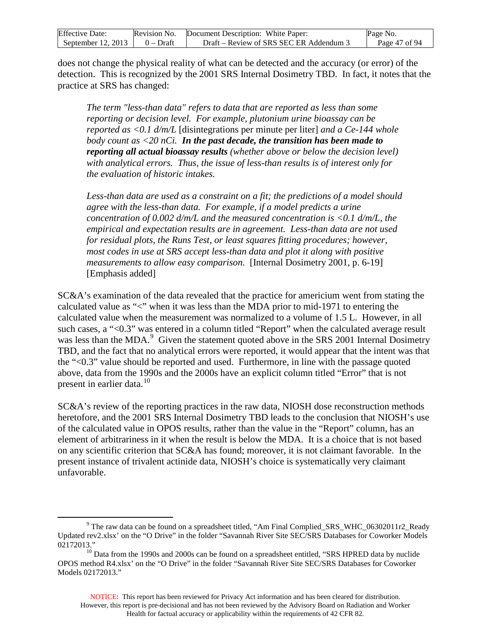| <b>Effective Date:</b> | Revision No. | Document Description: White Paper:    | Page No.      |
|------------------------|--------------|---------------------------------------|---------------|
| September 12, 2013     | $0 - Draff$  | Draft – Review of SRS SEC ER Addendum | Page 47 of 94 |

does not change the physical reality of what can be detected and the accuracy (or error) of the detection. This is recognized by the 2001 SRS Internal Dosimetry TBD. In fact, it notes that the practice at SRS has changed:

*The term "less-than data" refers to data that are reported as less than some reporting or decision level. For example, plutonium urine bioassay can be reported as <0.1 d/m/L* [disintegrations per minute per liter] *and a Ce-144 whole body count as <20 nCi. In the past decade, the transition has been made to reporting all actual bioassay results (whether above or below the decision level) with analytical errors. Thus, the issue of less-than results is of interest only for the evaluation of historic intakes.*

Less-than data are used as a constraint on a fit; the predictions of a model should *agree with the less-than data. For example, if a model predicts a urine concentration of 0.002 d/m/L and the measured concentration is <0.1 d/m/L, the empirical and expectation results are in agreement. Less-than data are not used for residual plots, the Runs Test, or least squares fitting procedures; however, most codes in use at SRS accept less-than data and plot it along with positive measurements to allow easy comparison.* [Internal Dosimetry 2001, p. 6-19] [Emphasis added]

SC&A's examination of the data revealed that the practice for americium went from stating the calculated value as "<" when it was less than the MDA prior to mid-1971 to entering the calculated value when the measurement was normalized to a volume of 1.5 L. However, in all such cases, a "<0.3" was entered in a column titled "Report" when the calculated average result was less than the MDA.<sup>[9](#page-46-0)</sup> Given the statement quoted above in the SRS 2001 Internal Dosimetry TBD, and the fact that no analytical errors were reported, it would appear that the intent was that the "<0.3" value should be reported and used. Furthermore, in line with the passage quoted above, data from the 1990s and the 2000s have an explicit column titled "Error" that is not present in earlier data.<sup>[10](#page-46-1)</sup>

SC&A's review of the reporting practices in the raw data, NIOSH dose reconstruction methods heretofore, and the 2001 SRS Internal Dosimetry TBD leads to the conclusion that NIOSH's use of the calculated value in OPOS results, rather than the value in the "Report" column, has an element of arbitrariness in it when the result is below the MDA. It is a choice that is not based on any scientific criterion that SC&A has found; moreover, it is not claimant favorable. In the present instance of trivalent actinide data, NIOSH's choice is systematically very claimant unfavorable.

<span id="page-46-0"></span><sup>&</sup>lt;sup>9</sup> The raw data can be found on a spreadsheet titled, "Am Final Complied SRS WHC 06302011r2 Ready Updated rev2.xlsx' on the "O Drive" in the folder "Savannah River Site SEC/SRS Databases for Coworker Models

<span id="page-46-1"></span><sup>02172013.&</sup>quot;<br><sup>10</sup> Data from the 1990s and 2000s can be found on a spreadsheet entitled, "SRS HPRED data by nuclide OPOS method R4.xlsx' on the "O Drive" in the folder "Savannah River Site SEC/SRS Databases for Coworker Models 02172013."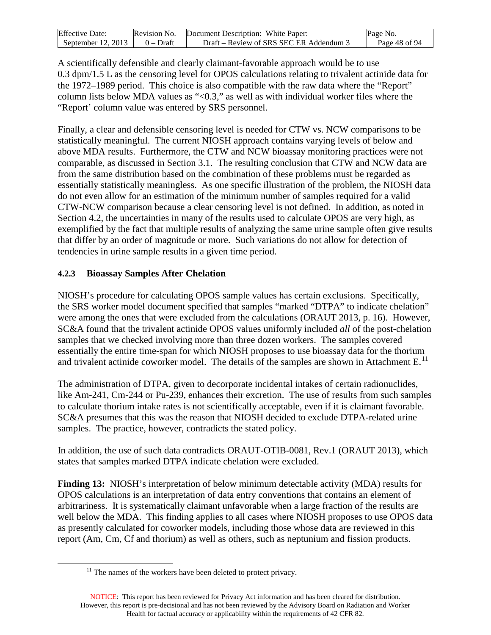| <b>Effective Date:</b> | Revision No. | Document Description: White Paper:      | Page No.      |
|------------------------|--------------|-----------------------------------------|---------------|
| September $12, 2013$   | $0$ – Draft  | Draft – Review of SRS SEC ER Addendum 3 | Page 48 of 94 |

A scientifically defensible and clearly claimant-favorable approach would be to use 0.3 dpm/1.5 L as the censoring level for OPOS calculations relating to trivalent actinide data for the 1972–1989 period. This choice is also compatible with the raw data where the "Report" column lists below MDA values as "<0.3," as well as with individual worker files where the "Report' column value was entered by SRS personnel.

Finally, a clear and defensible censoring level is needed for CTW vs. NCW comparisons to be statistically meaningful. The current NIOSH approach contains varying levels of below and above MDA results. Furthermore, the CTW and NCW bioassay monitoring practices were not comparable, as discussed in Section 3.1. The resulting conclusion that CTW and NCW data are from the same distribution based on the combination of these problems must be regarded as essentially statistically meaningless. As one specific illustration of the problem, the NIOSH data do not even allow for an estimation of the minimum number of samples required for a valid CTW-NCW comparison because a clear censoring level is not defined. In addition, as noted in Section 4.2, the uncertainties in many of the results used to calculate OPOS are very high, as exemplified by the fact that multiple results of analyzing the same urine sample often give results that differ by an order of magnitude or more. Such variations do not allow for detection of tendencies in urine sample results in a given time period.

#### **4.2.3 Bioassay Samples After Chelation**

NIOSH's procedure for calculating OPOS sample values has certain exclusions. Specifically, the SRS worker model document specified that samples "marked "DTPA" to indicate chelation" were among the ones that were excluded from the calculations (ORAUT 2013, p. 16). However, SC&A found that the trivalent actinide OPOS values uniformly included *all* of the post-chelation samples that we checked involving more than three dozen workers. The samples covered essentially the entire time-span for which NIOSH proposes to use bioassay data for the thorium and trivalent actinide coworker model. The details of the samples are shown in Attachment  $E<sup>11</sup>$  $E<sup>11</sup>$  $E<sup>11</sup>$ 

The administration of DTPA, given to decorporate incidental intakes of certain radionuclides, like Am-241, Cm-244 or Pu-239, enhances their excretion. The use of results from such samples to calculate thorium intake rates is not scientifically acceptable, even if it is claimant favorable. SC&A presumes that this was the reason that NIOSH decided to exclude DTPA-related urine samples. The practice, however, contradicts the stated policy.

In addition, the use of such data contradicts ORAUT-OTIB-0081, Rev.1 (ORAUT 2013), which states that samples marked DTPA indicate chelation were excluded.

**Finding 13:** NIOSH's interpretation of below minimum detectable activity (MDA) results for OPOS calculations is an interpretation of data entry conventions that contains an element of arbitrariness. It is systematically claimant unfavorable when a large fraction of the results are well below the MDA. This finding applies to all cases where NIOSH proposes to use OPOS data as presently calculated for coworker models, including those whose data are reviewed in this report (Am, Cm, Cf and thorium) as well as others, such as neptunium and fission products.

<sup>&</sup>lt;sup>11</sup> The names of the workers have been deleted to protect privacy.

<span id="page-47-0"></span>NOTICE: This report has been reviewed for Privacy Act information and has been cleared for distribution. However, this report is pre-decisional and has not been reviewed by the Advisory Board on Radiation and Worker Health for factual accuracy or applicability within the requirements of 42 CFR 82.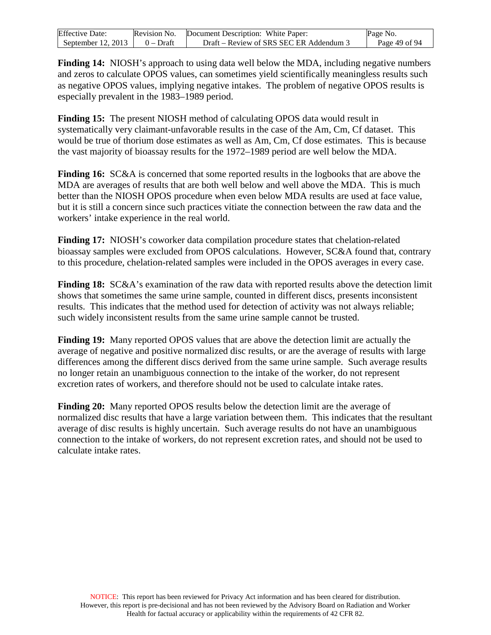| <b>Effective Date:</b> | Revision No. | Document Description: White Paper:      | Page No.      |
|------------------------|--------------|-----------------------------------------|---------------|
| September $12, 2013$   | $0$ – Draft  | Draft – Review of SRS SEC ER Addendum 3 | Page 49 of 94 |

**Finding 14:** NIOSH's approach to using data well below the MDA, including negative numbers and zeros to calculate OPOS values, can sometimes yield scientifically meaningless results such as negative OPOS values, implying negative intakes. The problem of negative OPOS results is especially prevalent in the 1983–1989 period.

**Finding 15:** The present NIOSH method of calculating OPOS data would result in systematically very claimant-unfavorable results in the case of the Am, Cm, Cf dataset. This would be true of thorium dose estimates as well as Am, Cm, Cf dose estimates. This is because the vast majority of bioassay results for the 1972–1989 period are well below the MDA.

**Finding 16:** SC&A is concerned that some reported results in the logbooks that are above the MDA are averages of results that are both well below and well above the MDA. This is much better than the NIOSH OPOS procedure when even below MDA results are used at face value, but it is still a concern since such practices vitiate the connection between the raw data and the workers' intake experience in the real world.

**Finding 17:** NIOSH's coworker data compilation procedure states that chelation-related bioassay samples were excluded from OPOS calculations. However, SC&A found that, contrary to this procedure, chelation-related samples were included in the OPOS averages in every case.

**Finding 18:** SC&A's examination of the raw data with reported results above the detection limit shows that sometimes the same urine sample, counted in different discs, presents inconsistent results. This indicates that the method used for detection of activity was not always reliable; such widely inconsistent results from the same urine sample cannot be trusted.

**Finding 19:** Many reported OPOS values that are above the detection limit are actually the average of negative and positive normalized disc results, or are the average of results with large differences among the different discs derived from the same urine sample. Such average results no longer retain an unambiguous connection to the intake of the worker, do not represent excretion rates of workers, and therefore should not be used to calculate intake rates.

**Finding 20:** Many reported OPOS results below the detection limit are the average of normalized disc results that have a large variation between them. This indicates that the resultant average of disc results is highly uncertain. Such average results do not have an unambiguous connection to the intake of workers, do not represent excretion rates, and should not be used to calculate intake rates.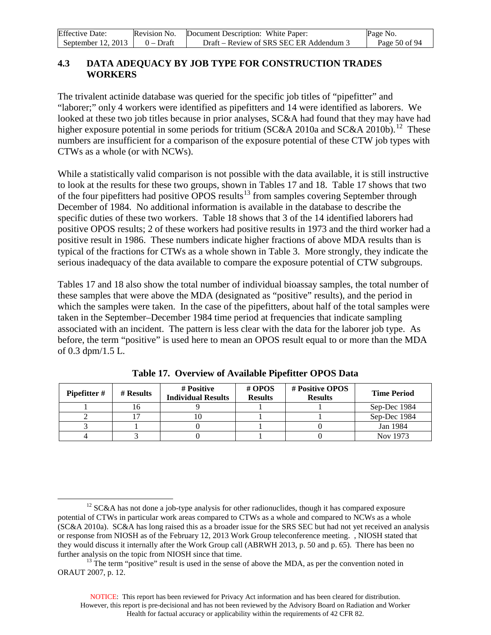| <b>Effective Date:</b> | Revision No. | Document Description: White Paper:      | Page No.      |
|------------------------|--------------|-----------------------------------------|---------------|
| September 12, 2013     | $0 - Dr$ aft | Draft – Review of SRS SEC ER Addendum 3 | Page 50 of 94 |

### **4.3 DATA ADEQUACY BY JOB TYPE FOR CONSTRUCTION TRADES WORKERS**

The trivalent actinide database was queried for the specific job titles of "pipefitter" and "laborer;" only 4 workers were identified as pipefitters and 14 were identified as laborers. We looked at these two job titles because in prior analyses, SC&A had found that they may have had higher exposure potential in some periods for tritium (SC&A 2010a and SC&A 2010b).<sup>[12](#page-49-0)</sup> These numbers are insufficient for a comparison of the exposure potential of these CTW job types with CTWs as a whole (or with NCWs).

While a statistically valid comparison is not possible with the data available, it is still instructive to look at the results for these two groups, shown in Tables 17 and 18. Table 17 shows that two of the four pipefitters had positive  $\overline{OPOS}$  results<sup>[13](#page-49-1)</sup> from samples covering September through December of 1984. No additional information is available in the database to describe the specific duties of these two workers. Table 18 shows that 3 of the 14 identified laborers had positive OPOS results; 2 of these workers had positive results in 1973 and the third worker had a positive result in 1986. These numbers indicate higher fractions of above MDA results than is typical of the fractions for CTWs as a whole shown in Table 3. More strongly, they indicate the serious inadequacy of the data available to compare the exposure potential of CTW subgroups.

Tables 17 and 18 also show the total number of individual bioassay samples, the total number of these samples that were above the MDA (designated as "positive" results), and the period in which the samples were taken. In the case of the pipefitters, about half of the total samples were taken in the September–December 1984 time period at frequencies that indicate sampling associated with an incident. The pattern is less clear with the data for the laborer job type. As before, the term "positive" is used here to mean an OPOS result equal to or more than the MDA of 0.3 dpm/1.5 L.

| <b>Pipefitter</b> # | # Results | # Positive<br><b>Individual Results</b> | # OPOS<br><b>Results</b> | # Positive OPOS<br><b>Results</b> | <b>Time Period</b> |
|---------------------|-----------|-----------------------------------------|--------------------------|-----------------------------------|--------------------|
|                     |           |                                         |                          |                                   | Sep-Dec 1984       |
|                     |           | .U                                      |                          |                                   | Sep-Dec 1984       |
|                     |           |                                         |                          |                                   | Jan 1984           |
|                     |           |                                         |                          |                                   | Nov 1973           |

**Table 17. Overview of Available Pipefitter OPOS Data**

<span id="page-49-0"></span> $12$  SC&A has not done a job-type analysis for other radionuclides, though it has compared exposure potential of CTWs in particular work areas compared to CTWs as a whole and compared to NCWs as a whole (SC&A 2010a). SC&A has long raised this as a broader issue for the SRS SEC but had not yet received an analysis or response from NIOSH as of the February 12, 2013 Work Group teleconference meeting. , NIOSH stated that they would discuss it internally after the Work Group call (ABRWH 2013, p. 50 and p. 65). There has been no further analysis on the topic from NIOSH since that time.<br><sup>13</sup> The term "positive" result is used in the sense of above the MDA, as per the convention noted in

<span id="page-49-1"></span>ORAUT 2007, p. 12.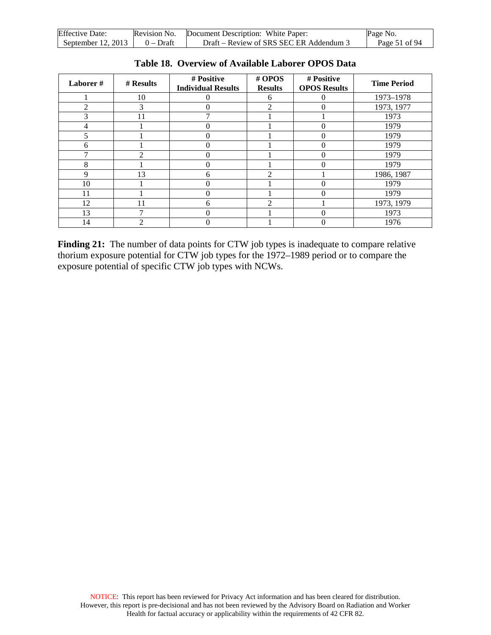| <b>Effective Date:</b> | Revision No. | Document Description: White Paper:      | Page No.      |
|------------------------|--------------|-----------------------------------------|---------------|
| September 12, $2013$   | 0 – Draft    | Draft – Review of SRS SEC ER Addendum 3 | Page 51 of 94 |

| Laborer#    | # Results     | # Positive<br><b>Individual Results</b> | # OPOS<br><b>Results</b>    | # Positive<br><b>OPOS Results</b> | <b>Time Period</b> |
|-------------|---------------|-----------------------------------------|-----------------------------|-----------------------------------|--------------------|
|             | 10            | 0                                       | 6                           |                                   | 1973-1978          |
| っ           | 3             |                                         | $\mathcal{D}_{\mathcal{L}}$ |                                   | 1973, 1977         |
| 3           | 11            |                                         |                             |                                   | 1973               |
|             |               | 0                                       |                             |                                   | 1979               |
|             |               | 0                                       |                             |                                   | 1979               |
| h.          |               |                                         |                             |                                   | 1979               |
|             | $\mathcal{D}$ | 0                                       |                             |                                   | 1979               |
| 8           |               | 0                                       |                             |                                   | 1979               |
| $\mathbf Q$ | 13            | 6                                       | $\mathcal{D}_{\mathcal{L}}$ |                                   | 1986, 1987         |
| 10          |               | 0                                       |                             |                                   | 1979               |
| 11          |               | 0                                       |                             | 0                                 | 1979               |
| 12          | 11            | 6                                       | $\mathcal{D}$               |                                   | 1973, 1979         |
| 13          | 7             |                                         |                             |                                   | 1973               |
| 14          | っ             | 0                                       |                             |                                   | 1976               |

**Table 18. Overview of Available Laborer OPOS Data**

Finding 21: The number of data points for CTW job types is inadequate to compare relative thorium exposure potential for CTW job types for the 1972–1989 period or to compare the exposure potential of specific CTW job types with NCWs.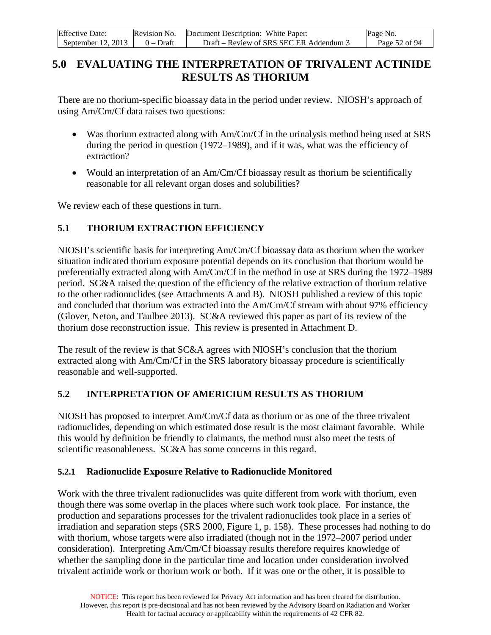| <b>Effective Date:</b> | Revision No. | Document Description: White Paper:      | Page No.      |
|------------------------|--------------|-----------------------------------------|---------------|
| September $12, 2013$   | $0 - Dr$ aft | Draft – Review of SRS SEC ER Addendum 3 | Page 52 of 94 |

# **5.0 EVALUATING THE INTERPRETATION OF TRIVALENT ACTINIDE RESULTS AS THORIUM**

There are no thorium-specific bioassay data in the period under review. NIOSH's approach of using Am/Cm/Cf data raises two questions:

- Was thorium extracted along with Am/Cm/Cf in the urinalysis method being used at SRS during the period in question (1972–1989), and if it was, what was the efficiency of extraction?
- Would an interpretation of an Am/Cm/Cf bioassay result as thorium be scientifically reasonable for all relevant organ doses and solubilities?

We review each of these questions in turn.

### **5.1 THORIUM EXTRACTION EFFICIENCY**

NIOSH's scientific basis for interpreting Am/Cm/Cf bioassay data as thorium when the worker situation indicated thorium exposure potential depends on its conclusion that thorium would be preferentially extracted along with Am/Cm/Cf in the method in use at SRS during the 1972–1989 period. SC&A raised the question of the efficiency of the relative extraction of thorium relative to the other radionuclides (see Attachments A and B). NIOSH published a review of this topic and concluded that thorium was extracted into the Am/Cm/Cf stream with about 97% efficiency (Glover, Neton, and Taulbee 2013). SC&A reviewed this paper as part of its review of the thorium dose reconstruction issue. This review is presented in Attachment D.

The result of the review is that SC&A agrees with NIOSH's conclusion that the thorium extracted along with Am/Cm/Cf in the SRS laboratory bioassay procedure is scientifically reasonable and well-supported.

#### **5.2 INTERPRETATION OF AMERICIUM RESULTS AS THORIUM**

NIOSH has proposed to interpret Am/Cm/Cf data as thorium or as one of the three trivalent radionuclides, depending on which estimated dose result is the most claimant favorable. While this would by definition be friendly to claimants, the method must also meet the tests of scientific reasonableness. SC&A has some concerns in this regard.

#### **5.2.1 Radionuclide Exposure Relative to Radionuclide Monitored**

Work with the three trivalent radionuclides was quite different from work with thorium, even though there was some overlap in the places where such work took place. For instance, the production and separations processes for the trivalent radionuclides took place in a series of irradiation and separation steps (SRS 2000, Figure 1, p. 158). These processes had nothing to do with thorium, whose targets were also irradiated (though not in the 1972–2007 period under consideration). Interpreting Am/Cm/Cf bioassay results therefore requires knowledge of whether the sampling done in the particular time and location under consideration involved trivalent actinide work or thorium work or both. If it was one or the other, it is possible to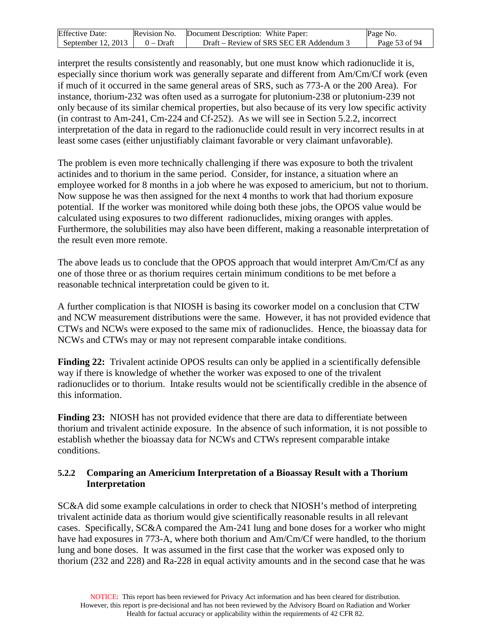| <b>Effective Date:</b> | Revision No. | Document Description: White Paper:      | Page No.      |
|------------------------|--------------|-----------------------------------------|---------------|
| September $12, 2013$   | $0 - Dr$ aft | Draft – Review of SRS SEC ER Addendum 3 | Page 53 of 94 |

interpret the results consistently and reasonably, but one must know which radionuclide it is, especially since thorium work was generally separate and different from Am/Cm/Cf work (even if much of it occurred in the same general areas of SRS, such as 773-A or the 200 Area). For instance, thorium-232 was often used as a surrogate for plutonium-238 or plutonium-239 not only because of its similar chemical properties, but also because of its very low specific activity (in contrast to Am-241, Cm-224 and Cf-252). As we will see in Section 5.2.2, incorrect interpretation of the data in regard to the radionuclide could result in very incorrect results in at least some cases (either unjustifiably claimant favorable or very claimant unfavorable).

The problem is even more technically challenging if there was exposure to both the trivalent actinides and to thorium in the same period. Consider, for instance, a situation where an employee worked for 8 months in a job where he was exposed to americium, but not to thorium. Now suppose he was then assigned for the next 4 months to work that had thorium exposure potential. If the worker was monitored while doing both these jobs, the OPOS value would be calculated using exposures to two different radionuclides, mixing oranges with apples. Furthermore, the solubilities may also have been different, making a reasonable interpretation of the result even more remote.

The above leads us to conclude that the OPOS approach that would interpret Am/Cm/Cf as any one of those three or as thorium requires certain minimum conditions to be met before a reasonable technical interpretation could be given to it.

A further complication is that NIOSH is basing its coworker model on a conclusion that CTW and NCW measurement distributions were the same. However, it has not provided evidence that CTWs and NCWs were exposed to the same mix of radionuclides. Hence, the bioassay data for NCWs and CTWs may or may not represent comparable intake conditions.

**Finding 22:** Trivalent actinide OPOS results can only be applied in a scientifically defensible way if there is knowledge of whether the worker was exposed to one of the trivalent radionuclides or to thorium. Intake results would not be scientifically credible in the absence of this information.

**Finding 23:** NIOSH has not provided evidence that there are data to differentiate between thorium and trivalent actinide exposure. In the absence of such information, it is not possible to establish whether the bioassay data for NCWs and CTWs represent comparable intake conditions.

#### **5.2.2 Comparing an Americium Interpretation of a Bioassay Result with a Thorium Interpretation**

SC&A did some example calculations in order to check that NIOSH's method of interpreting trivalent actinide data as thorium would give scientifically reasonable results in all relevant cases. Specifically, SC&A compared the Am-241 lung and bone doses for a worker who might have had exposures in 773-A, where both thorium and Am/Cm/Cf were handled, to the thorium lung and bone doses. It was assumed in the first case that the worker was exposed only to thorium (232 and 228) and Ra-228 in equal activity amounts and in the second case that he was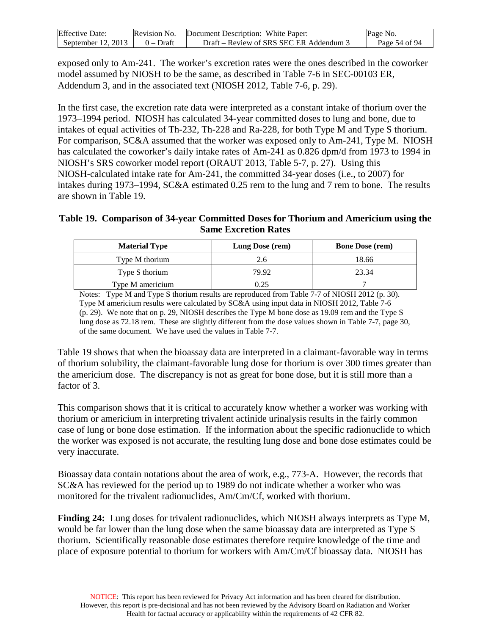| <b>Effective Date:</b> | Revision No. | Document Description: White Paper:      | Page No.      |
|------------------------|--------------|-----------------------------------------|---------------|
| September 12, 2013     | $0 - Dr$ aft | Draft – Review of SRS SEC ER Addendum 3 | Page 54 of 94 |

exposed only to Am-241. The worker's excretion rates were the ones described in the coworker model assumed by NIOSH to be the same, as described in Table 7-6 in SEC-00103 ER, Addendum 3, and in the associated text (NIOSH 2012, Table 7-6, p. 29).

In the first case, the excretion rate data were interpreted as a constant intake of thorium over the 1973–1994 period. NIOSH has calculated 34-year committed doses to lung and bone, due to intakes of equal activities of Th-232, Th-228 and Ra-228, for both Type M and Type S thorium. For comparison, SC&A assumed that the worker was exposed only to Am-241, Type M. NIOSH has calculated the coworker's daily intake rates of Am-241 as 0.826 dpm/d from 1973 to 1994 in NIOSH's SRS coworker model report (ORAUT 2013, Table 5-7, p. 27). Using this NIOSH-calculated intake rate for Am-241, the committed 34-year doses (i.e., to 2007) for intakes during 1973–1994, SC&A estimated 0.25 rem to the lung and 7 rem to bone. The results are shown in Table 19.

#### **Table 19. Comparison of 34-year Committed Doses for Thorium and Americium using the Same Excretion Rates**

| <b>Material Type</b> | Lung Dose (rem) | <b>Bone Dose (rem)</b> |
|----------------------|-----------------|------------------------|
| Type M thorium       | 2.6             | 18.66                  |
| Type S thorium       | 79.92           | 23.34                  |
| Type M americium     | 9.25            |                        |

Notes: Type M and Type S thorium results are reproduced from Table 7-7 of NIOSH 2012 (p. 30). Type M americium results were calculated by SC&A using input data in NIOSH 2012, Table 7-6 (p. 29). We note that on p. 29, NIOSH describes the Type M bone dose as 19.09 rem and the Type S lung dose as 72.18 rem. These are slightly different from the dose values shown in Table 7-7, page 30, of the same document. We have used the values in Table 7-7.

Table 19 shows that when the bioassay data are interpreted in a claimant-favorable way in terms of thorium solubility, the claimant-favorable lung dose for thorium is over 300 times greater than the americium dose. The discrepancy is not as great for bone dose, but it is still more than a factor of 3.

This comparison shows that it is critical to accurately know whether a worker was working with thorium or americium in interpreting trivalent actinide urinalysis results in the fairly common case of lung or bone dose estimation. If the information about the specific radionuclide to which the worker was exposed is not accurate, the resulting lung dose and bone dose estimates could be very inaccurate.

Bioassay data contain notations about the area of work, e.g., 773-A. However, the records that SC&A has reviewed for the period up to 1989 do not indicate whether a worker who was monitored for the trivalent radionuclides, Am/Cm/Cf, worked with thorium.

**Finding 24:** Lung doses for trivalent radionuclides, which NIOSH always interprets as Type M, would be far lower than the lung dose when the same bioassay data are interpreted as Type S thorium. Scientifically reasonable dose estimates therefore require knowledge of the time and place of exposure potential to thorium for workers with Am/Cm/Cf bioassay data. NIOSH has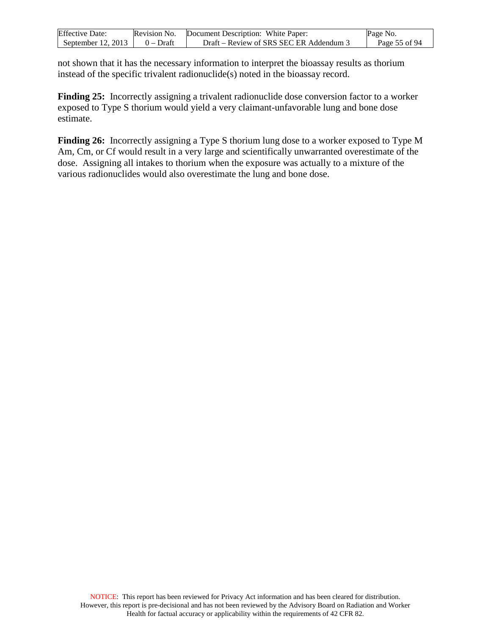| <b>Effective Date:</b> | Revision No. | Document Description: White Paper:      | Page No.      |
|------------------------|--------------|-----------------------------------------|---------------|
| September 12, 2013     | $0$ – Draft  | Draft – Review of SRS SEC ER Addendum 3 | Page 55 of 94 |

not shown that it has the necessary information to interpret the bioassay results as thorium instead of the specific trivalent radionuclide(s) noted in the bioassay record.

**Finding 25:** Incorrectly assigning a trivalent radionuclide dose conversion factor to a worker exposed to Type S thorium would yield a very claimant-unfavorable lung and bone dose estimate.

**Finding 26:** Incorrectly assigning a Type S thorium lung dose to a worker exposed to Type M Am, Cm, or Cf would result in a very large and scientifically unwarranted overestimate of the dose. Assigning all intakes to thorium when the exposure was actually to a mixture of the various radionuclides would also overestimate the lung and bone dose.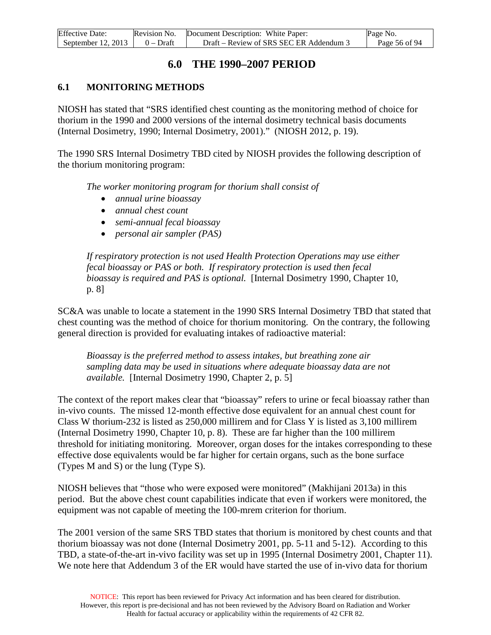| <b>Effective Date:</b> | Revision No. | Document Description: White Paper:      | Page No.      |
|------------------------|--------------|-----------------------------------------|---------------|
| September $12, 2013$   | $0$ – Draft  | Draft – Review of SRS SEC ER Addendum 3 | Page 56 of 94 |

# **6.0 THE 1990–2007 PERIOD**

## **6.1 MONITORING METHODS**

NIOSH has stated that "SRS identified chest counting as the monitoring method of choice for thorium in the 1990 and 2000 versions of the internal dosimetry technical basis documents (Internal Dosimetry, 1990; Internal Dosimetry, 2001)." (NIOSH 2012, p. 19).

The 1990 SRS Internal Dosimetry TBD cited by NIOSH provides the following description of the thorium monitoring program:

*The worker monitoring program for thorium shall consist of*

- *annual urine bioassay*
- *annual chest count*
- *semi-annual fecal bioassay*
- *personal air sampler (PAS)*

*If respiratory protection is not used Health Protection Operations may use either fecal bioassay or PAS or both. If respiratory protection is used then fecal bioassay is required and PAS is optional.* [Internal Dosimetry 1990, Chapter 10, p. 8]

SC&A was unable to locate a statement in the 1990 SRS Internal Dosimetry TBD that stated that chest counting was the method of choice for thorium monitoring. On the contrary, the following general direction is provided for evaluating intakes of radioactive material:

*Bioassay is the preferred method to assess intakes, but breathing zone air sampling data may be used in situations where adequate bioassay data are not available.* [Internal Dosimetry 1990, Chapter 2, p. 5]

The context of the report makes clear that "bioassay" refers to urine or fecal bioassay rather than in-vivo counts. The missed 12-month effective dose equivalent for an annual chest count for Class W thorium-232 is listed as 250,000 millirem and for Class Y is listed as 3,100 millirem (Internal Dosimetry 1990, Chapter 10, p. 8). These are far higher than the 100 millirem threshold for initiating monitoring. Moreover, organ doses for the intakes corresponding to these effective dose equivalents would be far higher for certain organs, such as the bone surface (Types M and S) or the lung (Type S).

NIOSH believes that "those who were exposed were monitored" (Makhijani 2013a) in this period. But the above chest count capabilities indicate that even if workers were monitored, the equipment was not capable of meeting the 100-mrem criterion for thorium.

The 2001 version of the same SRS TBD states that thorium is monitored by chest counts and that thorium bioassay was not done (Internal Dosimetry 2001, pp. 5-11 and 5-12). According to this TBD, a state-of-the-art in-vivo facility was set up in 1995 (Internal Dosimetry 2001, Chapter 11). We note here that Addendum 3 of the ER would have started the use of in-vivo data for thorium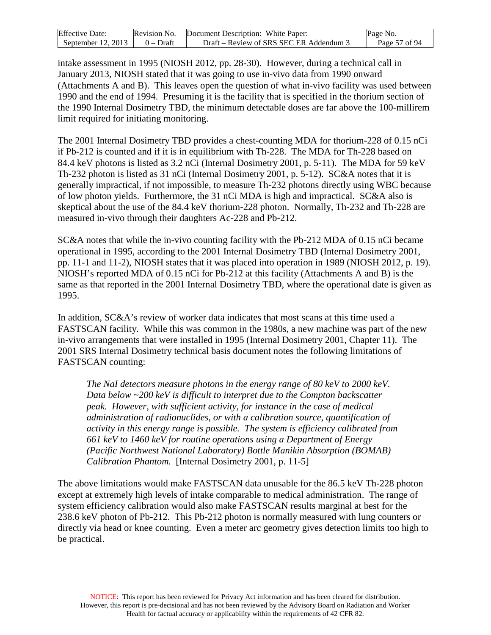| <b>Effective Date:</b> | Revision No. | Document Description: White Paper:    | Page No.      |
|------------------------|--------------|---------------------------------------|---------------|
| September $12, 2013$   | $0$ – Draft  | Draft – Review of SRS SEC ER Addendum | Page 57 of 94 |

intake assessment in 1995 (NIOSH 2012, pp. 28-30). However, during a technical call in January 2013, NIOSH stated that it was going to use in-vivo data from 1990 onward (Attachments A and B). This leaves open the question of what in-vivo facility was used between 1990 and the end of 1994. Presuming it is the facility that is specified in the thorium section of the 1990 Internal Dosimetry TBD, the minimum detectable doses are far above the 100-millirem limit required for initiating monitoring.

The 2001 Internal Dosimetry TBD provides a chest-counting MDA for thorium-228 of 0.15 nCi if Pb-212 is counted and if it is in equilibrium with Th-228. The MDA for Th-228 based on 84.4 keV photons is listed as 3.2 nCi (Internal Dosimetry 2001, p. 5-11). The MDA for 59 keV Th-232 photon is listed as 31 nCi (Internal Dosimetry 2001, p. 5-12). SC&A notes that it is generally impractical, if not impossible, to measure Th-232 photons directly using WBC because of low photon yields. Furthermore, the 31 nCi MDA is high and impractical. SC&A also is skeptical about the use of the 84.4 keV thorium-228 photon. Normally, Th-232 and Th-228 are measured in-vivo through their daughters Ac-228 and Pb-212.

SC&A notes that while the in-vivo counting facility with the Pb-212 MDA of 0.15 nCi became operational in 1995, according to the 2001 Internal Dosimetry TBD (Internal Dosimetry 2001, pp. 11-1 and 11-2), NIOSH states that it was placed into operation in 1989 (NIOSH 2012, p. 19). NIOSH's reported MDA of 0.15 nCi for Pb-212 at this facility (Attachments A and B) is the same as that reported in the 2001 Internal Dosimetry TBD, where the operational date is given as 1995.

In addition, SC&A's review of worker data indicates that most scans at this time used a FASTSCAN facility. While this was common in the 1980s, a new machine was part of the new in-vivo arrangements that were installed in 1995 (Internal Dosimetry 2001, Chapter 11). The 2001 SRS Internal Dosimetry technical basis document notes the following limitations of FASTSCAN counting:

*The NaI detectors measure photons in the energy range of 80 keV to 2000 keV. Data below ~200 keV is difficult to interpret due to the Compton backscatter peak. However, with sufficient activity, for instance in the case of medical administration of radionuclides, or with a calibration source, quantification of activity in this energy range is possible. The system is efficiency calibrated from 661 keV to 1460 keV for routine operations using a Department of Energy (Pacific Northwest National Laboratory) Bottle Manikin Absorption (BOMAB) Calibration Phantom.* [Internal Dosimetry 2001, p. 11-5]

The above limitations would make FASTSCAN data unusable for the 86.5 keV Th-228 photon except at extremely high levels of intake comparable to medical administration. The range of system efficiency calibration would also make FASTSCAN results marginal at best for the 238.6 keV photon of Pb-212. This Pb-212 photon is normally measured with lung counters or directly via head or knee counting. Even a meter arc geometry gives detection limits too high to be practical.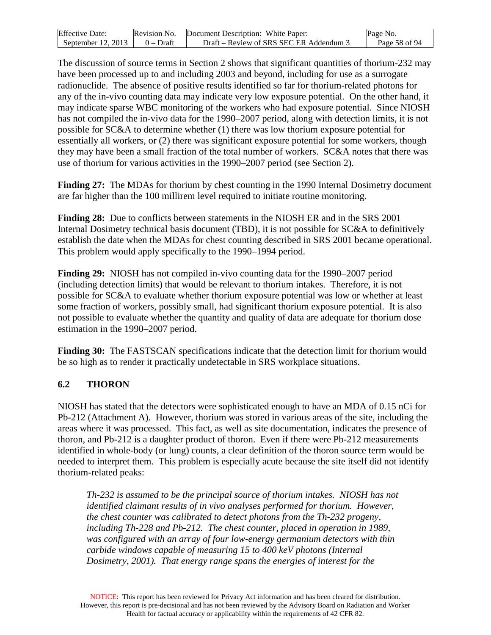| <b>Effective Date:</b> | Revision No. | Document Description: White Paper:      | Page No.      |
|------------------------|--------------|-----------------------------------------|---------------|
| September $12, 2013$   | $0 - Dr$ aft | Draft – Review of SRS SEC ER Addendum 3 | Page 58 of 94 |

The discussion of source terms in Section 2 shows that significant quantities of thorium-232 may have been processed up to and including 2003 and beyond, including for use as a surrogate radionuclide. The absence of positive results identified so far for thorium-related photons for any of the in-vivo counting data may indicate very low exposure potential. On the other hand, it may indicate sparse WBC monitoring of the workers who had exposure potential. Since NIOSH has not compiled the in-vivo data for the 1990–2007 period, along with detection limits, it is not possible for SC&A to determine whether (1) there was low thorium exposure potential for essentially all workers, or (2) there was significant exposure potential for some workers, though they may have been a small fraction of the total number of workers. SC&A notes that there was use of thorium for various activities in the 1990–2007 period (see Section 2).

**Finding 27:** The MDAs for thorium by chest counting in the 1990 Internal Dosimetry document are far higher than the 100 millirem level required to initiate routine monitoring.

**Finding 28:** Due to conflicts between statements in the NIOSH ER and in the SRS 2001 Internal Dosimetry technical basis document (TBD), it is not possible for SC&A to definitively establish the date when the MDAs for chest counting described in SRS 2001 became operational. This problem would apply specifically to the 1990–1994 period.

**Finding 29:** NIOSH has not compiled in-vivo counting data for the 1990–2007 period (including detection limits) that would be relevant to thorium intakes. Therefore, it is not possible for SC&A to evaluate whether thorium exposure potential was low or whether at least some fraction of workers, possibly small, had significant thorium exposure potential. It is also not possible to evaluate whether the quantity and quality of data are adequate for thorium dose estimation in the 1990–2007 period.

**Finding 30:** The FASTSCAN specifications indicate that the detection limit for thorium would be so high as to render it practically undetectable in SRS workplace situations.

#### **6.2 THORON**

NIOSH has stated that the detectors were sophisticated enough to have an MDA of 0.15 nCi for Pb-212 (Attachment A). However, thorium was stored in various areas of the site, including the areas where it was processed. This fact, as well as site documentation, indicates the presence of thoron, and Pb-212 is a daughter product of thoron. Even if there were Pb-212 measurements identified in whole-body (or lung) counts, a clear definition of the thoron source term would be needed to interpret them. This problem is especially acute because the site itself did not identify thorium-related peaks:

*Th-232 is assumed to be the principal source of thorium intakes. NIOSH has not identified claimant results of in vivo analyses performed for thorium. However, the chest counter was calibrated to detect photons from the Th-232 progeny, including Th-228 and Pb-212. The chest counter, placed in operation in 1989, was configured with an array of four low-energy germanium detectors with thin carbide windows capable of measuring 15 to 400 keV photons (Internal Dosimetry, 2001). That energy range spans the energies of interest for the*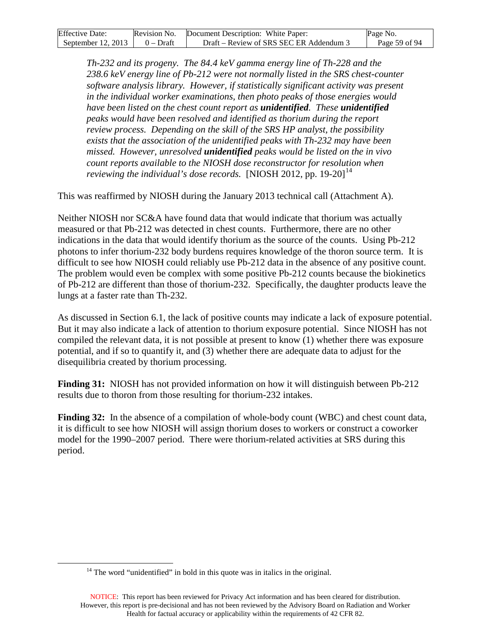| <b>Effective Date:</b>               | Revision No. Document Description: White Paper: | Page No.      |
|--------------------------------------|-------------------------------------------------|---------------|
| September 12, 2013 $\vert$ 0 – Draft | Draft – Review of SRS SEC ER Addendum 3         | Page 59 of 94 |

*Th-232 and its progeny. The 84.4 keV gamma energy line of Th-228 and the 238.6 keV energy line of Pb-212 were not normally listed in the SRS chest-counter software analysis library. However, if statistically significant activity was present in the individual worker examinations, then photo peaks of those energies would have been listed on the chest count report as unidentified. These unidentified peaks would have been resolved and identified as thorium during the report review process. Depending on the skill of the SRS HP analyst, the possibility exists that the association of the unidentified peaks with Th-232 may have been missed. However, unresolved unidentified peaks would be listed on the in vivo count reports available to the NIOSH dose reconstructor for resolution when*  reviewing the individual's dose records. [NIOSH 2012, pp. 19-20]<sup>[14](#page-58-0)</sup>

This was reaffirmed by NIOSH during the January 2013 technical call (Attachment A).

Neither NIOSH nor SC&A have found data that would indicate that thorium was actually measured or that Pb-212 was detected in chest counts. Furthermore, there are no other indications in the data that would identify thorium as the source of the counts. Using Pb-212 photons to infer thorium-232 body burdens requires knowledge of the thoron source term. It is difficult to see how NIOSH could reliably use Pb-212 data in the absence of any positive count. The problem would even be complex with some positive Pb-212 counts because the biokinetics of Pb-212 are different than those of thorium-232. Specifically, the daughter products leave the lungs at a faster rate than Th-232.

As discussed in Section 6.1, the lack of positive counts may indicate a lack of exposure potential. But it may also indicate a lack of attention to thorium exposure potential. Since NIOSH has not compiled the relevant data, it is not possible at present to know (1) whether there was exposure potential, and if so to quantify it, and (3) whether there are adequate data to adjust for the disequilibria created by thorium processing.

**Finding 31:** NIOSH has not provided information on how it will distinguish between Pb-212 results due to thoron from those resulting for thorium-232 intakes.

**Finding 32:** In the absence of a compilation of whole-body count (WBC) and chest count data, it is difficult to see how NIOSH will assign thorium doses to workers or construct a coworker model for the 1990–2007 period. There were thorium-related activities at SRS during this period.

<span id="page-58-0"></span> $14$  The word "unidentified" in bold in this quote was in italics in the original.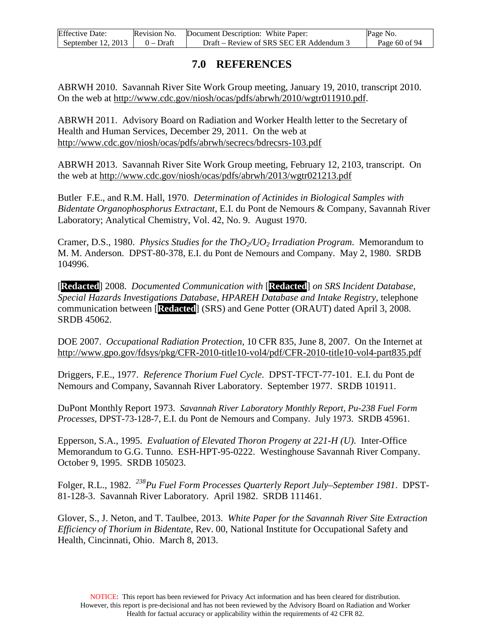| <b>Effective Date:</b> | Revision No. | Document Description: White Paper:      | Page No.        |
|------------------------|--------------|-----------------------------------------|-----------------|
| September $12, 2013$   | $0 - Dr$ aft | Draft – Review of SRS SEC ER Addendum 3 | Page $60$ of 94 |

## **7.0 REFERENCES**

ABRWH 2010. Savannah River Site Work Group meeting, January 19, 2010, transcript 2010. On the web at [http://www.cdc.gov/niosh/ocas/pdfs/abrwh/2010/wgtr011910.pdf.](http://www.cdc.gov/niosh/ocas/pdfs/abrwh/2010/wgtr011910.pdf)

ABRWH 2011. Advisory Board on Radiation and Worker Health letter to the Secretary of Health and Human Services, December 29, 2011. On the web at <http://www.cdc.gov/niosh/ocas/pdfs/abrwh/secrecs/bdrecsrs-103.pdf>

ABRWH 2013. Savannah River Site Work Group meeting, February 12, 2103, transcript. On the web at<http://www.cdc.gov/niosh/ocas/pdfs/abrwh/2013/wgtr021213.pdf>

Butler F.E., and R.M. Hall, 1970. *Determination of Actinides in Biological Samples with Bidentate Organophosphorus Extractant*, E.I. du Pont de Nemours & Company, Savannah River Laboratory; Analytical Chemistry, Vol. 42, No. 9. August 1970.

Cramer, D.S., 1980. *Physics Studies for the ThO2/UO2 Irradiation Program*. Memorandum to M. M. Anderson. DPST-80-378, E.I. du Pont de Nemours and Company. May 2, 1980. SRDB 104996.

[**Redacted**] 2008. *Documented Communication with* [**Redacted**] *on SRS Incident Database, Special Hazards Investigations Database, HPAREH Database and Intake Registry*, telephone communication between [**Redacted**] (SRS) and Gene Potter (ORAUT) dated April 3, 2008. SRDB 45062.

DOE 2007. *Occupational Radiation Protection*, 10 CFR 835, June 8, 2007. On the Internet at <http://www.gpo.gov/fdsys/pkg/CFR-2010-title10-vol4/pdf/CFR-2010-title10-vol4-part835.pdf>

Driggers, F.E., 1977. *Reference Thorium Fuel Cycle*. DPST-TFCT-77-101. E.I. du Pont de Nemours and Company, Savannah River Laboratory. September 1977. SRDB 101911.

DuPont Monthly Report 1973. *Savannah River Laboratory Monthly Report, Pu-238 Fuel Form Processes*, DPST-73-128-7, E.I. du Pont de Nemours and Company. July 1973. SRDB 45961.

Epperson, S.A., 1995. *Evaluation of Elevated Thoron Progeny at 221-H (U)*. Inter-Office Memorandum to G.G. Tunno. ESH-HPT-95-0222. Westinghouse Savannah River Company. October 9, 1995. SRDB 105023.

Folger, R.L., 1982. *238Pu Fuel Form Processes Quarterly Report July–September 1981*. DPST-81-128-3. Savannah River Laboratory. April 1982. SRDB 111461.

Glover, S., J. Neton, and T. Taulbee, 2013. *White Paper for the Savannah River Site Extraction Efficiency of Thorium in Bidentate*, Rev. 00, National Institute for Occupational Safety and Health, Cincinnati, Ohio. March 8, 2013.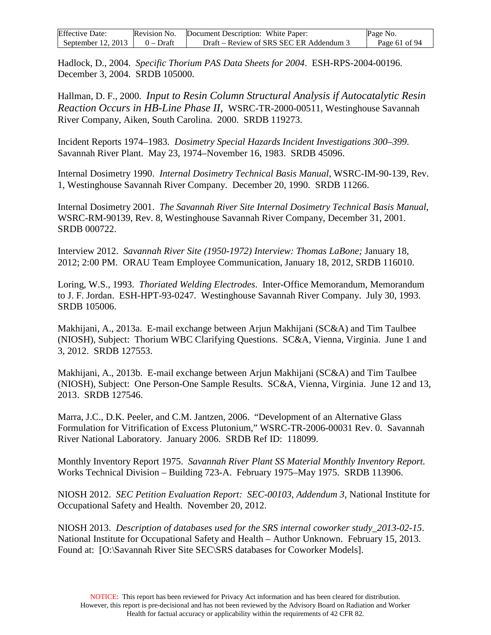| <b>Effective Date:</b> | Revision No. | Document Description: White Paper:      | Page No.      |
|------------------------|--------------|-----------------------------------------|---------------|
| September 12, 2013     | $0 - Dr$ aft | Draft – Review of SRS SEC ER Addendum 3 | Page 61 of 94 |

Hadlock, D., 2004. *Specific Thorium PAS Data Sheets for 2004*. ESH-RPS-2004-00196. December 3, 2004. SRDB 105000.

Hallman, D. F., 2000. *Input to Resin Column Structural Analysis if Autocatalytic Resin Reaction Occurs in HB-Line Phase II*, WSRC-TR-2000-00511, Westinghouse Savannah River Company, Aiken, South Carolina. 2000. SRDB 119273.

Incident Reports 1974–1983. *Dosimetry Special Hazards Incident Investigations 300–399*. Savannah River Plant. May 23, 1974–November 16, 1983. SRDB 45096.

Internal Dosimetry 1990. *Internal Dosimetry Technical Basis Manual*, WSRC-IM-90-139, Rev. 1, Westinghouse Savannah River Company. December 20, 1990. SRDB 11266.

Internal Dosimetry 2001. *The Savannah River Site Internal Dosimetry Technical Basis Manual*, WSRC-RM-90139, Rev. 8, Westinghouse Savannah River Company, December 31, 2001. SRDB 000722.

Interview 2012. *Savannah River Site (1950-1972) Interview: Thomas LaBone;* January 18, 2012; 2:00 PM. ORAU Team Employee Communication, January 18, 2012, SRDB 116010.

Loring, W.S., 1993. *Thoriated Welding Electrodes*. Inter-Office Memorandum, Memorandum to J. F. Jordan. ESH-HPT-93-0247. Westinghouse Savannah River Company. July 30, 1993. SRDB 105006.

Makhijani, A., 2013a. E-mail exchange between Arjun Makhijani (SC&A) and Tim Taulbee (NIOSH), Subject: Thorium WBC Clarifying Questions. SC&A, Vienna, Virginia. June 1 and 3, 2012. SRDB 127553.

Makhijani, A., 2013b. E-mail exchange between Arjun Makhijani (SC&A) and Tim Taulbee (NIOSH), Subject: One Person-One Sample Results. SC&A, Vienna, Virginia. June 12 and 13, 2013. SRDB 127546.

Marra, J.C., D.K. Peeler, and C.M. Jantzen, 2006. "Development of an Alternative Glass Formulation for Vitrification of Excess Plutonium," WSRC-TR-2006-00031 Rev. 0. Savannah River National Laboratory. January 2006. SRDB Ref ID: 118099.

Monthly Inventory Report 1975. *Savannah River Plant SS Material Monthly Inventory Report.* Works Technical Division – Building 723-A. February 1975–May 1975. SRDB 113906.

NIOSH 2012. *SEC Petition Evaluation Report: SEC-00103, Addendum 3*, National Institute for Occupational Safety and Health. November 20, 2012.

NIOSH 2013. *Description of databases used for the SRS internal coworker study\_2013-02-15*. National Institute for Occupational Safety and Health – Author Unknown. February 15, 2013. Found at: [O:\Savannah River Site SEC\SRS databases for Coworker Models].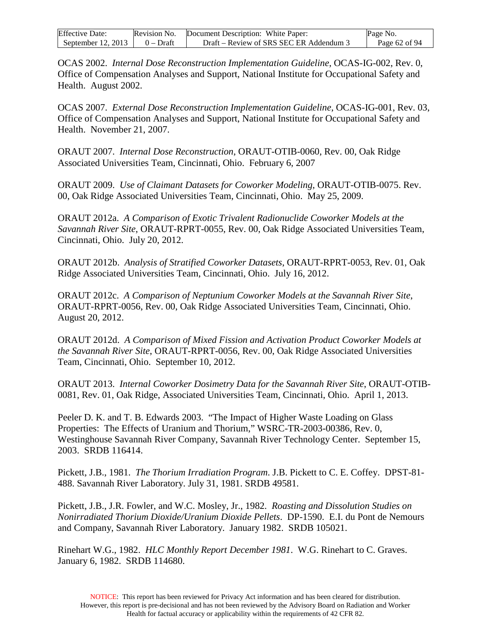| <b>Effective Date:</b> | Revision No. | Document Description: White Paper:      | Page No.      |
|------------------------|--------------|-----------------------------------------|---------------|
| September 12, 2013     | $0 - Dr$ aft | Draft – Review of SRS SEC ER Addendum 3 | Page 62 of 94 |

OCAS 2002. *Internal Dose Reconstruction Implementation Guideline*, OCAS-IG-002, Rev. 0, Office of Compensation Analyses and Support, National Institute for Occupational Safety and Health. August 2002.

OCAS 2007. *External Dose Reconstruction Implementation Guideline*, OCAS-IG-001, Rev. 03, Office of Compensation Analyses and Support, National Institute for Occupational Safety and Health. November 21, 2007.

ORAUT 2007. *Internal Dose Reconstruction*, ORAUT-OTIB-0060, Rev. 00, Oak Ridge Associated Universities Team, Cincinnati, Ohio. February 6, 2007

ORAUT 2009. *Use of Claimant Datasets for Coworker Modeling*, ORAUT-OTIB-0075. Rev. 00, Oak Ridge Associated Universities Team, Cincinnati, Ohio. May 25, 2009.

ORAUT 2012a. *A Comparison of Exotic Trivalent Radionuclide Coworker Models at the Savannah River Site*, ORAUT-RPRT-0055, Rev. 00, Oak Ridge Associated Universities Team, Cincinnati, Ohio. July 20, 2012.

ORAUT 2012b. *Analysis of Stratified Coworker Datasets*, ORAUT-RPRT-0053, Rev. 01, Oak Ridge Associated Universities Team, Cincinnati, Ohio. July 16, 2012.

ORAUT 2012c. *A Comparison of Neptunium Coworker Models at the Savannah River Site*, ORAUT-RPRT-0056, Rev. 00, Oak Ridge Associated Universities Team, Cincinnati, Ohio. August 20, 2012.

ORAUT 2012d. *A Comparison of Mixed Fission and Activation Product Coworker Models at the Savannah River Site*, ORAUT-RPRT-0056, Rev. 00, Oak Ridge Associated Universities Team, Cincinnati, Ohio. September 10, 2012.

ORAUT 2013. *Internal Coworker Dosimetry Data for the Savannah River Site*, ORAUT-OTIB-0081, Rev. 01, Oak Ridge, Associated Universities Team, Cincinnati, Ohio. April 1, 2013.

Peeler D. K. and T. B. Edwards 2003. "The Impact of Higher Waste Loading on Glass Properties: The Effects of Uranium and Thorium," WSRC-TR-2003-00386, Rev. 0, Westinghouse Savannah River Company, Savannah River Technology Center. September 15, 2003. SRDB 116414.

Pickett, J.B., 1981. *The Thorium Irradiation Program*. J.B. Pickett to C. E. Coffey. DPST-81- 488. Savannah River Laboratory. July 31, 1981. SRDB 49581.

Pickett, J.B., J.R. Fowler, and W.C. Mosley, Jr., 1982. *Roasting and Dissolution Studies on Nonirradiated Thorium Dioxide/Uranium Dioxide Pellets*. DP-1590. E.I. du Pont de Nemours and Company, Savannah River Laboratory. January 1982. SRDB 105021.

Rinehart W.G., 1982. *HLC Monthly Report December 1981*. W.G. Rinehart to C. Graves. January 6, 1982. SRDB 114680.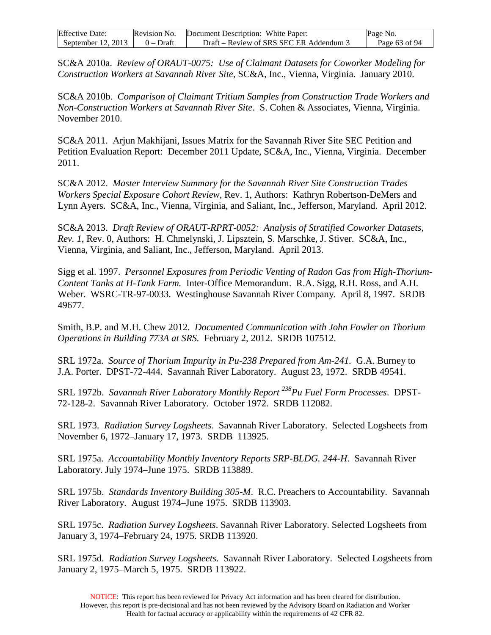| <b>Effective Date:</b> |              | Revision No. Document Description: White Paper: | Page No.      |
|------------------------|--------------|-------------------------------------------------|---------------|
| September 12, 2013     | $0 - Dr$ aft | Draft – Review of SRS SEC ER Addendum 3         | Page 63 of 94 |

SC&A 2010a. *Review of ORAUT-0075: Use of Claimant Datasets for Coworker Modeling for Construction Workers at Savannah River Site*, SC&A, Inc., Vienna, Virginia. January 2010.

SC&A 2010b. *Comparison of Claimant Tritium Samples from Construction Trade Workers and Non-Construction Workers at Savannah River Site*. S. Cohen & Associates, Vienna, Virginia. November 2010.

SC&A 2011. Arjun Makhijani, Issues Matrix for the Savannah River Site SEC Petition and Petition Evaluation Report: December 2011 Update, SC&A, Inc., Vienna, Virginia. December 2011.

SC&A 2012. *Master Interview Summary for the Savannah River Site Construction Trades Workers Special Exposure Cohort Review*, Rev. 1, Authors: Kathryn Robertson-DeMers and Lynn Ayers. SC&A, Inc., Vienna, Virginia, and Saliant, Inc., Jefferson, Maryland. April 2012.

SC&A 2013. *Draft Review of ORAUT-RPRT-0052: Analysis of Stratified Coworker Datasets, Rev. 1*, Rev. 0, Authors: H. Chmelynski, J. Lipsztein, S. Marschke, J. Stiver. SC&A, Inc., Vienna, Virginia, and Saliant, Inc., Jefferson, Maryland. April 2013.

Sigg et al. 1997. *Personnel Exposures from Periodic Venting of Radon Gas from High-Thorium-Content Tanks at H-Tank Farm.* Inter-Office Memorandum. R.A. Sigg, R.H. Ross, and A.H. Weber. WSRC-TR-97-0033. Westinghouse Savannah River Company. April 8, 1997. SRDB 49677.

Smith, B.P. and M.H. Chew 2012. *Documented Communication with John Fowler on Thorium Operations in Building 773A at SRS.* February 2, 2012. SRDB 107512.

SRL 1972a. *Source of Thorium Impurity in Pu-238 Prepared from Am-241.* G.A. Burney to J.A. Porter. DPST-72-444. Savannah River Laboratory. August 23, 1972. SRDB 49541.

SRL 1972b. Savannah River Laboratory Monthly Report<sup>238</sup>Pu Fuel Form Processes. DPST-72-128-2. Savannah River Laboratory. October 1972. SRDB 112082.

SRL 1973. *Radiation Survey Logsheets*. Savannah River Laboratory. Selected Logsheets from November 6, 1972–January 17, 1973. SRDB 113925.

SRL 1975a. *Accountability Monthly Inventory Reports SRP-BLDG. 244-H*. Savannah River Laboratory. July 1974–June 1975. SRDB 113889.

SRL 1975b. *Standards Inventory Building 305-M*. R.C. Preachers to Accountability. Savannah River Laboratory. August 1974–June 1975. SRDB 113903.

SRL 1975c. *Radiation Survey Logsheets*. Savannah River Laboratory. Selected Logsheets from January 3, 1974–February 24, 1975. SRDB 113920.

SRL 1975d. *Radiation Survey Logsheets*. Savannah River Laboratory. Selected Logsheets from January 2, 1975–March 5, 1975. SRDB 113922.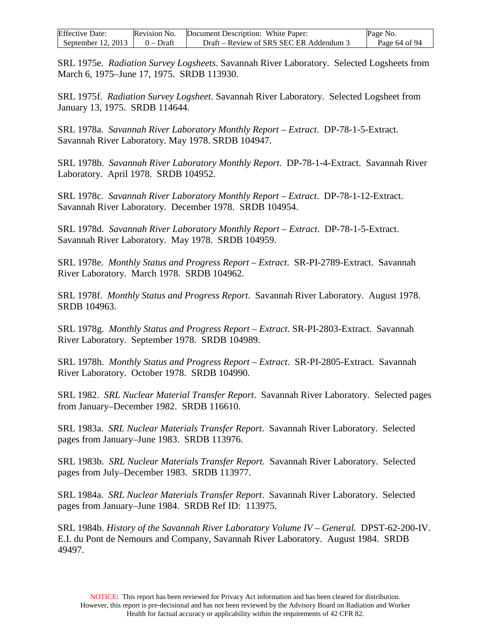| <b>Effective Date:</b> | Revision No. | Document Description: White Paper:      | Page No.      |
|------------------------|--------------|-----------------------------------------|---------------|
| September 12, $2013$   | $0 - Dr$ aft | Draft – Review of SRS SEC ER Addendum 3 | Page 64 of 94 |

SRL 1975e. *Radiation Survey Logsheets*. Savannah River Laboratory. Selected Logsheets from March 6, 1975–June 17, 1975. SRDB 113930.

SRL 1975f. *Radiation Survey Logsheet*. Savannah River Laboratory. Selected Logsheet from January 13, 1975. SRDB 114644.

SRL 1978a. *Savannah River Laboratory Monthly Report – Extract*. DP-78-1-5-Extract. Savannah River Laboratory. May 1978. SRDB 104947.

SRL 1978b. *Savannah River Laboratory Monthly Report*. DP-78-1-4-Extract. Savannah River Laboratory. April 1978. SRDB 104952.

SRL 1978c. *Savannah River Laboratory Monthly Report – Extract*. DP-78-1-12-Extract. Savannah River Laboratory. December 1978. SRDB 104954.

SRL 1978d. *Savannah River Laboratory Monthly Report – Extract*. DP-78-1-5-Extract. Savannah River Laboratory. May 1978. SRDB 104959.

SRL 1978e. *Monthly Status and Progress Report – Extract*. SR-PI-2789-Extract. Savannah River Laboratory. March 1978. SRDB 104962.

SRL 1978f. *Monthly Status and Progress Report*. Savannah River Laboratory. August 1978. SRDB 104963.

SRL 1978g. *Monthly Status and Progress Report – Extract*. SR-PI-2803-Extract. Savannah River Laboratory. September 1978. SRDB 104989.

SRL 1978h. *Monthly Status and Progress Report – Extract*. SR-PI-2805-Extract. Savannah River Laboratory. October 1978. SRDB 104990.

SRL 1982. *SRL Nuclear Material Transfer Report*. Savannah River Laboratory. Selected pages from January–December 1982. SRDB 116610.

SRL 1983a. *SRL Nuclear Materials Transfer Report*. Savannah River Laboratory. Selected pages from January–June 1983. SRDB 113976.

SRL 1983b. *SRL Nuclear Materials Transfer Report*. Savannah River Laboratory. Selected pages from July–December 1983. SRDB 113977.

SRL 1984a. *SRL Nuclear Materials Transfer Report*. Savannah River Laboratory. Selected pages from January–June 1984. SRDB Ref ID: 113975.

SRL 1984b. *History of the Savannah River Laboratory Volume IV – General.* DPST-62-200-IV. E.I. du Pont de Nemours and Company, Savannah River Laboratory. August 1984. SRDB 49497.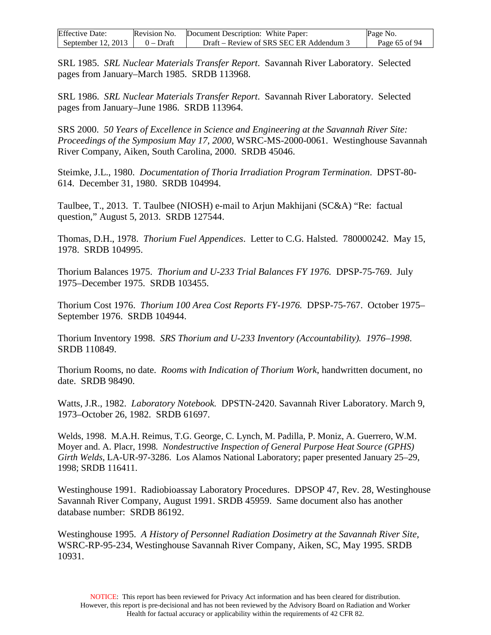| <b>Effective Date:</b> | Revision No. | Document Description: White Paper:    | Page No.      |
|------------------------|--------------|---------------------------------------|---------------|
| September 12, $2013$   | $0 - Draff$  | Draft – Review of SRS SEC ER Addendum | Page 65 of 94 |

SRL 1985. *SRL Nuclear Materials Transfer Report*. Savannah River Laboratory. Selected pages from January–March 1985. SRDB 113968.

SRL 1986. *SRL Nuclear Materials Transfer Report*. Savannah River Laboratory. Selected pages from January–June 1986. SRDB 113964.

SRS 2000. *50 Years of Excellence in Science and Engineering at the Savannah River Site: Proceedings of the Symposium May 17, 2000*, WSRC-MS-2000-0061. Westinghouse Savannah River Company, Aiken, South Carolina, 2000. SRDB 45046.

Steimke, J.L., 1980. *Documentation of Thoria Irradiation Program Termination*. DPST-80- 614. December 31, 1980. SRDB 104994.

Taulbee, T., 2013. T. Taulbee (NIOSH) e-mail to Arjun Makhijani (SC&A) "Re: factual question," August 5, 2013. SRDB 127544.

Thomas, D.H., 1978. *Thorium Fuel Appendices*. Letter to C.G. Halsted. 780000242. May 15, 1978. SRDB 104995.

Thorium Balances 1975. *Thorium and U-233 Trial Balances FY 1976.* DPSP-75-769. July 1975–December 1975. SRDB 103455.

Thorium Cost 1976. *Thorium 100 Area Cost Reports FY-1976.* DPSP-75-767. October 1975– September 1976. SRDB 104944.

Thorium Inventory 1998. *SRS Thorium and U-233 Inventory (Accountability). 1976–1998*. SRDB 110849.

Thorium Rooms, no date. *Rooms with Indication of Thorium Work*, handwritten document, no date. SRDB 98490.

Watts, J.R., 1982. *Laboratory Notebook.* DPSTN-2420. Savannah River Laboratory. March 9, 1973–October 26, 1982. SRDB 61697.

Welds, 1998. M.A.H. Reimus, T.G. George, C. Lynch, M. Padilla, P. Moniz, A. Guerrero, W.M. Moyer and. A. Placr, 1998. *Nondestructive Inspection of General Purpose Heat Source (GPHS) Girth Welds*, LA-UR-97-3286. Los Alamos National Laboratory; paper presented January 25–29, 1998; SRDB 116411.

Westinghouse 1991. Radiobioassay Laboratory Procedures. DPSOP 47, Rev. 28, Westinghouse Savannah River Company, August 1991. SRDB 45959. Same document also has another database number: SRDB 86192.

Westinghouse 1995. *A History of Personnel Radiation Dosimetry at the Savannah River Site,*  WSRC-RP-95-234, Westinghouse Savannah River Company, Aiken, SC, May 1995. SRDB 10931.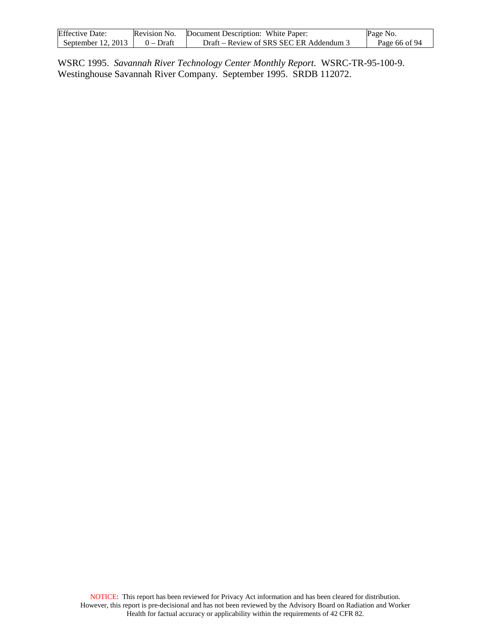| <b>Effective Date:</b> | Revision No. | Document Description: White Paper:     | Page No.      |
|------------------------|--------------|----------------------------------------|---------------|
| September $12, 2013$   | $0$ – Draft  | Draft – Review of SRS SEC ER Addendum. | Page 66 of 94 |

WSRC 1995. *Savannah River Technology Center Monthly Report.* WSRC-TR-95-100-9. Westinghouse Savannah River Company. September 1995. SRDB 112072.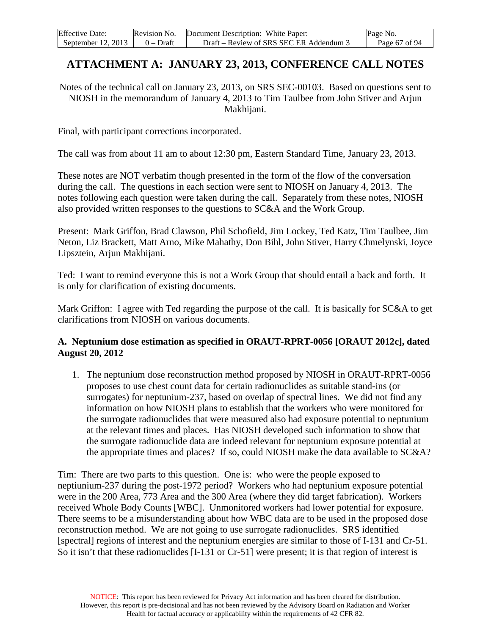| <b>Effective Date:</b> | Revision No. | Document Description: White Paper:      | Page No.      |
|------------------------|--------------|-----------------------------------------|---------------|
| September 12, $2013$   | $0 - Dr$ aft | Draft – Review of SRS SEC ER Addendum 3 | Page 67 of 94 |

# **ATTACHMENT A: JANUARY 23, 2013, CONFERENCE CALL NOTES**

Notes of the technical call on January 23, 2013, on SRS SEC-00103. Based on questions sent to NIOSH in the memorandum of January 4, 2013 to Tim Taulbee from John Stiver and Arjun Makhijani.

Final, with participant corrections incorporated.

The call was from about 11 am to about 12:30 pm, Eastern Standard Time, January 23, 2013.

These notes are NOT verbatim though presented in the form of the flow of the conversation during the call. The questions in each section were sent to NIOSH on January 4, 2013. The notes following each question were taken during the call. Separately from these notes, NIOSH also provided written responses to the questions to SC&A and the Work Group.

Present: Mark Griffon, Brad Clawson, Phil Schofield, Jim Lockey, Ted Katz, Tim Taulbee, Jim Neton, Liz Brackett, Matt Arno, Mike Mahathy, Don Bihl, John Stiver, Harry Chmelynski, Joyce Lipsztein, Arjun Makhijani.

Ted: I want to remind everyone this is not a Work Group that should entail a back and forth. It is only for clarification of existing documents.

Mark Griffon: I agree with Ted regarding the purpose of the call. It is basically for SC&A to get clarifications from NIOSH on various documents.

#### **A. Neptunium dose estimation as specified in ORAUT-RPRT-0056 [ORAUT 2012c], dated August 20, 2012**

1. The neptunium dose reconstruction method proposed by NIOSH in ORAUT-RPRT-0056 proposes to use chest count data for certain radionuclides as suitable stand-ins (or surrogates) for neptunium-237, based on overlap of spectral lines. We did not find any information on how NIOSH plans to establish that the workers who were monitored for the surrogate radionuclides that were measured also had exposure potential to neptunium at the relevant times and places. Has NIOSH developed such information to show that the surrogate radionuclide data are indeed relevant for neptunium exposure potential at the appropriate times and places? If so, could NIOSH make the data available to SC&A?

Tim: There are two parts to this question. One is: who were the people exposed to neptiunium-237 during the post-1972 period? Workers who had neptunium exposure potential were in the 200 Area, 773 Area and the 300 Area (where they did target fabrication). Workers received Whole Body Counts [WBC]. Unmonitored workers had lower potential for exposure. There seems to be a misunderstanding about how WBC data are to be used in the proposed dose reconstruction method. We are not going to use surrogate radionuclides. SRS identified [spectral] regions of interest and the neptunium energies are similar to those of I-131 and Cr-51. So it isn't that these radionuclides [I-131 or Cr-51] were present; it is that region of interest is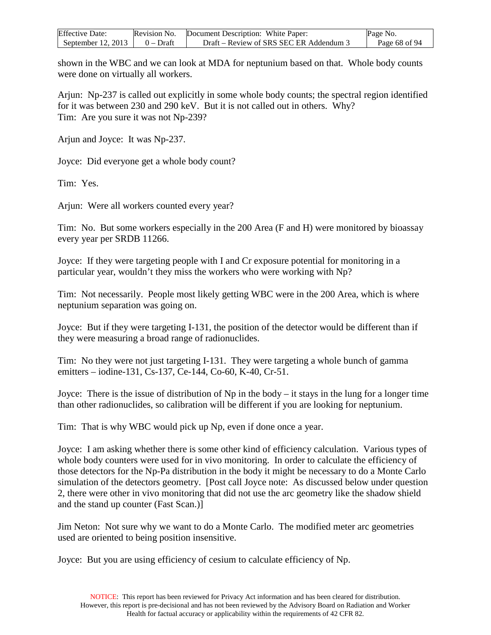| <b>Effective Date:</b> | Revision No. | Document Description: White Paper:      | Page No.      |
|------------------------|--------------|-----------------------------------------|---------------|
| September $12, 2013$   | $0$ – Draft  | Draft – Review of SRS SEC ER Addendum 3 | Page 68 of 94 |

shown in the WBC and we can look at MDA for neptunium based on that. Whole body counts were done on virtually all workers.

Arjun: Np-237 is called out explicitly in some whole body counts; the spectral region identified for it was between 230 and 290 keV. But it is not called out in others. Why? Tim: Are you sure it was not Np-239?

Arjun and Joyce: It was Np-237.

Joyce: Did everyone get a whole body count?

Tim: Yes.

Arjun: Were all workers counted every year?

Tim: No. But some workers especially in the 200 Area (F and H) were monitored by bioassay every year per SRDB 11266.

Joyce: If they were targeting people with I and Cr exposure potential for monitoring in a particular year, wouldn't they miss the workers who were working with Np?

Tim: Not necessarily. People most likely getting WBC were in the 200 Area, which is where neptunium separation was going on.

Joyce: But if they were targeting I-131, the position of the detector would be different than if they were measuring a broad range of radionuclides.

Tim: No they were not just targeting I-131. They were targeting a whole bunch of gamma emitters – iodine-131, Cs-137, Ce-144, Co-60, K-40, Cr-51.

Joyce: There is the issue of distribution of Np in the body – it stays in the lung for a longer time than other radionuclides, so calibration will be different if you are looking for neptunium.

Tim: That is why WBC would pick up Np, even if done once a year.

Joyce: I am asking whether there is some other kind of efficiency calculation. Various types of whole body counters were used for in vivo monitoring. In order to calculate the efficiency of those detectors for the Np-Pa distribution in the body it might be necessary to do a Monte Carlo simulation of the detectors geometry. [Post call Joyce note: As discussed below under question 2, there were other in vivo monitoring that did not use the arc geometry like the shadow shield and the stand up counter (Fast Scan.)]

Jim Neton: Not sure why we want to do a Monte Carlo. The modified meter arc geometries used are oriented to being position insensitive.

Joyce: But you are using efficiency of cesium to calculate efficiency of Np.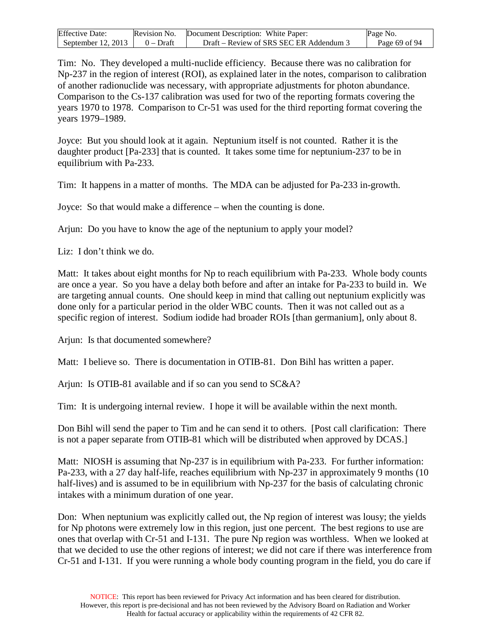| <b>Effective Date:</b>               | Revision No. Document Description: White Paper: | Page No.      |
|--------------------------------------|-------------------------------------------------|---------------|
| September 12, 2013 $\vert$ 0 – Draft | Draft – Review of SRS SEC ER Addendum 3         | Page 69 of 94 |

Tim: No. They developed a multi-nuclide efficiency. Because there was no calibration for Np-237 in the region of interest (ROI), as explained later in the notes, comparison to calibration of another radionuclide was necessary, with appropriate adjustments for photon abundance. Comparison to the Cs-137 calibration was used for two of the reporting formats covering the years 1970 to 1978. Comparison to Cr-51 was used for the third reporting format covering the years 1979–1989.

Joyce: But you should look at it again. Neptunium itself is not counted. Rather it is the daughter product [Pa-233] that is counted. It takes some time for neptunium-237 to be in equilibrium with Pa-233.

Tim: It happens in a matter of months. The MDA can be adjusted for Pa-233 in-growth.

Joyce: So that would make a difference – when the counting is done.

Arjun: Do you have to know the age of the neptunium to apply your model?

Liz: I don't think we do.

Matt: It takes about eight months for Np to reach equilibrium with Pa-233. Whole body counts are once a year. So you have a delay both before and after an intake for Pa-233 to build in. We are targeting annual counts. One should keep in mind that calling out neptunium explicitly was done only for a particular period in the older WBC counts. Then it was not called out as a specific region of interest. Sodium iodide had broader ROIs [than germanium], only about 8.

Arjun: Is that documented somewhere?

Matt: I believe so. There is documentation in OTIB-81. Don Bihl has written a paper.

Arjun: Is OTIB-81 available and if so can you send to SC&A?

Tim: It is undergoing internal review. I hope it will be available within the next month.

Don Bihl will send the paper to Tim and he can send it to others. [Post call clarification: There is not a paper separate from OTIB-81 which will be distributed when approved by DCAS.]

Matt: NIOSH is assuming that Np-237 is in equilibrium with Pa-233. For further information: Pa-233, with a 27 day half-life, reaches equilibrium with Np-237 in approximately 9 months (10 half-lives) and is assumed to be in equilibrium with Np-237 for the basis of calculating chronic intakes with a minimum duration of one year.

Don: When neptunium was explicitly called out, the Np region of interest was lousy; the yields for Np photons were extremely low in this region, just one percent. The best regions to use are ones that overlap with Cr-51 and I-131. The pure Np region was worthless. When we looked at that we decided to use the other regions of interest; we did not care if there was interference from Cr-51 and I-131. If you were running a whole body counting program in the field, you do care if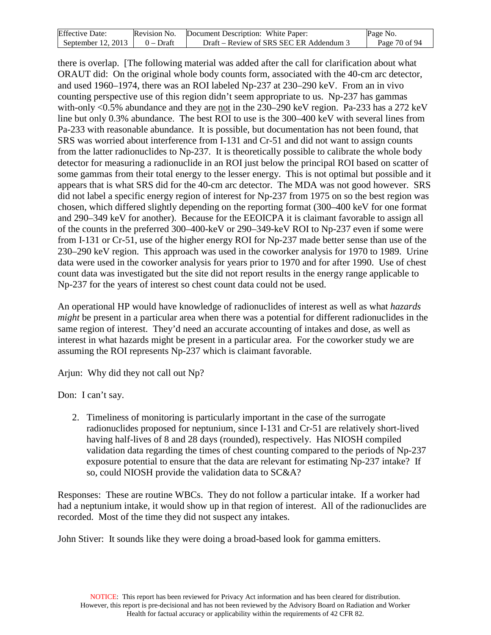| <b>Effective Date:</b> | Revision No. | Document Description: White Paper:      | Page No.      |
|------------------------|--------------|-----------------------------------------|---------------|
| September $12, 2013$   | $0 - Draff$  | Draft – Review of SRS SEC ER Addendum 3 | Page 70 of 94 |

there is overlap. [The following material was added after the call for clarification about what ORAUT did: On the original whole body counts form, associated with the 40-cm arc detector, and used 1960–1974, there was an ROI labeled Np-237 at 230–290 keV. From an in vivo counting perspective use of this region didn't seem appropriate to us. Np-237 has gammas with-only <0.5% abundance and they are not in the 230–290 keV region. Pa-233 has a 272 keV line but only 0.3% abundance. The best ROI to use is the 300–400 keV with several lines from Pa-233 with reasonable abundance. It is possible, but documentation has not been found, that SRS was worried about interference from I-131 and Cr-51 and did not want to assign counts from the latter radionuclides to Np-237. It is theoretically possible to calibrate the whole body detector for measuring a radionuclide in an ROI just below the principal ROI based on scatter of some gammas from their total energy to the lesser energy. This is not optimal but possible and it appears that is what SRS did for the 40-cm arc detector. The MDA was not good however. SRS did not label a specific energy region of interest for Np-237 from 1975 on so the best region was chosen, which differed slightly depending on the reporting format (300–400 keV for one format and 290–349 keV for another). Because for the EEOICPA it is claimant favorable to assign all of the counts in the preferred 300–400-keV or 290–349-keV ROI to Np-237 even if some were from I-131 or Cr-51, use of the higher energy ROI for Np-237 made better sense than use of the 230–290 keV region. This approach was used in the coworker analysis for 1970 to 1989. Urine data were used in the coworker analysis for years prior to 1970 and for after 1990. Use of chest count data was investigated but the site did not report results in the energy range applicable to Np-237 for the years of interest so chest count data could not be used.

An operational HP would have knowledge of radionuclides of interest as well as what *hazards might* be present in a particular area when there was a potential for different radionuclides in the same region of interest. They'd need an accurate accounting of intakes and dose, as well as interest in what hazards might be present in a particular area. For the coworker study we are assuming the ROI represents Np-237 which is claimant favorable.

Arjun: Why did they not call out Np?

Don: I can't say.

2. Timeliness of monitoring is particularly important in the case of the surrogate radionuclides proposed for neptunium, since I-131 and Cr-51 are relatively short-lived having half-lives of 8 and 28 days (rounded), respectively. Has NIOSH compiled validation data regarding the times of chest counting compared to the periods of Np-237 exposure potential to ensure that the data are relevant for estimating Np-237 intake? If so, could NIOSH provide the validation data to SC&A?

Responses: These are routine WBCs. They do not follow a particular intake. If a worker had had a neptunium intake, it would show up in that region of interest. All of the radionuclides are recorded. Most of the time they did not suspect any intakes.

John Stiver: It sounds like they were doing a broad-based look for gamma emitters.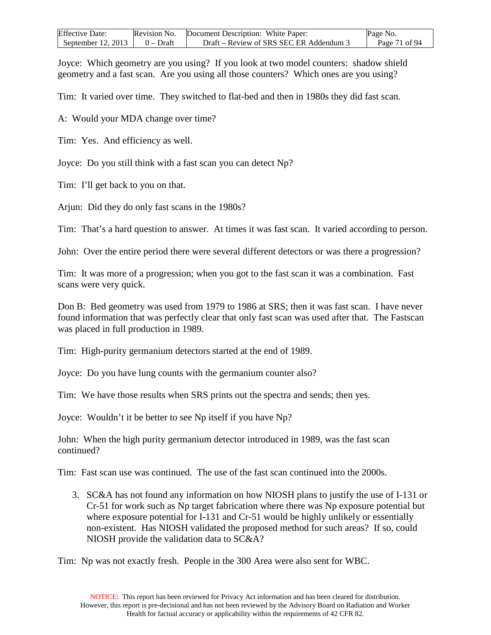| <b>Effective Date:</b> | Revision No. | Document Description: White Paper:    | Page No.      |
|------------------------|--------------|---------------------------------------|---------------|
| September 12, 2013     | $0 - Draff$  | Draft – Review of SRS SEC ER Addendum | Page 71 of 94 |

Joyce: Which geometry are you using? If you look at two model counters: shadow shield geometry and a fast scan. Are you using all those counters? Which ones are you using?

Tim: It varied over time. They switched to flat-bed and then in 1980s they did fast scan.

A: Would your MDA change over time?

Tim: Yes. And efficiency as well.

Joyce: Do you still think with a fast scan you can detect Np?

Tim: I'll get back to you on that.

Arjun: Did they do only fast scans in the 1980s?

Tim: That's a hard question to answer. At times it was fast scan. It varied according to person.

John: Over the entire period there were several different detectors or was there a progression?

Tim: It was more of a progression; when you got to the fast scan it was a combination. Fast scans were very quick.

Don B: Bed geometry was used from 1979 to 1986 at SRS; then it was fast scan. I have never found information that was perfectly clear that only fast scan was used after that. The Fastscan was placed in full production in 1989.

Tim: High-purity germanium detectors started at the end of 1989.

Joyce: Do you have lung counts with the germanium counter also?

Tim: We have those results when SRS prints out the spectra and sends; then yes.

Joyce: Wouldn't it be better to see Np itself if you have Np?

John: When the high purity germanium detector introduced in 1989, was the fast scan continued?

Tim: Fast scan use was continued. The use of the fast scan continued into the 2000s.

3. SC&A has not found any information on how NIOSH plans to justify the use of I-131 or Cr-51 for work such as Np target fabrication where there was Np exposure potential but where exposure potential for I-131 and Cr-51 would be highly unlikely or essentially non-existent. Has NIOSH validated the proposed method for such areas? If so, could NIOSH provide the validation data to SC&A?

Tim: Np was not exactly fresh. People in the 300 Area were also sent for WBC.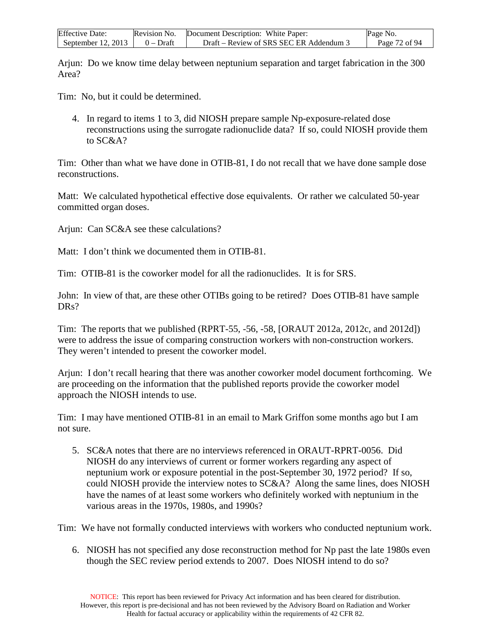| <b>Effective Date:</b> | Revision No. | Document Description: White Paper:      | Page No.      |
|------------------------|--------------|-----------------------------------------|---------------|
| September $12, 2013$   | $0$ – Draft  | Draft – Review of SRS SEC ER Addendum 3 | Page 72 of 94 |

Arjun: Do we know time delay between neptunium separation and target fabrication in the 300 Area?

Tim: No, but it could be determined.

4. In regard to items 1 to 3, did NIOSH prepare sample Np-exposure-related dose reconstructions using the surrogate radionuclide data? If so, could NIOSH provide them to SC&A?

Tim: Other than what we have done in OTIB-81, I do not recall that we have done sample dose reconstructions.

Matt: We calculated hypothetical effective dose equivalents. Or rather we calculated 50-year committed organ doses.

Arjun: Can SC&A see these calculations?

Matt: I don't think we documented them in OTIB-81.

Tim: OTIB-81 is the coworker model for all the radionuclides. It is for SRS.

John: In view of that, are these other OTIBs going to be retired? Does OTIB-81 have sample DR<sub>s</sub>?

Tim: The reports that we published (RPRT-55, -56, -58, [ORAUT 2012a, 2012c, and 2012d]) were to address the issue of comparing construction workers with non-construction workers. They weren't intended to present the coworker model.

Arjun: I don't recall hearing that there was another coworker model document forthcoming. We are proceeding on the information that the published reports provide the coworker model approach the NIOSH intends to use.

Tim: I may have mentioned OTIB-81 in an email to Mark Griffon some months ago but I am not sure.

5. SC&A notes that there are no interviews referenced in ORAUT-RPRT-0056. Did NIOSH do any interviews of current or former workers regarding any aspect of neptunium work or exposure potential in the post-September 30, 1972 period? If so, could NIOSH provide the interview notes to SC&A? Along the same lines, does NIOSH have the names of at least some workers who definitely worked with neptunium in the various areas in the 1970s, 1980s, and 1990s?

Tim: We have not formally conducted interviews with workers who conducted neptunium work.

6. NIOSH has not specified any dose reconstruction method for Np past the late 1980s even though the SEC review period extends to 2007. Does NIOSH intend to do so?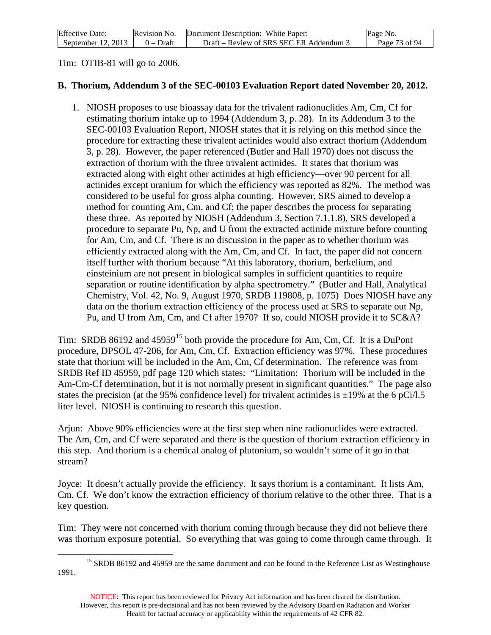| <b>Effective Date:</b> | Revision No. | Document Description: White Paper:      | Page No.      |
|------------------------|--------------|-----------------------------------------|---------------|
| September $12, 2013$   | $0 - Dr$ aft | Draft – Review of SRS SEC ER Addendum 3 | Page 73 of 94 |

Tim: OTIB-81 will go to 2006.

## **B. Thorium, Addendum 3 of the SEC-00103 Evaluation Report dated November 20, 2012.**

1. NIOSH proposes to use bioassay data for the trivalent radionuclides Am, Cm, Cf for estimating thorium intake up to 1994 (Addendum 3, p. 28). In its Addendum 3 to the SEC-00103 Evaluation Report, NIOSH states that it is relying on this method since the procedure for extracting these trivalent actinides would also extract thorium (Addendum 3, p. 28). However, the paper referenced (Butler and Hall 1970) does not discuss the extraction of thorium with the three trivalent actinides. It states that thorium was extracted along with eight other actinides at high efficiency—over 90 percent for all actinides except uranium for which the efficiency was reported as 82%. The method was considered to be useful for gross alpha counting. However, SRS aimed to develop a method for counting Am, Cm, and Cf; the paper describes the process for separating these three. As reported by NIOSH (Addendum 3, Section 7.1.1.8), SRS developed a procedure to separate Pu, Np, and U from the extracted actinide mixture before counting for Am, Cm, and Cf. There is no discussion in the paper as to whether thorium was efficiently extracted along with the Am, Cm, and Cf. In fact, the paper did not concern itself further with thorium because "At this laboratory, thorium, berkelium, and einsteinium are not present in biological samples in sufficient quantities to require separation or routine identification by alpha spectrometry." (Butler and Hall, Analytical Chemistry, Vol. 42, No. 9, August 1970, SRDB 119808, p. 1075) Does NIOSH have any data on the thorium extraction efficiency of the process used at SRS to separate out Np, Pu, and U from Am, Cm, and Cf after 1970? If so, could NIOSH provide it to SC&A?

Tim: SRDB 86192 and 45959<sup>[15](#page-72-0)</sup> both provide the procedure for Am, Cm, Cf. It is a DuPont procedure, DPSOL 47-206, for Am, Cm, Cf. Extraction efficiency was 97%. These procedures state that thorium will be included in the Am, Cm, Cf determination. The reference was from SRDB Ref ID 45959, pdf page 120 which states: "Limitation: Thorium will be included in the Am-Cm-Cf determination, but it is not normally present in significant quantities." The page also states the precision (at the 95% confidence level) for trivalent actinides is  $\pm 19\%$  at the 6 pCi/l.5 liter level. NIOSH is continuing to research this question.

Arjun: Above 90% efficiencies were at the first step when nine radionuclides were extracted. The Am, Cm, and Cf were separated and there is the question of thorium extraction efficiency in this step. And thorium is a chemical analog of plutonium, so wouldn't some of it go in that stream?

Joyce: It doesn't actually provide the efficiency. It says thorium is a contaminant. It lists Am, Cm, Cf. We don't know the extraction efficiency of thorium relative to the other three. That is a key question.

Tim: They were not concerned with thorium coming through because they did not believe there was thorium exposure potential. So everything that was going to come through came through. It

<span id="page-72-0"></span><sup>&</sup>lt;sup>15</sup> SRDB 86192 and 45959 are the same document and can be found in the Reference List as Westinghouse 1991.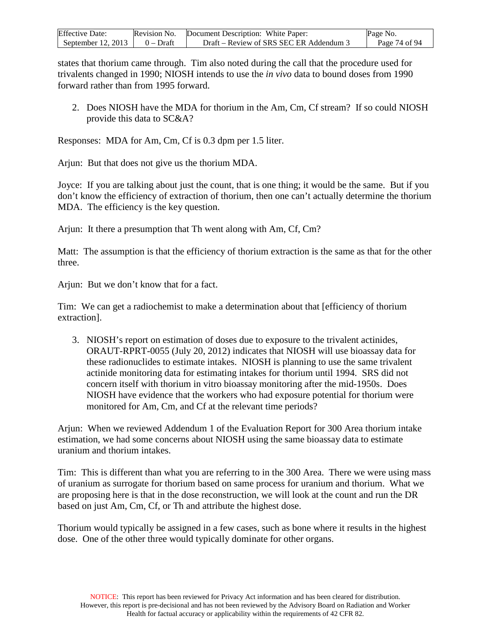| <b>Effective Date:</b> | Revision No. | Document Description: White Paper:    | Page No.      |
|------------------------|--------------|---------------------------------------|---------------|
| September 12, 2013     | $0 - Draff$  | Draft – Review of SRS SEC ER Addendum | Page 74 of 94 |

states that thorium came through. Tim also noted during the call that the procedure used for trivalents changed in 1990; NIOSH intends to use the *in vivo* data to bound doses from 1990 forward rather than from 1995 forward.

2. Does NIOSH have the MDA for thorium in the Am, Cm, Cf stream? If so could NIOSH provide this data to SC&A?

Responses: MDA for Am, Cm, Cf is 0.3 dpm per 1.5 liter.

Arjun: But that does not give us the thorium MDA.

Joyce: If you are talking about just the count, that is one thing; it would be the same. But if you don't know the efficiency of extraction of thorium, then one can't actually determine the thorium MDA. The efficiency is the key question.

Arjun: It there a presumption that Th went along with Am, Cf, Cm?

Matt: The assumption is that the efficiency of thorium extraction is the same as that for the other three.

Arjun: But we don't know that for a fact.

Tim: We can get a radiochemist to make a determination about that [efficiency of thorium extraction].

3. NIOSH's report on estimation of doses due to exposure to the trivalent actinides, ORAUT-RPRT-0055 (July 20, 2012) indicates that NIOSH will use bioassay data for these radionuclides to estimate intakes. NIOSH is planning to use the same trivalent actinide monitoring data for estimating intakes for thorium until 1994. SRS did not concern itself with thorium in vitro bioassay monitoring after the mid-1950s. Does NIOSH have evidence that the workers who had exposure potential for thorium were monitored for Am, Cm, and Cf at the relevant time periods?

Arjun: When we reviewed Addendum 1 of the Evaluation Report for 300 Area thorium intake estimation, we had some concerns about NIOSH using the same bioassay data to estimate uranium and thorium intakes.

Tim: This is different than what you are referring to in the 300 Area. There we were using mass of uranium as surrogate for thorium based on same process for uranium and thorium. What we are proposing here is that in the dose reconstruction, we will look at the count and run the DR based on just Am, Cm, Cf, or Th and attribute the highest dose.

Thorium would typically be assigned in a few cases, such as bone where it results in the highest dose. One of the other three would typically dominate for other organs.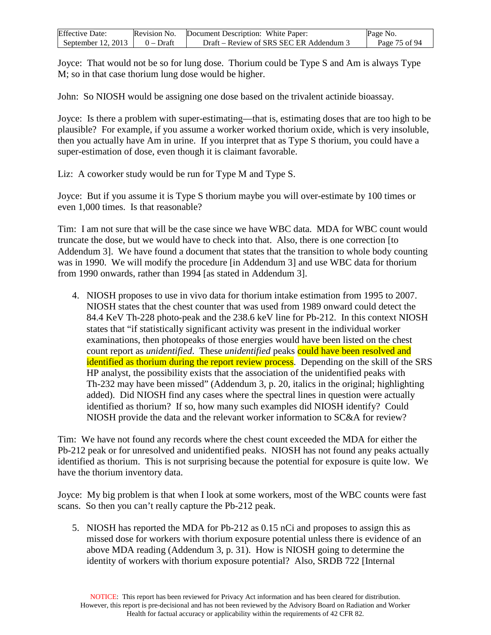| <b>Effective Date:</b> | Revision No. | Document Description: White Paper:      | Page No.      |
|------------------------|--------------|-----------------------------------------|---------------|
| September $12, 2013$   | $0 - Dr$ aft | Draft – Review of SRS SEC ER Addendum 3 | Page 75 of 94 |

Joyce: That would not be so for lung dose. Thorium could be Type S and Am is always Type M; so in that case thorium lung dose would be higher.

John: So NIOSH would be assigning one dose based on the trivalent actinide bioassay.

Joyce: Is there a problem with super-estimating—that is, estimating doses that are too high to be plausible? For example, if you assume a worker worked thorium oxide, which is very insoluble, then you actually have Am in urine. If you interpret that as Type S thorium, you could have a super-estimation of dose, even though it is claimant favorable.

Liz: A coworker study would be run for Type M and Type S.

Joyce: But if you assume it is Type S thorium maybe you will over-estimate by 100 times or even 1,000 times. Is that reasonable?

Tim: I am not sure that will be the case since we have WBC data. MDA for WBC count would truncate the dose, but we would have to check into that. Also, there is one correction [to Addendum 3]. We have found a document that states that the transition to whole body counting was in 1990. We will modify the procedure [in Addendum 3] and use WBC data for thorium from 1990 onwards, rather than 1994 [as stated in Addendum 3].

4. NIOSH proposes to use in vivo data for thorium intake estimation from 1995 to 2007. NIOSH states that the chest counter that was used from 1989 onward could detect the 84.4 KeV Th-228 photo-peak and the 238.6 keV line for Pb-212. In this context NIOSH states that "if statistically significant activity was present in the individual worker examinations, then photopeaks of those energies would have been listed on the chest count report as *unidentified*. These *unidentified* peaks could have been resolved and identified as thorium during the report review process. Depending on the skill of the SRS HP analyst, the possibility exists that the association of the unidentified peaks with Th-232 may have been missed" (Addendum 3, p. 20, italics in the original; highlighting added). Did NIOSH find any cases where the spectral lines in question were actually identified as thorium? If so, how many such examples did NIOSH identify? Could NIOSH provide the data and the relevant worker information to SC&A for review?

Tim: We have not found any records where the chest count exceeded the MDA for either the Pb-212 peak or for unresolved and unidentified peaks. NIOSH has not found any peaks actually identified as thorium. This is not surprising because the potential for exposure is quite low. We have the thorium inventory data.

Joyce: My big problem is that when I look at some workers, most of the WBC counts were fast scans. So then you can't really capture the Pb-212 peak.

5. NIOSH has reported the MDA for Pb-212 as 0.15 nCi and proposes to assign this as missed dose for workers with thorium exposure potential unless there is evidence of an above MDA reading (Addendum 3, p. 31). How is NIOSH going to determine the identity of workers with thorium exposure potential? Also, SRDB 722 [Internal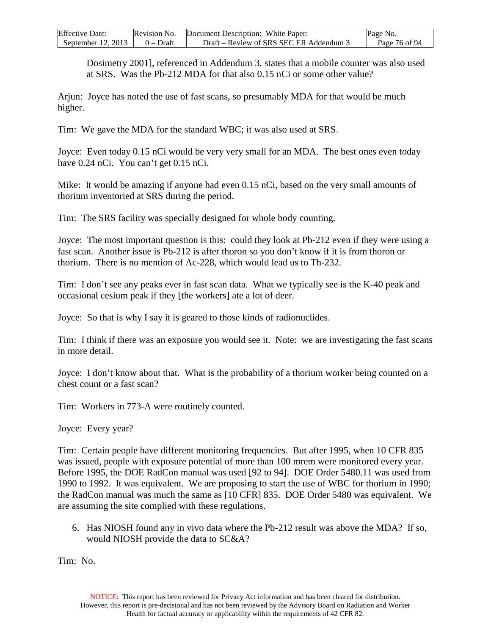| <b>Effective Date:</b> | Revision No. | Document Description: White Paper:    | Page No.      |
|------------------------|--------------|---------------------------------------|---------------|
| September $12, 2013$   | $0$ – Draft  | Draft – Review of SRS SEC ER Addendum | Page 76 of 94 |

Dosimetry 2001], referenced in Addendum 3, states that a mobile counter was also used at SRS. Was the Pb-212 MDA for that also 0.15 nCi or some other value?

Arjun: Joyce has noted the use of fast scans, so presumably MDA for that would be much higher.

Tim: We gave the MDA for the standard WBC; it was also used at SRS.

Joyce: Even today 0.15 nCi would be very very small for an MDA. The best ones even today have 0.24 nCi. You can't get 0.15 nCi.

Mike: It would be amazing if anyone had even 0.15 nCi, based on the very small amounts of thorium inventoried at SRS during the period.

Tim: The SRS facility was specially designed for whole body counting.

Joyce: The most important question is this: could they look at Pb-212 even if they were using a fast scan. Another issue is Pb-212 is after thoron so you don't know if it is from thoron or thorium. There is no mention of Ac-228, which would lead us to Th-232.

Tim: I don't see any peaks ever in fast scan data. What we typically see is the K-40 peak and occasional cesium peak if they [the workers] ate a lot of deer.

Joyce: So that is why I say it is geared to those kinds of radionuclides.

Tim: I think if there was an exposure you would see it. Note: we are investigating the fast scans in more detail.

Joyce: I don't know about that. What is the probability of a thorium worker being counted on a chest count or a fast scan?

Tim: Workers in 773-A were routinely counted.

Joyce: Every year?

Tim: Certain people have different monitoring frequencies. But after 1995, when 10 CFR 835 was issued, people with exposure potential of more than 100 mrem were monitored every year. Before 1995, the DOE RadCon manual was used [92 to 94]. DOE Order 5480.11 was used from 1990 to 1992. It was equivalent. We are proposing to start the use of WBC for thorium in 1990; the RadCon manual was much the same as [10 CFR] 835. DOE Order 5480 was equivalent. We are assuming the site complied with these regulations.

6. Has NIOSH found any in vivo data where the Pb-212 result was above the MDA? If so, would NIOSH provide the data to SC&A?

Tim: No.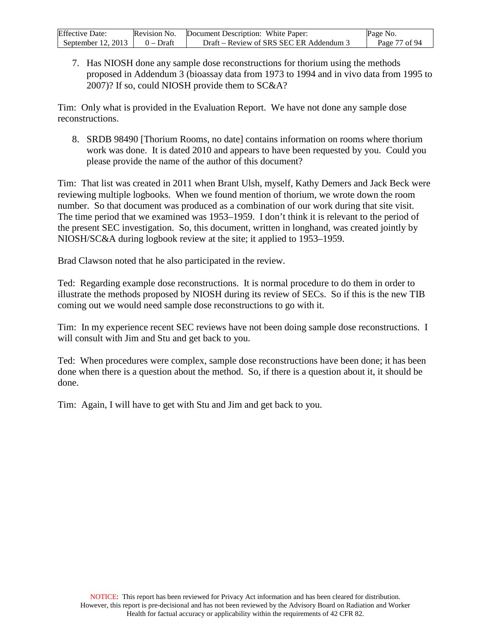| <b>Effective Date:</b> | Revision No. | Document Description: White Paper:      | Page No.      |
|------------------------|--------------|-----------------------------------------|---------------|
| September $12, 2013$   | $0 - Dr$ aft | Draft – Review of SRS SEC ER Addendum 3 | Page 77 of 94 |

7. Has NIOSH done any sample dose reconstructions for thorium using the methods proposed in Addendum 3 (bioassay data from 1973 to 1994 and in vivo data from 1995 to 2007)? If so, could NIOSH provide them to SC&A?

Tim: Only what is provided in the Evaluation Report. We have not done any sample dose reconstructions.

8. SRDB 98490 [Thorium Rooms, no date] contains information on rooms where thorium work was done. It is dated 2010 and appears to have been requested by you. Could you please provide the name of the author of this document?

Tim: That list was created in 2011 when Brant Ulsh, myself, Kathy Demers and Jack Beck were reviewing multiple logbooks. When we found mention of thorium, we wrote down the room number. So that document was produced as a combination of our work during that site visit. The time period that we examined was 1953–1959. I don't think it is relevant to the period of the present SEC investigation. So, this document, written in longhand, was created jointly by NIOSH/SC&A during logbook review at the site; it applied to 1953–1959.

Brad Clawson noted that he also participated in the review.

Ted: Regarding example dose reconstructions. It is normal procedure to do them in order to illustrate the methods proposed by NIOSH during its review of SECs. So if this is the new TIB coming out we would need sample dose reconstructions to go with it.

Tim: In my experience recent SEC reviews have not been doing sample dose reconstructions. I will consult with Jim and Stu and get back to you.

Ted: When procedures were complex, sample dose reconstructions have been done; it has been done when there is a question about the method. So, if there is a question about it, it should be done.

Tim: Again, I will have to get with Stu and Jim and get back to you.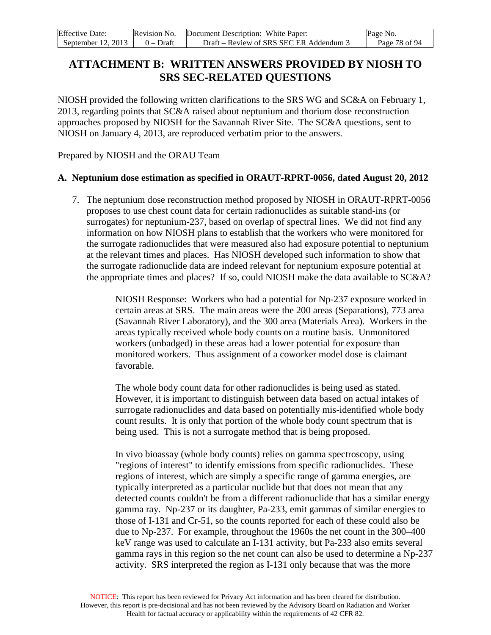| <b>Effective Date:</b> |           | Revision No. Document Description: White Paper: | Page No.      |
|------------------------|-----------|-------------------------------------------------|---------------|
| September 12, 2013     | 0 – Draft | Draft – Review of SRS SEC ER Addendum 3         | Page 78 of 94 |

# **ATTACHMENT B: WRITTEN ANSWERS PROVIDED BY NIOSH TO SRS SEC-RELATED QUESTIONS**

NIOSH provided the following written clarifications to the SRS WG and SC&A on February 1, 2013, regarding points that SC&A raised about neptunium and thorium dose reconstruction approaches proposed by NIOSH for the Savannah River Site. The SC&A questions, sent to NIOSH on January 4, 2013, are reproduced verbatim prior to the answers.

Prepared by NIOSH and the ORAU Team

### **A. Neptunium dose estimation as specified in ORAUT-RPRT-0056, dated August 20, 2012**

7. The neptunium dose reconstruction method proposed by NIOSH in ORAUT-RPRT-0056 proposes to use chest count data for certain radionuclides as suitable stand-ins (or surrogates) for neptunium-237, based on overlap of spectral lines. We did not find any information on how NIOSH plans to establish that the workers who were monitored for the surrogate radionuclides that were measured also had exposure potential to neptunium at the relevant times and places. Has NIOSH developed such information to show that the surrogate radionuclide data are indeed relevant for neptunium exposure potential at the appropriate times and places? If so, could NIOSH make the data available to SC&A?

> NIOSH Response: Workers who had a potential for Np-237 exposure worked in certain areas at SRS. The main areas were the 200 areas (Separations), 773 area (Savannah River Laboratory), and the 300 area (Materials Area). Workers in the areas typically received whole body counts on a routine basis. Unmonitored workers (unbadged) in these areas had a lower potential for exposure than monitored workers. Thus assignment of a coworker model dose is claimant favorable.

> The whole body count data for other radionuclides is being used as stated. However, it is important to distinguish between data based on actual intakes of surrogate radionuclides and data based on potentially mis-identified whole body count results. It is only that portion of the whole body count spectrum that is being used. This is not a surrogate method that is being proposed.

In vivo bioassay (whole body counts) relies on gamma spectroscopy, using "regions of interest" to identify emissions from specific radionuclides. These regions of interest, which are simply a specific range of gamma energies, are typically interpreted as a particular nuclide but that does not mean that any detected counts couldn't be from a different radionuclide that has a similar energy gamma ray. Np-237 or its daughter, Pa-233, emit gammas of similar energies to those of I-131 and Cr-51, so the counts reported for each of these could also be due to Np-237. For example, throughout the 1960s the net count in the 300–400 keV range was used to calculate an I-131 activity, but Pa-233 also emits several gamma rays in this region so the net count can also be used to determine a Np-237 activity. SRS interpreted the region as I-131 only because that was the more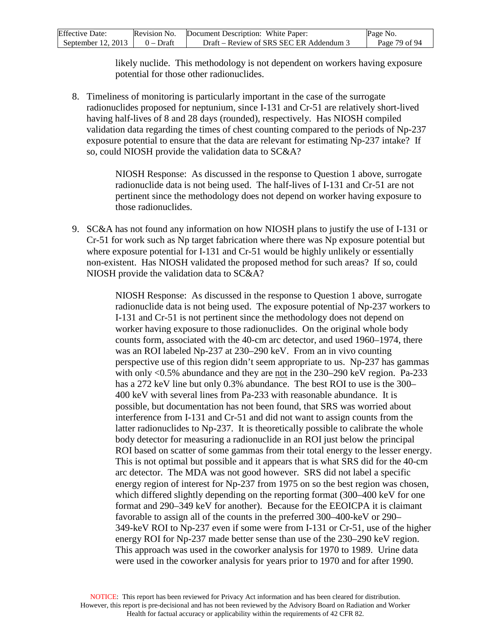| <b>Effective Date:</b> | Revision No. | Document Description: White Paper:      | Page No.      |
|------------------------|--------------|-----------------------------------------|---------------|
| September $12, 2013$   | $0$ – Draft  | Draft – Review of SRS SEC ER Addendum 3 | Page 79 of 94 |

likely nuclide. This methodology is not dependent on workers having exposure potential for those other radionuclides.

8. Timeliness of monitoring is particularly important in the case of the surrogate radionuclides proposed for neptunium, since I-131 and Cr-51 are relatively short-lived having half-lives of 8 and 28 days (rounded), respectively. Has NIOSH compiled validation data regarding the times of chest counting compared to the periods of Np-237 exposure potential to ensure that the data are relevant for estimating Np-237 intake? If so, could NIOSH provide the validation data to SC&A?

> NIOSH Response: As discussed in the response to Question 1 above, surrogate radionuclide data is not being used. The half-lives of I-131 and Cr-51 are not pertinent since the methodology does not depend on worker having exposure to those radionuclides.

9. SC&A has not found any information on how NIOSH plans to justify the use of I-131 or Cr-51 for work such as Np target fabrication where there was Np exposure potential but where exposure potential for I-131 and Cr-51 would be highly unlikely or essentially non-existent. Has NIOSH validated the proposed method for such areas? If so, could NIOSH provide the validation data to SC&A?

> NIOSH Response: As discussed in the response to Question 1 above, surrogate radionuclide data is not being used. The exposure potential of Np-237 workers to I-131 and Cr-51 is not pertinent since the methodology does not depend on worker having exposure to those radionuclides. On the original whole body counts form, associated with the 40-cm arc detector, and used 1960–1974, there was an ROI labeled Np-237 at 230–290 keV. From an in vivo counting perspective use of this region didn't seem appropriate to us. Np-237 has gammas with only <0.5% abundance and they are not in the 230–290 keV region. Pa-233 has a 272 keV line but only 0.3% abundance. The best ROI to use is the 300– 400 keV with several lines from Pa-233 with reasonable abundance. It is possible, but documentation has not been found, that SRS was worried about interference from I-131 and Cr-51 and did not want to assign counts from the latter radionuclides to Np-237. It is theoretically possible to calibrate the whole body detector for measuring a radionuclide in an ROI just below the principal ROI based on scatter of some gammas from their total energy to the lesser energy. This is not optimal but possible and it appears that is what SRS did for the 40-cm arc detector. The MDA was not good however. SRS did not label a specific energy region of interest for Np-237 from 1975 on so the best region was chosen, which differed slightly depending on the reporting format (300–400 keV for one format and 290–349 keV for another). Because for the EEOICPA it is claimant favorable to assign all of the counts in the preferred 300–400-keV or 290– 349-keV ROI to Np-237 even if some were from I-131 or Cr-51, use of the higher energy ROI for Np-237 made better sense than use of the 230–290 keV region. This approach was used in the coworker analysis for 1970 to 1989. Urine data were used in the coworker analysis for years prior to 1970 and for after 1990.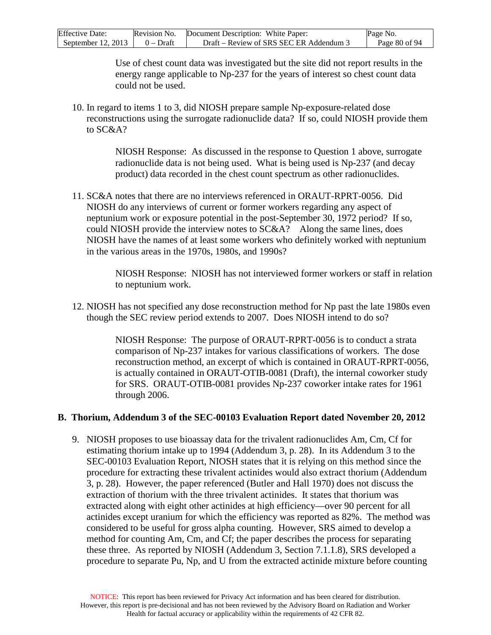| <b>Effective Date:</b> | Revision No. | Document Description: White Paper:      | Page No.      |
|------------------------|--------------|-----------------------------------------|---------------|
| September 12, 2013     | 0 – Draft    | Draft – Review of SRS SEC ER Addendum 3 | Page 80 of 94 |

Use of chest count data was investigated but the site did not report results in the energy range applicable to Np-237 for the years of interest so chest count data could not be used.

10. In regard to items 1 to 3, did NIOSH prepare sample Np-exposure-related dose reconstructions using the surrogate radionuclide data? If so, could NIOSH provide them to SC&A?

> NIOSH Response: As discussed in the response to Question 1 above, surrogate radionuclide data is not being used. What is being used is Np-237 (and decay product) data recorded in the chest count spectrum as other radionuclides.

11. SC&A notes that there are no interviews referenced in ORAUT-RPRT-0056. Did NIOSH do any interviews of current or former workers regarding any aspect of neptunium work or exposure potential in the post-September 30, 1972 period? If so, could NIOSH provide the interview notes to SC&A? Along the same lines, does NIOSH have the names of at least some workers who definitely worked with neptunium in the various areas in the 1970s, 1980s, and 1990s?

> NIOSH Response: NIOSH has not interviewed former workers or staff in relation to neptunium work.

12. NIOSH has not specified any dose reconstruction method for Np past the late 1980s even though the SEC review period extends to 2007. Does NIOSH intend to do so?

> NIOSH Response: The purpose of ORAUT-RPRT-0056 is to conduct a strata comparison of Np-237 intakes for various classifications of workers. The dose reconstruction method, an excerpt of which is contained in ORAUT-RPRT-0056, is actually contained in ORAUT-OTIB-0081 (Draft), the internal coworker study for SRS. ORAUT-OTIB-0081 provides Np-237 coworker intake rates for 1961 through 2006.

### **B. Thorium, Addendum 3 of the SEC-00103 Evaluation Report dated November 20, 2012**

9. NIOSH proposes to use bioassay data for the trivalent radionuclides Am, Cm, Cf for estimating thorium intake up to 1994 (Addendum 3, p. 28). In its Addendum 3 to the SEC-00103 Evaluation Report, NIOSH states that it is relying on this method since the procedure for extracting these trivalent actinides would also extract thorium (Addendum 3, p. 28). However, the paper referenced (Butler and Hall 1970) does not discuss the extraction of thorium with the three trivalent actinides. It states that thorium was extracted along with eight other actinides at high efficiency—over 90 percent for all actinides except uranium for which the efficiency was reported as 82%. The method was considered to be useful for gross alpha counting. However, SRS aimed to develop a method for counting Am, Cm, and Cf; the paper describes the process for separating these three. As reported by NIOSH (Addendum 3, Section 7.1.1.8), SRS developed a procedure to separate Pu, Np, and U from the extracted actinide mixture before counting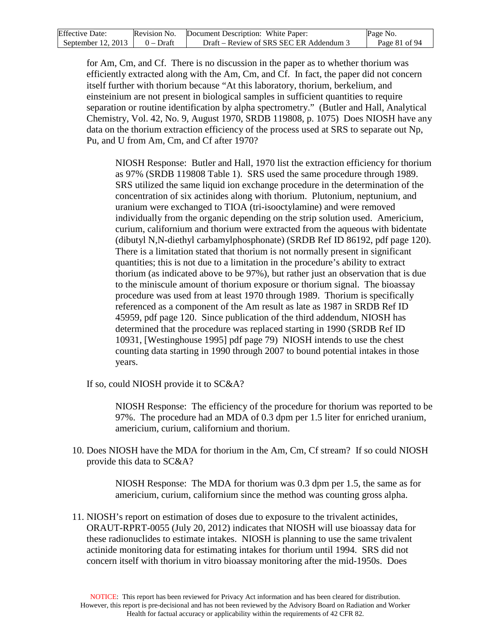| <b>Effective Date:</b> | Revision No. | Document Description: White Paper:      | Page No.      |
|------------------------|--------------|-----------------------------------------|---------------|
| September $12, 2013$   | $0 - Dr$ aft | Draft – Review of SRS SEC ER Addendum 3 | Page 81 of 94 |

for Am, Cm, and Cf. There is no discussion in the paper as to whether thorium was efficiently extracted along with the Am, Cm, and Cf. In fact, the paper did not concern itself further with thorium because "At this laboratory, thorium, berkelium, and einsteinium are not present in biological samples in sufficient quantities to require separation or routine identification by alpha spectrometry." (Butler and Hall, Analytical Chemistry, Vol. 42, No. 9, August 1970, SRDB 119808, p. 1075) Does NIOSH have any data on the thorium extraction efficiency of the process used at SRS to separate out Np, Pu, and U from Am, Cm, and Cf after 1970?

NIOSH Response: Butler and Hall, 1970 list the extraction efficiency for thorium as 97% (SRDB 119808 Table 1). SRS used the same procedure through 1989. SRS utilized the same liquid ion exchange procedure in the determination of the concentration of six actinides along with thorium. Plutonium, neptunium, and uranium were exchanged to TIOA (tri-isooctylamine) and were removed individually from the organic depending on the strip solution used. Americium, curium, californium and thorium were extracted from the aqueous with bidentate (dibutyl N,N-diethyl carbamylphosphonate) (SRDB Ref ID 86192, pdf page 120). There is a limitation stated that thorium is not normally present in significant quantities; this is not due to a limitation in the procedure's ability to extract thorium (as indicated above to be 97%), but rather just an observation that is due to the miniscule amount of thorium exposure or thorium signal. The bioassay procedure was used from at least 1970 through 1989. Thorium is specifically referenced as a component of the Am result as late as 1987 in SRDB Ref ID 45959, pdf page 120. Since publication of the third addendum, NIOSH has determined that the procedure was replaced starting in 1990 (SRDB Ref ID 10931, [Westinghouse 1995] pdf page 79) NIOSH intends to use the chest counting data starting in 1990 through 2007 to bound potential intakes in those years.

If so, could NIOSH provide it to SC&A?

NIOSH Response: The efficiency of the procedure for thorium was reported to be 97%. The procedure had an MDA of 0.3 dpm per 1.5 liter for enriched uranium, americium, curium, californium and thorium.

10. Does NIOSH have the MDA for thorium in the Am, Cm, Cf stream? If so could NIOSH provide this data to SC&A?

> NIOSH Response: The MDA for thorium was 0.3 dpm per 1.5, the same as for americium, curium, californium since the method was counting gross alpha.

11. NIOSH's report on estimation of doses due to exposure to the trivalent actinides, ORAUT-RPRT-0055 (July 20, 2012) indicates that NIOSH will use bioassay data for these radionuclides to estimate intakes. NIOSH is planning to use the same trivalent actinide monitoring data for estimating intakes for thorium until 1994. SRS did not concern itself with thorium in vitro bioassay monitoring after the mid-1950s. Does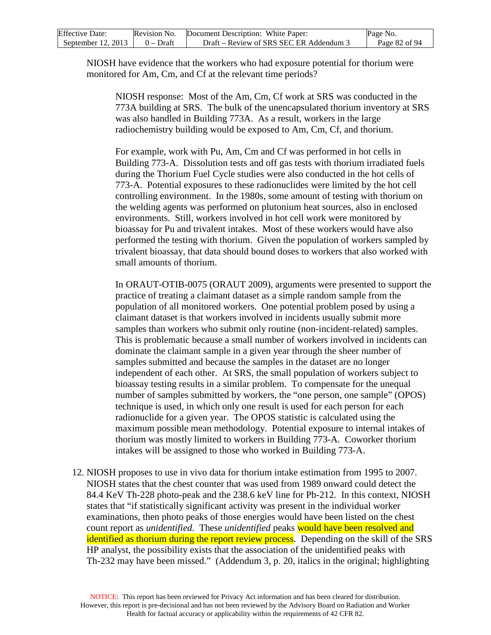| <b>Effective Date:</b> | Revision No. | Document Description: White Paper:      | Page No.      |
|------------------------|--------------|-----------------------------------------|---------------|
| September $12, 2013$   | $0$ – Draft  | Draft – Review of SRS SEC ER Addendum 3 | Page 82 of 94 |

NIOSH have evidence that the workers who had exposure potential for thorium were monitored for Am, Cm, and Cf at the relevant time periods?

NIOSH response: Most of the Am, Cm, Cf work at SRS was conducted in the 773A building at SRS. The bulk of the unencapsulated thorium inventory at SRS was also handled in Building 773A. As a result, workers in the large radiochemistry building would be exposed to Am, Cm, Cf, and thorium.

For example, work with Pu, Am, Cm and Cf was performed in hot cells in Building 773-A. Dissolution tests and off gas tests with thorium irradiated fuels during the Thorium Fuel Cycle studies were also conducted in the hot cells of 773-A. Potential exposures to these radionuclides were limited by the hot cell controlling environment. In the 1980s, some amount of testing with thorium on the welding agents was performed on plutonium heat sources, also in enclosed environments. Still, workers involved in hot cell work were monitored by bioassay for Pu and trivalent intakes. Most of these workers would have also performed the testing with thorium. Given the population of workers sampled by trivalent bioassay, that data should bound doses to workers that also worked with small amounts of thorium.

In ORAUT-OTIB-0075 (ORAUT 2009), arguments were presented to support the practice of treating a claimant dataset as a simple random sample from the population of all monitored workers. One potential problem posed by using a claimant dataset is that workers involved in incidents usually submit more samples than workers who submit only routine (non-incident-related) samples. This is problematic because a small number of workers involved in incidents can dominate the claimant sample in a given year through the sheer number of samples submitted and because the samples in the dataset are no longer independent of each other. At SRS, the small population of workers subject to bioassay testing results in a similar problem. To compensate for the unequal number of samples submitted by workers, the "one person, one sample" (OPOS) technique is used, in which only one result is used for each person for each radionuclide for a given year. The OPOS statistic is calculated using the maximum possible mean methodology. Potential exposure to internal intakes of thorium was mostly limited to workers in Building 773-A. Coworker thorium intakes will be assigned to those who worked in Building 773-A.

12. NIOSH proposes to use in vivo data for thorium intake estimation from 1995 to 2007. NIOSH states that the chest counter that was used from 1989 onward could detect the 84.4 KeV Th-228 photo-peak and the 238.6 keV line for Pb-212. In this context, NIOSH states that "if statistically significant activity was present in the individual worker examinations, then photo peaks of those energies would have been listed on the chest count report as *unidentified*. These *unidentified* peaks would have been resolved and identified as thorium during the report review process. Depending on the skill of the SRS HP analyst, the possibility exists that the association of the unidentified peaks with Th-232 may have been missed." (Addendum 3, p. 20, italics in the original; highlighting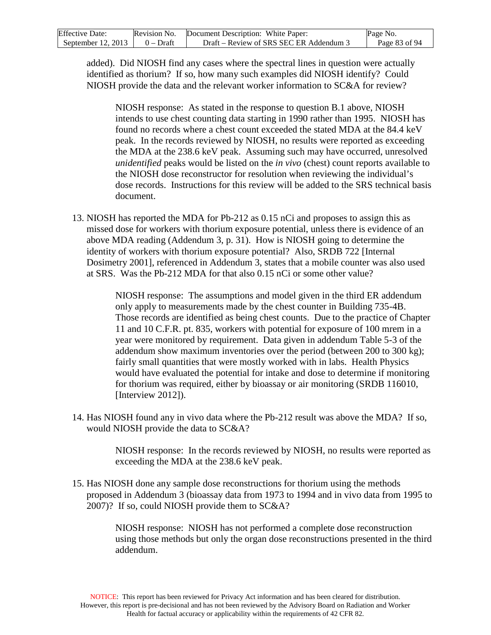| <b>Effective Date:</b> | Revision No. | Document Description: White Paper:      | Page No.      |
|------------------------|--------------|-----------------------------------------|---------------|
| September $12, 2013$   | $0$ – Draft  | Draft – Review of SRS SEC ER Addendum 3 | Page 83 of 94 |

added). Did NIOSH find any cases where the spectral lines in question were actually identified as thorium? If so, how many such examples did NIOSH identify? Could NIOSH provide the data and the relevant worker information to SC&A for review?

NIOSH response: As stated in the response to question B.1 above, NIOSH intends to use chest counting data starting in 1990 rather than 1995. NIOSH has found no records where a chest count exceeded the stated MDA at the 84.4 keV peak. In the records reviewed by NIOSH, no results were reported as exceeding the MDA at the 238.6 keV peak. Assuming such may have occurred, unresolved *unidentified* peaks would be listed on the *in vivo* (chest) count reports available to the NIOSH dose reconstructor for resolution when reviewing the individual's dose records. Instructions for this review will be added to the SRS technical basis document.

13. NIOSH has reported the MDA for Pb-212 as 0.15 nCi and proposes to assign this as missed dose for workers with thorium exposure potential, unless there is evidence of an above MDA reading (Addendum 3, p. 31). How is NIOSH going to determine the identity of workers with thorium exposure potential? Also, SRDB 722 [Internal Dosimetry 2001], referenced in Addendum 3, states that a mobile counter was also used at SRS. Was the Pb-212 MDA for that also 0.15 nCi or some other value?

> NIOSH response: The assumptions and model given in the third ER addendum only apply to measurements made by the chest counter in Building 735-4B. Those records are identified as being chest counts. Due to the practice of Chapter 11 and 10 C.F.R. pt. 835, workers with potential for exposure of 100 mrem in a year were monitored by requirement. Data given in addendum Table 5-3 of the addendum show maximum inventories over the period (between 200 to 300 kg); fairly small quantities that were mostly worked with in labs. Health Physics would have evaluated the potential for intake and dose to determine if monitoring for thorium was required, either by bioassay or air monitoring (SRDB 116010, [Interview 2012]).

14. Has NIOSH found any in vivo data where the Pb-212 result was above the MDA? If so, would NIOSH provide the data to SC&A?

> NIOSH response: In the records reviewed by NIOSH, no results were reported as exceeding the MDA at the 238.6 keV peak.

15. Has NIOSH done any sample dose reconstructions for thorium using the methods proposed in Addendum 3 (bioassay data from 1973 to 1994 and in vivo data from 1995 to 2007)? If so, could NIOSH provide them to SC&A?

> NIOSH response: NIOSH has not performed a complete dose reconstruction using those methods but only the organ dose reconstructions presented in the third addendum.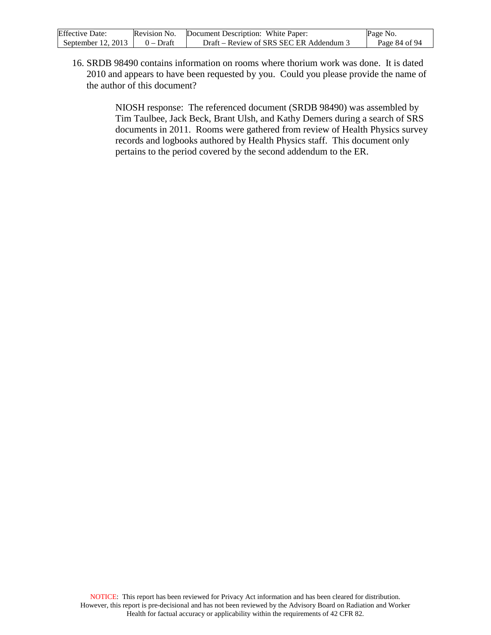| <b>Effective Date:</b> | Revision No. | Document Description: White Paper:      | Page No.      |
|------------------------|--------------|-----------------------------------------|---------------|
| September $12, 2013$   | $0 - Dr$ aft | Draft – Review of SRS SEC ER Addendum 3 | Page 84 of 94 |

16. SRDB 98490 contains information on rooms where thorium work was done. It is dated 2010 and appears to have been requested by you. Could you please provide the name of the author of this document?

> NIOSH response: The referenced document (SRDB 98490) was assembled by Tim Taulbee, Jack Beck, Brant Ulsh, and Kathy Demers during a search of SRS documents in 2011. Rooms were gathered from review of Health Physics survey records and logbooks authored by Health Physics staff. This document only pertains to the period covered by the second addendum to the ER.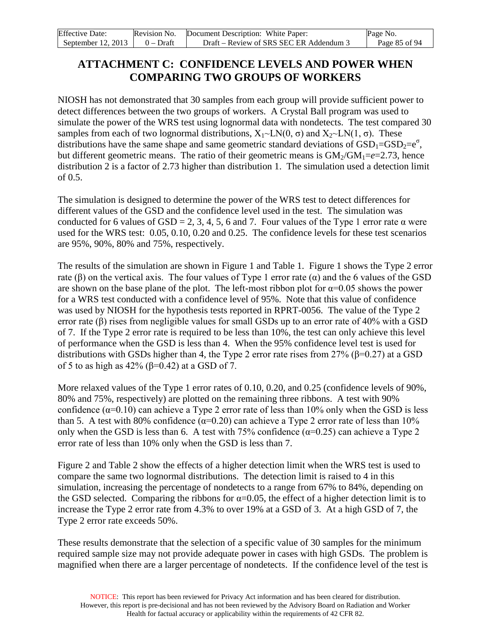| <b>Effective Date:</b> | Revision No. | Document Description: White Paper:      | Page No.      |
|------------------------|--------------|-----------------------------------------|---------------|
| September $12, 2013$   | $0 - Dr$ aft | Draft – Review of SRS SEC ER Addendum 3 | Page 85 of 94 |

## **ATTACHMENT C: CONFIDENCE LEVELS AND POWER WHEN COMPARING TWO GROUPS OF WORKERS**

NIOSH has not demonstrated that 30 samples from each group will provide sufficient power to detect differences between the two groups of workers. A Crystal Ball program was used to simulate the power of the WRS test using lognormal data with nondetects. The test compared 30 samples from each of two lognormal distributions,  $X_1 \sim LN(0, \sigma)$  and  $X_2 \sim LN(1, \sigma)$ . These distributions have the same shape and same geometric standard deviations of  $\text{GSD}_1=\text{GSD}_2=e^{\sigma}$ , but different geometric means. The ratio of their geometric means is  $GM<sub>2</sub>/GM<sub>1</sub>=e=2.73$ , hence distribution 2 is a factor of 2.73 higher than distribution 1. The simulation used a detection limit of 0.5.

The simulation is designed to determine the power of the WRS test to detect differences for different values of the GSD and the confidence level used in the test. The simulation was conducted for 6 values of GSD = 2, 3, 4, 5, 6 and 7. Four values of the Type 1 error rate  $\alpha$  were used for the WRS test: 0.05, 0.10, 0.20 and 0.25. The confidence levels for these test scenarios are 95%, 90%, 80% and 75%, respectively.

The results of the simulation are shown in Figure 1 and Table 1. Figure 1 shows the Type 2 error rate (β) on the vertical axis. The four values of Type 1 error rate ( $α$ ) and the 6 values of the GSD are shown on the base plane of the plot. The left-most ribbon plot for  $\alpha=0.05$  shows the power for a WRS test conducted with a confidence level of 95%. Note that this value of confidence was used by NIOSH for the hypothesis tests reported in RPRT-0056. The value of the Type 2 error rate  $(\beta)$  rises from negligible values for small GSDs up to an error rate of 40% with a GSD of 7. If the Type 2 error rate is required to be less than 10%, the test can only achieve this level of performance when the GSD is less than 4. When the 95% confidence level test is used for distributions with GSDs higher than 4, the Type 2 error rate rises from 27% (β=0.27) at a GSD of 5 to as high as  $42\%$  ( $\beta$ =0.42) at a GSD of 7.

More relaxed values of the Type 1 error rates of 0.10, 0.20, and 0.25 (confidence levels of 90%, 80% and 75%, respectively) are plotted on the remaining three ribbons. A test with 90% confidence ( $\alpha$ =0.10) can achieve a Type 2 error rate of less than 10% only when the GSD is less than 5. A test with 80% confidence ( $\alpha$ =0.20) can achieve a Type 2 error rate of less than 10% only when the GSD is less than 6. A test with 75% confidence  $(\alpha=0.25)$  can achieve a Type 2 error rate of less than 10% only when the GSD is less than 7.

Figure 2 and Table 2 show the effects of a higher detection limit when the WRS test is used to compare the same two lognormal distributions. The detection limit is raised to 4 in this simulation, increasing the percentage of nondetects to a range from 67% to 84%, depending on the GSD selected. Comparing the ribbons for  $\alpha=0.05$ , the effect of a higher detection limit is to increase the Type 2 error rate from 4.3% to over 19% at a GSD of 3. At a high GSD of 7, the Type 2 error rate exceeds 50%.

These results demonstrate that the selection of a specific value of 30 samples for the minimum required sample size may not provide adequate power in cases with high GSDs. The problem is magnified when there are a larger percentage of nondetects. If the confidence level of the test is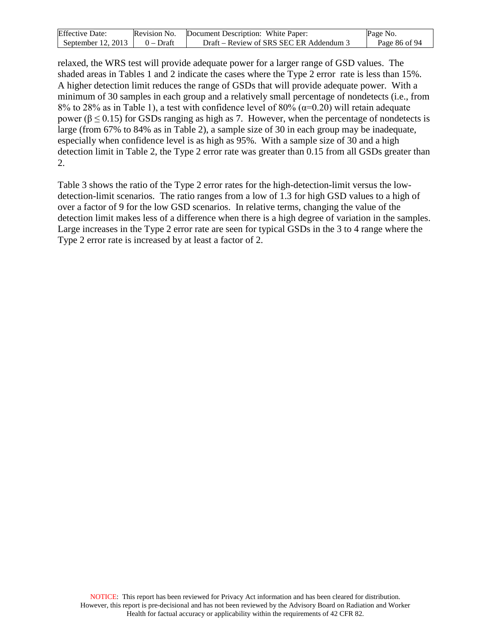| <b>Effective Date:</b> |           | Revision No. Document Description: White Paper: | Page No.      |
|------------------------|-----------|-------------------------------------------------|---------------|
| September 12, 2013     | 0 – Draft | Draft – Review of SRS SEC ER Addendum 3         | Page 86 of 94 |

relaxed, the WRS test will provide adequate power for a larger range of GSD values. The shaded areas in Tables 1 and 2 indicate the cases where the Type 2 error rate is less than 15%. A higher detection limit reduces the range of GSDs that will provide adequate power. With a minimum of 30 samples in each group and a relatively small percentage of nondetects (i.e., from 8% to 28% as in Table 1), a test with confidence level of 80% ( $\alpha$ =0.20) will retain adequate power ( $β ≤ 0.15$ ) for GSDs ranging as high as 7. However, when the percentage of nondetects is large (from 67% to 84% as in Table 2), a sample size of 30 in each group may be inadequate, especially when confidence level is as high as 95%. With a sample size of 30 and a high detection limit in Table 2, the Type 2 error rate was greater than 0.15 from all GSDs greater than 2.

Table 3 shows the ratio of the Type 2 error rates for the high-detection-limit versus the lowdetection-limit scenarios. The ratio ranges from a low of 1.3 for high GSD values to a high of over a factor of 9 for the low GSD scenarios. In relative terms, changing the value of the detection limit makes less of a difference when there is a high degree of variation in the samples. Large increases in the Type 2 error rate are seen for typical GSDs in the 3 to 4 range where the Type 2 error rate is increased by at least a factor of 2.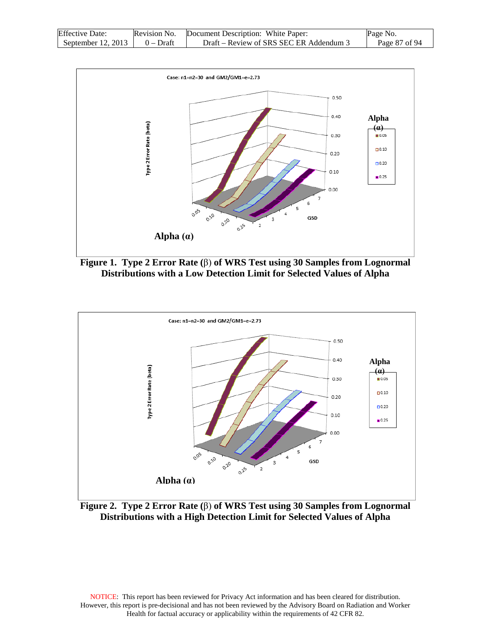| <b>Effective Date:</b> | Revision No. | Document Description: White Paper:      | Page No.      |
|------------------------|--------------|-----------------------------------------|---------------|
| September $12, 2013$   | $0 - Dr$ aft | Draft – Review of SRS SEC ER Addendum 3 | Page 87 of 94 |



**Figure 1. Type 2 Error Rate (**β) **of WRS Test using 30 Samples from Lognormal Distributions with a Low Detection Limit for Selected Values of Alpha**



**Figure 2. Type 2 Error Rate (**β) **of WRS Test using 30 Samples from Lognormal Distributions with a High Detection Limit for Selected Values of Alpha**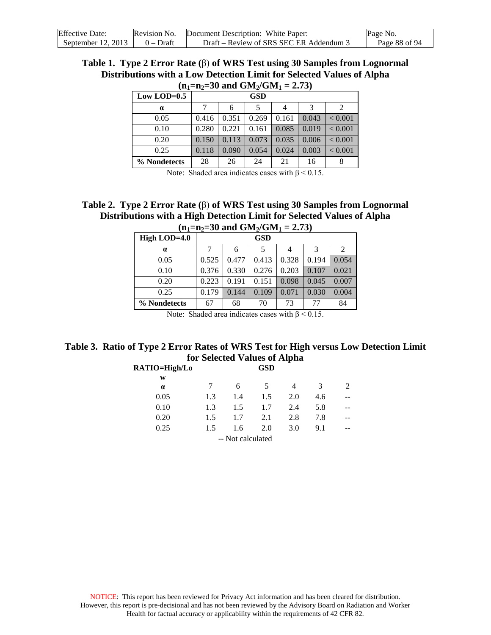| <b>Effective Date:</b> | Revision No. | Document Description: White Paper:      | Page No.      |
|------------------------|--------------|-----------------------------------------|---------------|
| September $12, 2013$   | $0$ – Draft  | Draft – Review of SRS SEC ER Addendum 3 | Page 88 of 94 |

#### **Table 1. Type 2 Error Rate (**β) **of WRS Test using 30 Samples from Lognormal**  Distributions with a Low Detection Limit for Selected Values of Alpha  $(n_{\text{max}}=30 \text{ and CM} / \text{CM})$

| $\mathbf{u}_1 = \mathbf{u}_2 = \mathbf{v}$ and $\mathbf{u}_2 = \mathbf{v}_1$ |       |            |       |       |       |                             |  |
|------------------------------------------------------------------------------|-------|------------|-------|-------|-------|-----------------------------|--|
| Low LOD= $0.5$                                                               |       | <b>GSD</b> |       |       |       |                             |  |
| $\alpha$                                                                     | 7     | 6          | 5     | 4     | 3     | $\mathcal{D}_{\mathcal{A}}$ |  |
| 0.05                                                                         | 0.416 | 0.351      | 0.269 | 0.161 | 0.043 | < 0.001                     |  |
| 0.10                                                                         | 0.280 | 0.221      | 0.161 | 0.085 | 0.019 | < 0.001                     |  |
| 0.20                                                                         | 0.150 | 0.113      | 0.073 | 0.035 | 0.006 | < 0.001                     |  |
| 0.25                                                                         | 0.118 | 0.090      | 0.054 | 0.024 | 0.003 | ${}_{< 0.001}$              |  |
| % Nondetects                                                                 | 28    | 26         | 24    | 21    | 16    |                             |  |

Note: Shaded area indicates cases with  $β < 0.15$ .

#### **Table 2. Type 2 Error Rate (**β) **of WRS Test using 30 Samples from Lognormal Distributions with a High Detection Limit for Selected Values of Alpha**  $(n_1=n_2=30 \text{ and } \text{GM}_2/\text{GM}_1 = 2.73)$

| $m_1 - m_2 - \sigma$ and $\sigma_{m_2}$ $\sigma_{m_1}$ $ \sigma_{m_2}$ |       |       |            |       |       |       |
|------------------------------------------------------------------------|-------|-------|------------|-------|-------|-------|
| High LOD=4.0                                                           |       |       | <b>GSD</b> |       |       |       |
| $\alpha$                                                               |       | 6     |            | 4     | 3     | 2     |
| 0.05                                                                   | 0.525 | 0.477 | 0.413      | 0.328 | 0.194 | 0.054 |
| 0.10                                                                   | 0.376 | 0.330 | 0.276      | 0.203 | 0.107 | 0.021 |
| 0.20                                                                   | 0.223 | 0.191 | 0.151      | 0.098 | 0.045 | 0.007 |
| 0.25                                                                   | 0.179 | 0.144 | 0.109      | 0.071 | 0.030 | 0.004 |
| % Nondetects                                                           | 67    | 68    | 70         | 73    | 77    | 84    |

Note: Shaded area indicates cases with  $\beta$  < 0.15.

## **Table 3. Ratio of Type 2 Error Rates of WRS Test for High versus Low Detection Limit for Selected Values of Alpha**

|     |     | <b>GSD</b> |                   |     |   |
|-----|-----|------------|-------------------|-----|---|
|     |     |            |                   |     |   |
|     | 6   | 5          | 4                 | 3   | 2 |
| 1.3 | 1.4 | 1.5        | 2.0               | 4.6 |   |
| 1.3 | 1.5 | 1.7        | 2.4               | 5.8 |   |
| 1.5 | 1.7 | 2.1        | 2.8               | 7.8 |   |
| 1.5 | 1.6 | 2.0        | 3.0               | 9.1 |   |
|     |     |            |                   |     |   |
|     |     |            | -- Not calculated |     |   |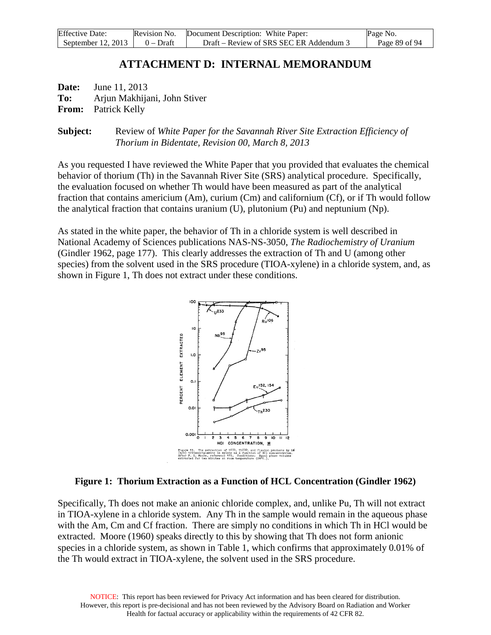| <b>Effective Date:</b> | Revision No. | Document Description: White Paper:      | Page No.      |
|------------------------|--------------|-----------------------------------------|---------------|
| September 12, 2013     | $0 - Dr$ aft | Draft – Review of SRS SEC ER Addendum 3 | Page 89 of 94 |

## **ATTACHMENT D: INTERNAL MEMORANDUM**

**Date:** June 11, 2013 **To:** Arjun Makhijani, John Stiver **From:** Patrick Kelly

**Subject:** Review of *White Paper for the Savannah River Site Extraction Efficiency of Thorium in Bidentate, Revision 00, March 8, 2013*

As you requested I have reviewed the White Paper that you provided that evaluates the chemical behavior of thorium (Th) in the Savannah River Site (SRS) analytical procedure. Specifically, the evaluation focused on whether Th would have been measured as part of the analytical fraction that contains americium (Am), curium (Cm) and californium (Cf), or if Th would follow the analytical fraction that contains uranium (U), plutonium (Pu) and neptunium (Np).

As stated in the white paper, the behavior of Th in a chloride system is well described in National Academy of Sciences publications NAS-NS-3050, *The Radiochemistry of Uranium*  (Gindler 1962, page 177). This clearly addresses the extraction of Th and U (among other species) from the solvent used in the SRS procedure (TIOA-xylene) in a chloride system, and, as shown in Figure 1, Th does not extract under these conditions.



#### **Figure 1: Thorium Extraction as a Function of HCL Concentration (Gindler 1962)**

Specifically, Th does not make an anionic chloride complex, and, unlike Pu, Th will not extract in TIOA-xylene in a chloride system. Any Th in the sample would remain in the aqueous phase with the Am, Cm and Cf fraction. There are simply no conditions in which Th in HCl would be extracted. Moore (1960) speaks directly to this by showing that Th does not form anionic species in a chloride system, as shown in Table 1, which confirms that approximately 0.01% of the Th would extract in TIOA-xylene, the solvent used in the SRS procedure.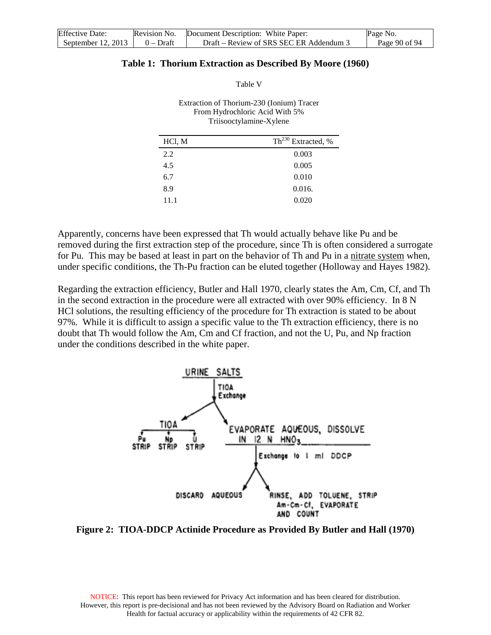| <b>Effective Date:</b> | Revision No. | Document Description: White Paper:      | Page No.      |
|------------------------|--------------|-----------------------------------------|---------------|
| September $12, 2013$   | $0 - Dr$ aft | Draft – Review of SRS SEC ER Addendum 3 | Page 90 of 94 |

#### **Table 1: Thorium Extraction as Described By Moore (1960)**

Table V

| Extraction of Thorium-230 (Ionium) Tracer<br>From Hydrochloric Acid With 5%<br>Triisooctylamine-Xylene |                                |  |  |  |
|--------------------------------------------------------------------------------------------------------|--------------------------------|--|--|--|
| HCl, M                                                                                                 | Th <sup>230</sup> Extracted, % |  |  |  |
| 2.2                                                                                                    | 0.003                          |  |  |  |
| 4.5                                                                                                    | 0.005                          |  |  |  |
| 6.7                                                                                                    | 0.010                          |  |  |  |
| 8.9                                                                                                    | 0.016.                         |  |  |  |

Apparently, concerns have been expressed that Th would actually behave like Pu and be removed during the first extraction step of the procedure, since Th is often considered a surrogate for Pu. This may be based at least in part on the behavior of Th and Pu in a nitrate system when, under specific conditions, the Th-Pu fraction can be eluted together (Holloway and Hayes 1982).

11.1 0.020

Regarding the extraction efficiency, Butler and Hall 1970, clearly states the Am, Cm, Cf, and Th in the second extraction in the procedure were all extracted with over 90% efficiency. In 8 N HCl solutions, the resulting efficiency of the procedure for Th extraction is stated to be about 97%. While it is difficult to assign a specific value to the Th extraction efficiency, there is no doubt that Th would follow the Am, Cm and Cf fraction, and not the U, Pu, and Np fraction under the conditions described in the white paper.



**Figure 2: TIOA-DDCP Actinide Procedure as Provided By Butler and Hall (1970)**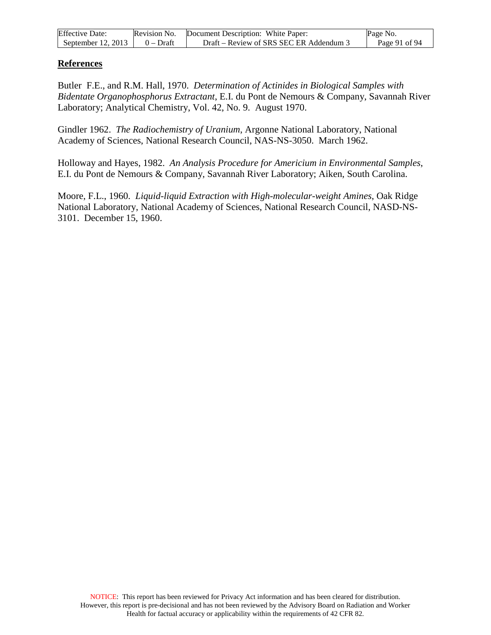| <b>Effective Date:</b> | Revision No. | Document Description: White Paper:      | Page No.      |
|------------------------|--------------|-----------------------------------------|---------------|
| September $12, 2013$   | $0$ – Draft  | Draft – Review of SRS SEC ER Addendum 3 | Page 91 of 94 |

### **References**

Butler F.E., and R.M. Hall, 1970. *Determination of Actinides in Biological Samples with Bidentate Organophosphorus Extractant*, E.I. du Pont de Nemours & Company, Savannah River Laboratory; Analytical Chemistry, Vol. 42, No. 9. August 1970.

Gindler 1962. *The Radiochemistry of Uranium*, Argonne National Laboratory, National Academy of Sciences, National Research Council, NAS-NS-3050. March 1962.

Holloway and Hayes, 1982. *An Analysis Procedure for Americium in Environmental Samples*, E.I. du Pont de Nemours & Company, Savannah River Laboratory; Aiken, South Carolina.

Moore, F.L., 1960. *Liquid-liquid Extraction with High-molecular-weight Amines*, Oak Ridge National Laboratory, National Academy of Sciences, National Research Council, NASD-NS-3101. December 15, 1960.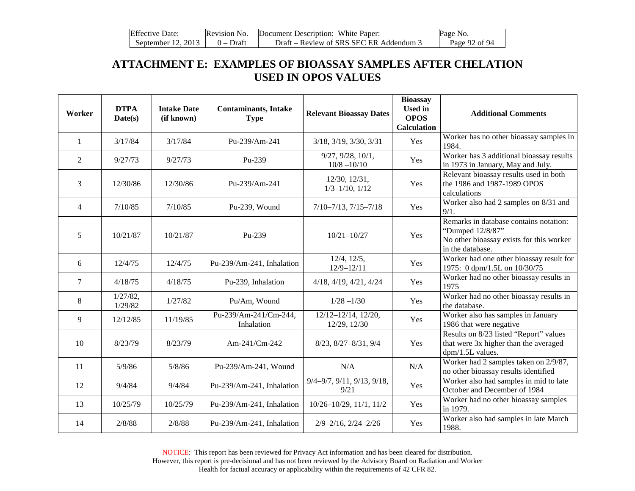| <b>Effective Date:</b> | Revision No. | Document Description: White Paper:      | Page No.      |
|------------------------|--------------|-----------------------------------------|---------------|
| September 12, 2013     | $0 - Dr$ aft | Draft – Review of SRS SEC ER Addendum 3 | Page 92 of 94 |

# **ATTACHMENT E: EXAMPLES OF BIOASSAY SAMPLES AFTER CHELATION USED IN OPOS VALUES**

| Worker         | <b>DTPA</b><br>Date(s) | <b>Intake Date</b><br>(if known) | <b>Contaminants, Intake</b><br><b>Type</b> | <b>Relevant Bioassay Dates</b>                   | <b>Bioassay</b><br><b>Used</b> in<br><b>OPOS</b><br><b>Calculation</b> | <b>Additional Comments</b>                                                                                                 |
|----------------|------------------------|----------------------------------|--------------------------------------------|--------------------------------------------------|------------------------------------------------------------------------|----------------------------------------------------------------------------------------------------------------------------|
| 1              | 3/17/84                | 3/17/84                          | Pu-239/Am-241                              | 3/18, 3/19, 3/30, 3/31                           | Yes                                                                    | Worker has no other bioassay samples in<br>1984.                                                                           |
| $\overline{2}$ | 9/27/73                | 9/27/73                          | Pu-239                                     | 9/27, 9/28, 10/1,<br>$10/8 - 10/10$              | Yes                                                                    | Worker has 3 additional bioassay results<br>in 1973 in January, May and July.                                              |
| 3              | 12/30/86               | 12/30/86                         | Pu-239/Am-241                              | 12/30, 12/31,<br>$1/3 - 1/10$ , $1/12$           | Yes                                                                    | Relevant bioassay results used in both<br>the 1986 and 1987-1989 OPOS<br>calculations                                      |
| $\overline{4}$ | 7/10/85                | 7/10/85                          | Pu-239, Wound                              | $7/10 - 7/13$ , $7/15 - 7/18$                    | Yes                                                                    | Worker also had 2 samples on 8/31 and<br>9/1.                                                                              |
| 5              | 10/21/87               | 10/21/87                         | Pu-239                                     | $10/21 - 10/27$                                  | Yes                                                                    | Remarks in database contains notation:<br>"Dumped 12/8/87"<br>No other bioassay exists for this worker<br>in the database. |
| 6              | 12/4/75                | 12/4/75                          | Pu-239/Am-241, Inhalation                  | $12/4$ , $12/5$ ,<br>$12/9 - 12/11$              | Yes                                                                    | Worker had one other bioassay result for<br>1975: 0 dpm/1.5L on 10/30/75                                                   |
| $\tau$         | 4/18/75                | 4/18/75                          | Pu-239, Inhalation                         | $4/18$ , $4/19$ , $4/21$ , $4/24$                | Yes                                                                    | Worker had no other bioassay results in<br>1975                                                                            |
| $\,8\,$        | $1/27/82$ ,<br>1/29/82 | 1/27/82                          | Pu/Am, Wound                               | $1/28 - 1/30$                                    | Yes                                                                    | Worker had no other bioassay results in<br>the database.                                                                   |
| 9              | 12/12/85               | 11/19/85                         | Pu-239/Am-241/Cm-244,<br>Inhalation        | $12/12 - 12/14$ , $12/20$ ,<br>12/29, 12/30      | Yes                                                                    | Worker also has samples in January<br>1986 that were negative                                                              |
| 10             | 8/23/79                | 8/23/79                          | Am-241/Cm-242                              | 8/23, 8/27-8/31, 9/4                             | Yes                                                                    | Results on 8/23 listed "Report" values<br>that were 3x higher than the averaged<br>dpm/1.5L values.                        |
| 11             | 5/9/86                 | 5/8/86                           | Pu-239/Am-241, Wound                       | N/A                                              | N/A                                                                    | Worker had 2 samples taken on 2/9/87,<br>no other bioassay results identified                                              |
| 12             | 9/4/84                 | 9/4/84                           | Pu-239/Am-241, Inhalation                  | $9/4 - 9/7$ , $9/11$ , $9/13$ , $9/18$ ,<br>9/21 | Yes                                                                    | Worker also had samples in mid to late<br>October and December of 1984                                                     |
| 13             | 10/25/79               | 10/25/79                         | Pu-239/Am-241, Inhalation                  | $10/26 - 10/29$ , $11/1$ , $11/2$                | Yes                                                                    | Worker had no other bioassay samples<br>in 1979.                                                                           |
| 14             | 2/8/88                 | 2/8/88                           | Pu-239/Am-241, Inhalation                  | $2/9 - 2/16$ , $2/24 - 2/26$                     | Yes                                                                    | Worker also had samples in late March<br>1988.                                                                             |

NOTICE: This report has been reviewed for Privacy Act information and has been cleared for distribution. However, this report is pre-decisional and has not been reviewed by the Advisory Board on Radiation and Worker Health for factual accuracy or applicability within the requirements of 42 CFR 82.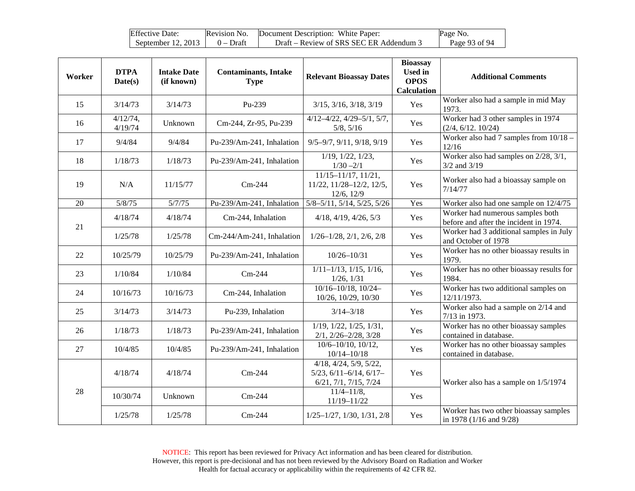| <b>Effective Date:</b> | Revision No. | Document Description: White Paper:      | Page No.      |
|------------------------|--------------|-----------------------------------------|---------------|
| September 12, 2013     | $0$ – Draft  | Draft – Review of SRS SEC ER Addendum 3 | Page 93 of 94 |

| Worker | <b>DTPA</b><br>Date(s) | <b>Intake Date</b><br>(if known) | <b>Contaminants, Intake</b><br><b>Type</b> | <b>Relevant Bioassay Dates</b>                                                                | <b>Bioassay</b><br><b>Used in</b><br><b>OPOS</b><br><b>Calculation</b> | <b>Additional Comments</b>                                                 |
|--------|------------------------|----------------------------------|--------------------------------------------|-----------------------------------------------------------------------------------------------|------------------------------------------------------------------------|----------------------------------------------------------------------------|
| 15     | 3/14/73                | 3/14/73                          | Pu-239                                     | $3/15$ , $3/16$ , $3/18$ , $3/19$                                                             | Yes                                                                    | Worker also had a sample in mid May<br>1973.                               |
| 16     | $4/12/74$ ,<br>4/19/74 | Unknown                          | Cm-244, Zr-95, Pu-239                      | $4/12 - 4/22$ , $4/29 - 5/1$ , $5/7$ ,<br>5/8, 5/16                                           | Yes                                                                    | Worker had 3 other samples in 1974<br>(2/4, 6/12, 10/24)                   |
| 17     | 9/4/84                 | 9/4/84                           | Pu-239/Am-241, Inhalation                  | $9/5 - 9/7$ , $9/11$ , $9/18$ , $9/19$                                                        | Yes                                                                    | Worker also had 7 samples from $10/18 -$<br>12/16                          |
| 18     | 1/18/73                | 1/18/73                          | Pu-239/Am-241, Inhalation                  | $1/19$ , $1/22$ , $1/23$ ,<br>$1/30 - 2/1$                                                    | Yes                                                                    | Worker also had samples on 2/28, 3/1,<br>$3/2$ and $3/19$                  |
| 19     | N/A                    | 11/15/77                         | $Cm-244$                                   | $11/15 - 11/17$ , $11/21$ ,<br>11/22, 11/28-12/2, 12/5,<br>12/6, 12/9                         | Yes                                                                    | Worker also had a bioassay sample on<br>7/14/77                            |
| 20     | 5/8/75                 | 5/7/75                           | Pu-239/Am-241, Inhalation                  | $5/8 - 5/11$ , $5/14$ , $5/25$ , $5/26$                                                       | Yes                                                                    | Worker also had one sample on 12/4/75                                      |
|        | 4/18/74                | 4/18/74                          | Cm-244, Inhalation                         | $4/18$ , $4/19$ , $4/26$ , $5/3$                                                              | Yes                                                                    | Worker had numerous samples both<br>before and after the incident in 1974. |
| 21     | 1/25/78                | 1/25/78                          | Cm-244/Am-241, Inhalation                  | $1/26 - 1/28$ , $2/1$ , $2/6$ , $2/8$                                                         | Yes                                                                    | Worker had 3 additional samples in July<br>and October of 1978             |
| 22     | 10/25/79               | 10/25/79                         | Pu-239/Am-241, Inhalation                  | $10/26 - 10/31$                                                                               | Yes                                                                    | Worker has no other bioassay results in<br>1979.                           |
| 23     | 1/10/84                | 1/10/84                          | $Cm-244$                                   | $1/11-1/13$ , $1/15$ , $1/16$ ,<br>$1/26$ , $1/31$                                            | Yes                                                                    | Worker has no other bioassay results for<br>1984.                          |
| 24     | 10/16/73               | 10/16/73                         | Cm-244, Inhalation                         | $10/16 - 10/18$ , $10/24 -$<br>10/26, 10/29, 10/30                                            | Yes                                                                    | Worker has two additional samples on<br>12/11/1973.                        |
| 25     | 3/14/73                | 3/14/73                          | Pu-239, Inhalation                         | $3/14 - 3/18$                                                                                 | Yes                                                                    | Worker also had a sample on 2/14 and<br>7/13 in 1973.                      |
| 26     | 1/18/73                | 1/18/73                          | Pu-239/Am-241, Inhalation                  | 1/19, 1/22, 1/25, 1/31,<br>$2/1, 2/26 - 2/28, 3/28$                                           | Yes                                                                    | Worker has no other bioassay samples<br>contained in database.             |
| 27     | 10/4/85                | 10/4/85                          | Pu-239/Am-241, Inhalation                  | 10/6-10/10, 10/12,<br>$10/14 - 10/18$                                                         | Yes                                                                    | Worker has no other bioassay samples<br>contained in database.             |
| 28     | 4/18/74                | 4/18/74                          | $Cm-244$                                   | $4/18$ , $4/24$ , $5/9$ , $5/22$ ,<br>$5/23$ , $6/11-6/14$ , $6/17-$<br>6/21, 7/1, 7/15, 7/24 | Yes                                                                    | Worker also has a sample on 1/5/1974                                       |
|        | 10/30/74               | Unknown                          | $Cm-244$                                   | $11/4 - 11/8$ ,<br>11/19-11/22                                                                | Yes                                                                    |                                                                            |
|        | 1/25/78                | 1/25/78                          | $Cm-244$                                   | $1/25 - 1/27$ , $1/30$ , $1/31$ , $2/8$                                                       | Yes                                                                    | Worker has two other bioassay samples<br>in 1978 (1/16 and 9/28)           |

NOTICE: This report has been reviewed for Privacy Act information and has been cleared for distribution. However, this report is pre-decisional and has not been reviewed by the Advisory Board on Radiation and Worker Health for factual accuracy or applicability within the requirements of 42 CFR 82.